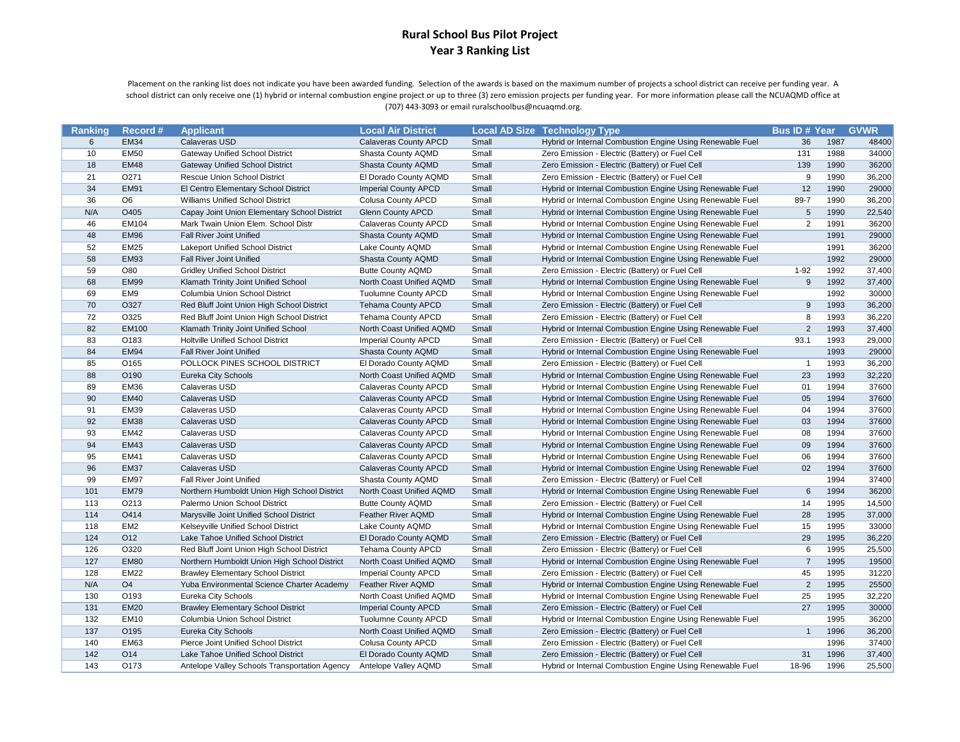Placement on the ranking list does not indicate you have been awarded funding. Selection of the awards is based on the maximum number of projects a school district can receive per funding year. A school district can only receive one (1) hybrid or internal combustion engine project or up to three (3) zero emission projects per funding year. For more information please call the NCUAQMD office at (707) 443-3093 or email ruralschoolbus@ncuaqmd.org.

| <b>Ranking</b> | Record#         | <b>Applicant</b>                              | <b>Local Air District</b>    |       | <b>Local AD Size Technology Type</b>                      | <b>Bus ID # Year GVWR</b> |      |        |
|----------------|-----------------|-----------------------------------------------|------------------------------|-------|-----------------------------------------------------------|---------------------------|------|--------|
| 6              | <b>EM34</b>     | Calaveras USD                                 | <b>Calaveras County APCD</b> | Small | Hybrid or Internal Combustion Engine Using Renewable Fuel | 36                        | 1987 | 48400  |
| 10             | <b>EM50</b>     | <b>Gateway Unified School District</b>        | Shasta County AQMD           | Small | Zero Emission - Electric (Battery) or Fuel Cell           | 131                       | 1988 | 34000  |
| 18             | <b>EM48</b>     | <b>Gateway Unified School District</b>        | Shasta County AQMD           | Small | Zero Emission - Electric (Battery) or Fuel Cell           | 139                       | 1990 | 36200  |
| 21             | O271            | Rescue Union School District                  | El Dorado County AQMD        | Small | Zero Emission - Electric (Battery) or Fuel Cell           | 9                         | 1990 | 36,200 |
| 34             | <b>EM91</b>     | El Centro Elementary School District          | <b>Imperial County APCD</b>  | Small | Hybrid or Internal Combustion Engine Using Renewable Fuel | 12                        | 1990 | 29000  |
| 36             | O <sub>6</sub>  | Williams Unified School District              | Colusa County APCD           | Small | Hybrid or Internal Combustion Engine Using Renewable Fuel | 89-7                      | 1990 | 36,200 |
| N/A            | O405            | Capay Joint Union Elementary School District  | <b>Glenn County APCD</b>     | Small | Hybrid or Internal Combustion Engine Using Renewable Fuel | 5                         | 1990 | 22,540 |
| 46             | EM104           | Mark Twain Union Elem. School Distr           | Calaveras County APCD        | Small | Hybrid or Internal Combustion Engine Using Renewable Fuel | $\overline{2}$            | 1991 | 36200  |
| 48             | EM96            | <b>Fall River Joint Unified</b>               | Shasta County AQMD           | Small | Hybrid or Internal Combustion Engine Using Renewable Fuel |                           | 1991 | 29000  |
| 52             | <b>EM25</b>     | <b>Lakeport Unified School District</b>       | Lake County AQMD             | Small | Hybrid or Internal Combustion Engine Using Renewable Fuel |                           | 1991 | 36200  |
| 58             | <b>EM93</b>     | <b>Fall River Joint Unified</b>               | Shasta County AQMD           | Small | Hybrid or Internal Combustion Engine Using Renewable Fuel |                           | 1992 | 29000  |
| 59             | O80             | <b>Gridley Unified School District</b>        | <b>Butte County AQMD</b>     | Small | Zero Emission - Electric (Battery) or Fuel Cell           | $1 - 92$                  | 1992 | 37,400 |
| 68             | <b>EM99</b>     | Klamath Trinity Joint Unified School          | North Coast Unified AQMD     | Small | Hybrid or Internal Combustion Engine Using Renewable Fuel | $\boldsymbol{9}$          | 1992 | 37,400 |
| 69             | EM9             | Columbia Union School District                | <b>Tuolumne County APCD</b>  | Small | Hybrid or Internal Combustion Engine Using Renewable Fuel |                           | 1992 | 30000  |
| 70             | O327            | Red Bluff Joint Union High School District    | <b>Tehama County APCD</b>    | Small | Zero Emission - Electric (Battery) or Fuel Cell           | 9                         | 1993 | 36,200 |
| 72             | O325            | Red Bluff Joint Union High School District    | Tehama County APCD           | Small | Zero Emission - Electric (Battery) or Fuel Cell           | 8                         | 1993 | 36,220 |
| 82             | <b>EM100</b>    | Klamath Trinity Joint Unified School          | North Coast Unified AQMD     | Small | Hybrid or Internal Combustion Engine Using Renewable Fuel | $\overline{2}$            | 1993 | 37,400 |
| 83             | O183            | <b>Holtville Unified School District</b>      | <b>Imperial County APCD</b>  | Small | Zero Emission - Electric (Battery) or Fuel Cell           | 93.1                      | 1993 | 29,000 |
| 84             | <b>EM94</b>     | <b>Fall River Joint Unified</b>               | Shasta County AQMD           | Small | Hybrid or Internal Combustion Engine Using Renewable Fuel |                           | 1993 | 29000  |
| 85             | O165            | POLLOCK PINES SCHOOL DISTRICT                 | El Dorado County AQMD        | Small | Zero Emission - Electric (Battery) or Fuel Cell           | $\mathbf{1}$              | 1993 | 36,200 |
| 88             | O190            | Eureka City Schools                           | North Coast Unified AQMD     | Small | Hybrid or Internal Combustion Engine Using Renewable Fuel | 23                        | 1993 | 32,220 |
| 89             | <b>EM36</b>     | Calaveras USD                                 | Calaveras County APCD        | Small | Hybrid or Internal Combustion Engine Using Renewable Fuel | 01                        | 1994 | 37600  |
| 90             | <b>EM40</b>     | Calaveras USD                                 | <b>Calaveras County APCD</b> | Small | Hybrid or Internal Combustion Engine Using Renewable Fuel | 05                        | 1994 | 37600  |
| 91             | <b>EM39</b>     | Calaveras USD                                 | Calaveras County APCD        | Small | Hybrid or Internal Combustion Engine Using Renewable Fuel | 04                        | 1994 | 37600  |
| 92             | <b>EM38</b>     | Calaveras USD                                 | <b>Calaveras County APCD</b> | Small | Hybrid or Internal Combustion Engine Using Renewable Fuel | 03                        | 1994 | 37600  |
| 93             | <b>EM42</b>     | Calaveras USD                                 | Calaveras County APCD        | Small | Hybrid or Internal Combustion Engine Using Renewable Fuel | 08                        | 1994 | 37600  |
| 94             | <b>EM43</b>     | Calaveras USD                                 | <b>Calaveras County APCD</b> | Small | Hybrid or Internal Combustion Engine Using Renewable Fuel | 09                        | 1994 | 37600  |
| 95             | EM41            | Calaveras USD                                 | Calaveras County APCD        | Small | Hybrid or Internal Combustion Engine Using Renewable Fuel | 06                        | 1994 | 37600  |
| 96             | <b>EM37</b>     | Calaveras USD                                 | <b>Calaveras County APCD</b> | Small | Hybrid or Internal Combustion Engine Using Renewable Fuel | 02                        | 1994 | 37600  |
| 99             | <b>EM97</b>     | Fall River Joint Unified                      | Shasta County AQMD           | Small | Zero Emission - Electric (Battery) or Fuel Cell           |                           | 1994 | 37400  |
| 101            | <b>EM79</b>     | Northern Humboldt Union High School District  | North Coast Unified AQMD     | Small | Hybrid or Internal Combustion Engine Using Renewable Fuel | 6                         | 1994 | 36200  |
| 113            | O213            | Palermo Union School District                 | <b>Butte County AQMD</b>     | Small | Zero Emission - Electric (Battery) or Fuel Cell           | 14                        | 1995 | 14,500 |
| 114            | O414            | Marysville Joint Unified School District      | Feather River AQMD           | Small | Hybrid or Internal Combustion Engine Using Renewable Fuel | 28                        | 1995 | 37,000 |
| 118            | EM <sub>2</sub> | Kelseyville Unified School District           | Lake County AQMD             | Small | Hybrid or Internal Combustion Engine Using Renewable Fuel | 15                        | 1995 | 33000  |
| 124            | O12             | Lake Tahoe Unified School District            | El Dorado County AQMD        | Small | Zero Emission - Electric (Battery) or Fuel Cell           | 29                        | 1995 | 36,220 |
| 126            | O320            | Red Bluff Joint Union High School District    | Tehama County APCD           | Small | Zero Emission - Electric (Battery) or Fuel Cell           | 6                         | 1995 | 25,500 |
| 127            | <b>EM80</b>     | Northern Humboldt Union High School District  | North Coast Unified AQMD     | Small | Hybrid or Internal Combustion Engine Using Renewable Fuel | $\overline{7}$            | 1995 | 19500  |
| 128            | <b>EM22</b>     | <b>Brawley Elementary School District</b>     | <b>Imperial County APCD</b>  | Small | Zero Emission - Electric (Battery) or Fuel Cell           | 45                        | 1995 | 31220  |
| N/A            | O <sub>4</sub>  | Yuba Environmental Science Charter Academy    | <b>Feather River AQMD</b>    | Small | Hybrid or Internal Combustion Engine Using Renewable Fuel | $\overline{2}$            | 1995 | 25500  |
| 130            | O193            | Eureka City Schools                           | North Coast Unified AQMD     | Small | Hybrid or Internal Combustion Engine Using Renewable Fuel | 25                        | 1995 | 32,220 |
| 131            | <b>EM20</b>     | <b>Brawley Elementary School District</b>     | <b>Imperial County APCD</b>  | Small | Zero Emission - Electric (Battery) or Fuel Cell           | 27                        | 1995 | 30000  |
| 132            | <b>EM10</b>     | Columbia Union School District                | <b>Tuolumne County APCD</b>  | Small | Hybrid or Internal Combustion Engine Using Renewable Fuel |                           | 1995 | 36200  |
| 137            | O195            | Eureka City Schools                           | North Coast Unified AQMD     | Small | Zero Emission - Electric (Battery) or Fuel Cell           | $\mathbf{1}$              | 1996 | 36,200 |
| 140            | <b>EM63</b>     | Pierce Joint Unified School District          | Colusa County APCD           | Small | Zero Emission - Electric (Battery) or Fuel Cell           |                           | 1996 | 37400  |
| 142            | O14             | Lake Tahoe Unified School District            | El Dorado County AQMD        | Small | Zero Emission - Electric (Battery) or Fuel Cell           | 31                        | 1996 | 37,400 |
| 143            | O173            | Antelope Valley Schools Transportation Agency | Antelope Valley AQMD         | Small | Hybrid or Internal Combustion Engine Using Renewable Fuel | 18-96                     | 1996 | 25,500 |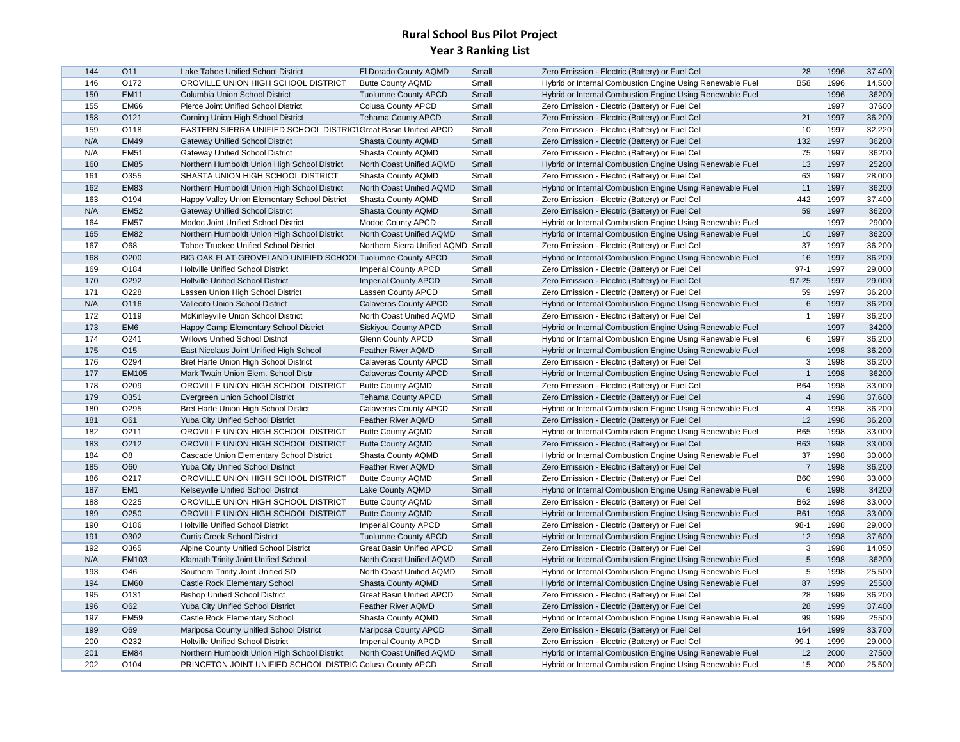| O172<br><b>B58</b><br>1996<br>14,500<br>146<br>OROVILLE UNION HIGH SCHOOL DISTRICT<br><b>Butte County AQMD</b><br>Small<br>Hybrid or Internal Combustion Engine Using Renewable Fuel<br>Small<br>1996<br>36200<br>150<br><b>EM11</b><br>Columbia Union School District<br><b>Tuolumne County APCD</b><br>Hybrid or Internal Combustion Engine Using Renewable Fuel<br>1997<br>37600<br>155<br><b>EM66</b><br><b>Colusa County APCD</b><br>Small<br>Pierce Joint Unified School District<br>Zero Emission - Electric (Battery) or Fuel Cell<br>Small<br>21<br>1997<br>36,200<br>158<br>O121<br>Corning Union High School District<br><b>Tehama County APCD</b><br>Zero Emission - Electric (Battery) or Fuel Cell<br>10<br>1997<br>32,220<br>159<br>O118<br>EASTERN SIERRA UNIFIED SCHOOL DISTRIC1 Great Basin Unified APCD<br>Small<br>Zero Emission - Electric (Battery) or Fuel Cell<br>N/A<br><b>EM49</b><br>Shasta County AQMD<br>Small<br>Zero Emission - Electric (Battery) or Fuel Cell<br>132<br>1997<br>36200<br><b>Gateway Unified School District</b><br><b>EM51</b><br>75<br>1997<br>36200<br>N/A<br><b>Gateway Unified School District</b><br>Shasta County AQMD<br>Small<br>Zero Emission - Electric (Battery) or Fuel Cell<br>13<br>1997<br>25200<br>160<br><b>EM85</b><br>Northern Humboldt Union High School District<br>North Coast Unified AQMD<br>Small<br>Hybrid or Internal Combustion Engine Using Renewable Fuel<br>63<br>28,000<br>161<br>O355<br>SHASTA UNION HIGH SCHOOL DISTRICT<br>Shasta County AQMD<br>Small<br>Zero Emission - Electric (Battery) or Fuel Cell<br>1997<br>162<br><b>EM83</b><br>Small<br>Hybrid or Internal Combustion Engine Using Renewable Fuel<br>11<br>1997<br>36200<br>Northern Humboldt Union High School District<br>North Coast Unified AQMD<br>442<br>163<br>O <sub>194</sub><br>Shasta County AQMD<br>Small<br>Zero Emission - Electric (Battery) or Fuel Cell<br>1997<br>37,400<br>Happy Valley Union Elementary School District<br>59<br>1997<br>36200<br>N/A<br><b>EM52</b><br>Shasta County AQMD<br>Small<br>Zero Emission - Electric (Battery) or Fuel Cell<br><b>Gateway Unified School District</b><br>Hybrid or Internal Combustion Engine Using Renewable Fuel<br>1997<br>29000<br>164<br><b>EM57</b><br>Modoc Joint Unified School District<br>Modoc County APCD<br>Small<br>36200<br>165<br><b>EM82</b><br>Northern Humboldt Union High School District<br>North Coast Unified AQMD<br>Small<br>Hybrid or Internal Combustion Engine Using Renewable Fuel<br>10<br>1997<br>37<br>1997<br>36,200<br>167<br>O68<br>Small<br>Zero Emission - Electric (Battery) or Fuel Cell<br><b>Tahoe Truckee Unified School District</b><br>Northern Sierra Unified AQMD<br>168<br>O200<br>16<br>1997<br>36,200<br>BIG OAK FLAT-GROVELAND UNIFIED SCHOOL Tuolumne County APCD<br>Small<br>Hybrid or Internal Combustion Engine Using Renewable Fuel<br>$97-1$<br>1997<br>29,000<br>169<br>O184<br>Holtville Unified School District<br><b>Imperial County APCD</b><br>Small<br>Zero Emission - Electric (Battery) or Fuel Cell<br>170<br>O292<br>Small<br>97-25<br>1997<br>29,000<br>Holtville Unified School District<br><b>Imperial County APCD</b><br>Zero Emission - Electric (Battery) or Fuel Cell<br>36,200<br>171<br>O228<br>59<br>1997<br>Lassen Union High School District<br>Lassen County APCD<br>Small<br>Zero Emission - Electric (Battery) or Fuel Cell<br>$6\phantom{1}$<br>1997<br>36,200<br>N/A<br>O116<br>Vallecito Union School District<br><b>Calaveras County APCD</b><br>Small<br>Hybrid or Internal Combustion Engine Using Renewable Fuel<br>O119<br>Small<br>Zero Emission - Electric (Battery) or Fuel Cell<br>1997<br>36,200<br>172<br>McKinleyville Union School District<br>North Coast Unified AQMD<br>$\overline{1}$<br>173<br>1997<br>34200<br>EM <sub>6</sub><br>Happy Camp Elementary School District<br>Siskiyou County APCD<br>Small<br>Hybrid or Internal Combustion Engine Using Renewable Fuel<br>6<br>1997<br>36,200<br>174<br>O <sub>241</sub><br><b>Willows Unified School District</b><br><b>Glenn County APCD</b><br>Small<br>Hybrid or Internal Combustion Engine Using Renewable Fuel<br>175<br>O15<br>East Nicolaus Joint Unified High School<br><b>Feather River AQMD</b><br>Small<br>Hybrid or Internal Combustion Engine Using Renewable Fuel<br>1998<br>36,200<br>O294<br>Small<br>Zero Emission - Electric (Battery) or Fuel Cell<br>1998<br>36,200<br>176<br>Bret Harte Union High School District<br>Calaveras County APCD<br>3<br>$\overline{1}$<br>1998<br>36200<br>177<br><b>EM105</b><br><b>Calaveras County APCD</b><br>Small<br>Hybrid or Internal Combustion Engine Using Renewable Fuel<br>Mark Twain Union Elem. School Distr<br>1998<br>33,000<br>178<br>O209<br>OROVILLE UNION HIGH SCHOOL DISTRICT<br>Small<br><b>B64</b><br><b>Butte County AQMD</b><br>Zero Emission - Electric (Battery) or Fuel Cell<br>$\overline{4}$<br>179<br>O351<br>Zero Emission - Electric (Battery) or Fuel Cell<br>1998<br>37,600<br>Evergreen Union School District<br><b>Tehama County APCD</b><br>Small<br>36,200<br>180<br>O <sub>295</sub><br>Bret Harte Union High School Distict<br>Calaveras County APCD<br>Small<br>Hybrid or Internal Combustion Engine Using Renewable Fuel<br>$\overline{4}$<br>1998<br>12<br>181<br>O61<br>1998<br>36,200<br>Yuba City Unified School District<br><b>Feather River AQMD</b><br>Small<br>Zero Emission - Electric (Battery) or Fuel Cell<br>182<br>O211<br><b>B65</b><br>1998<br>33,000<br>OROVILLE UNION HIGH SCHOOL DISTRICT<br>Small<br>Hybrid or Internal Combustion Engine Using Renewable Fuel<br><b>Butte County AQMD</b><br><b>B63</b><br>1998<br>33,000<br>183<br>O212<br>OROVILLE UNION HIGH SCHOOL DISTRICT<br><b>Butte County AQMD</b><br>Small<br>Zero Emission - Electric (Battery) or Fuel Cell<br>37<br>30,000<br>184<br>O8<br>Cascade Union Elementary School District<br>Small<br>Hybrid or Internal Combustion Engine Using Renewable Fuel<br>1998<br>Shasta County AQMD<br>Small<br>$\overline{7}$<br>1998<br>36,200<br>185<br>O60<br>Yuba City Unified School District<br>Feather River AQMD<br>Zero Emission - Electric (Battery) or Fuel Cell<br>O217<br><b>B60</b><br>1998<br>33,000<br>186<br>OROVILLE UNION HIGH SCHOOL DISTRICT<br><b>Butte County AQMD</b><br>Small<br>Zero Emission - Electric (Battery) or Fuel Cell<br>187<br>Hybrid or Internal Combustion Engine Using Renewable Fuel<br>1998<br>34200<br>EM <sub>1</sub><br>Kelseyville Unified School District<br>Lake County AQMD<br>Small<br>6<br><b>B62</b><br>1998<br>33,000<br>188<br>O <sub>225</sub><br>OROVILLE UNION HIGH SCHOOL DISTRICT<br><b>Butte County AQMD</b><br>Small<br>Zero Emission - Electric (Battery) or Fuel Cell<br>189<br>O <sub>250</sub><br>OROVILLE UNION HIGH SCHOOL DISTRICT<br>Hybrid or Internal Combustion Engine Using Renewable Fuel<br><b>B61</b><br>1998<br>33,000<br><b>Butte County AQMD</b><br>Small<br>190<br>O186<br>$98-1$<br>1998<br>29,000<br><b>Holtville Unified School District</b><br><b>Imperial County APCD</b><br>Small<br>Zero Emission - Electric (Battery) or Fuel Cell<br>12<br>191<br>O302<br>Small<br>1998<br>37,600<br><b>Curtis Creek School District</b><br><b>Tuolumne County APCD</b><br>Hybrid or Internal Combustion Engine Using Renewable Fuel<br>$\mathbf{3}$<br>192<br>O365<br>Small<br>1998<br>14,050<br>Alpine County Unified School District<br>Great Basin Unified APCD<br>Zero Emission - Electric (Battery) or Fuel Cell<br>$5\phantom{.0}$<br>36200<br>N/A<br>EM103<br>Small<br>1998<br>Klamath Trinity Joint Unified School<br>North Coast Unified AQMD<br>Hybrid or Internal Combustion Engine Using Renewable Fuel<br>O46<br>5<br>1998<br>25,500<br>193<br>Southern Trinity Joint Unified SD<br>North Coast Unified AQMD<br>Small<br>Hybrid or Internal Combustion Engine Using Renewable Fuel<br>194<br><b>EM60</b><br>Castle Rock Elementary School<br>Small<br>Hybrid or Internal Combustion Engine Using Renewable Fuel<br>87<br>1999<br>25500<br>Shasta County AQMD<br>28<br>1999<br>36,200<br>195<br>O131<br><b>Bishop Unified School District</b><br><b>Great Basin Unified APCD</b><br>Small<br>Zero Emission - Electric (Battery) or Fuel Cell<br>O62<br>28<br>1999<br>37,400<br>196<br>Yuba City Unified School District<br><b>Feather River AQMD</b><br>Small<br>Zero Emission - Electric (Battery) or Fuel Cell<br>25500<br>197<br><b>EM59</b><br>Shasta County AQMD<br>Small<br>Hybrid or Internal Combustion Engine Using Renewable Fuel<br>99<br>1999<br>Castle Rock Elementary School<br>199<br>O69<br>Mariposa County Unified School District<br>Small<br>164<br>1999<br>33,700<br>Mariposa County APCD<br>Zero Emission - Electric (Battery) or Fuel Cell<br>200<br>$99-1$<br>1999<br>29,000<br>O <sub>2</sub> 32<br>Holtville Unified School District<br><b>Imperial County APCD</b><br>Small<br>Zero Emission - Electric (Battery) or Fuel Cell<br>12<br>2000<br>27500<br>201<br><b>EM84</b><br>North Coast Unified AQMD<br>Small<br>Hybrid or Internal Combustion Engine Using Renewable Fuel<br>Northern Humboldt Union High School District<br>2000<br>202<br>O104<br>PRINCETON JOINT UNIFIED SCHOOL DISTRIC Colusa County APCD<br>Small<br>Hybrid or Internal Combustion Engine Using Renewable Fuel<br>15<br>25,500 | 144 | O11 | Lake Tahoe Unified School District | El Dorado County AQMD | Small | Zero Emission - Electric (Battery) or Fuel Cell | 28 | 1996 | 37,400 |
|---------------------------------------------------------------------------------------------------------------------------------------------------------------------------------------------------------------------------------------------------------------------------------------------------------------------------------------------------------------------------------------------------------------------------------------------------------------------------------------------------------------------------------------------------------------------------------------------------------------------------------------------------------------------------------------------------------------------------------------------------------------------------------------------------------------------------------------------------------------------------------------------------------------------------------------------------------------------------------------------------------------------------------------------------------------------------------------------------------------------------------------------------------------------------------------------------------------------------------------------------------------------------------------------------------------------------------------------------------------------------------------------------------------------------------------------------------------------------------------------------------------------------------------------------------------------------------------------------------------------------------------------------------------------------------------------------------------------------------------------------------------------------------------------------------------------------------------------------------------------------------------------------------------------------------------------------------------------------------------------------------------------------------------------------------------------------------------------------------------------------------------------------------------------------------------------------------------------------------------------------------------------------------------------------------------------------------------------------------------------------------------------------------------------------------------------------------------------------------------------------------------------------------------------------------------------------------------------------------------------------------------------------------------------------------------------------------------------------------------------------------------------------------------------------------------------------------------------------------------------------------------------------------------------------------------------------------------------------------------------------------------------------------------------------------------------------------------------------------------------------------------------------------------------------------------------------------------------------------------------------------------------------------------------------------------------------------------------------------------------------------------------------------------------------------------------------------------------------------------------------------------------------------------------------------------------------------------------------------------------------------------------------------------------------------------------------------------------------------------------------------------------------------------------------------------------------------------------------------------------------------------------------------------------------------------------------------------------------------------------------------------------------------------------------------------------------------------------------------------------------------------------------------------------------------------------------------------------------------------------------------------------------------------------------------------------------------------------------------------------------------------------------------------------------------------------------------------------------------------------------------------------------------------------------------------------------------------------------------------------------------------------------------------------------------------------------------------------------------------------------------------------------------------------------------------------------------------------------------------------------------------------------------------------------------------------------------------------------------------------------------------------------------------------------------------------------------------------------------------------------------------------------------------------------------------------------------------------------------------------------------------------------------------------------------------------------------------------------------------------------------------------------------------------------------------------------------------------------------------------------------------------------------------------------------------------------------------------------------------------------------------------------------------------------------------------------------------------------------------------------------------------------------------------------------------------------------------------------------------------------------------------------------------------------------------------------------------------------------------------------------------------------------------------------------------------------------------------------------------------------------------------------------------------------------------------------------------------------------------------------------------------------------------------------------------------------------------------------------------------------------------------------------------------------------------------------------------------------------------------------------------------------------------------------------------------------------------------------------------------------------------------------------------------------------------------------------------------------------------------------------------------------------------------------------------------------------------------------------------------------------------------------------------------------------------------------------------------------------------------------------------------------------------------------------------------------------------------------------------------------------------------------------------------------------------------------------------------------------------------------------------------------------------------------------------------------------------------------------------------------------------------------------------------------------------------------------------------------------------------------------------------------------------------------------------------------------------------------------------------------------------------------------------------------------------------------------------------------------------------------------------------------------------------------------------------------------------------------------------------------------------------------------------------------------------------------------------------------------------------------------------------------------------------------------------------------------------------------------------------------------------------------------------------------------------------------------------------------------------------------------------------------------------------------------------------------------------------------------------------------------------------------------------------------------------------------------------------------------------------------------------------------------------------------------------------------------------------------------------------------------------------------------------------------------------------------------------------------------------------------------------------------------------------------------------------------------------------------------------------------------------------------------------------------------------------------------------------------------------------------------------------------------------------------------------------------------------------------------------------------------------------------------------------------------------------------------------------------------------------------------------------------------------------------------------------------------------------------------------------|-----|-----|------------------------------------|-----------------------|-------|-------------------------------------------------|----|------|--------|
|                                                                                                                                                                                                                                                                                                                                                                                                                                                                                                                                                                                                                                                                                                                                                                                                                                                                                                                                                                                                                                                                                                                                                                                                                                                                                                                                                                                                                                                                                                                                                                                                                                                                                                                                                                                                                                                                                                                                                                                                                                                                                                                                                                                                                                                                                                                                                                                                                                                                                                                                                                                                                                                                                                                                                                                                                                                                                                                                                                                                                                                                                                                                                                                                                                                                                                                                                                                                                                                                                                                                                                                                                                                                                                                                                                                                                                                                                                                                                                                                                                                                                                                                                                                                                                                                                                                                                                                                                                                                                                                                                                                                                                                                                                                                                                                                                                                                                                                                                                                                                                                                                                                                                                                                                                                                                                                                                                                                                                                                                                                                                                                                                                                                                                                                                                                                                                                                                                                                                                                                                                                                                                                                                                                                                                                                                                                                                                                                                                                                                                                                                                                                                                                                                                                                                                                                                                                                                                                                                                                                                                                                                                                                                                                                                                                                                                                                                                                                                                                                                                                                                                                                                                                                                                                                                                                                                                                                                                                                                                                                                                                                                                                                                                                                                                                                                                                                                                                                                                                                                                                                                                                                                                                                                                                                                                                                                                                                                                                                                                                                                                                                                                                                                                                                                                                                                                                                                                     |     |     |                                    |                       |       |                                                 |    |      |        |
|                                                                                                                                                                                                                                                                                                                                                                                                                                                                                                                                                                                                                                                                                                                                                                                                                                                                                                                                                                                                                                                                                                                                                                                                                                                                                                                                                                                                                                                                                                                                                                                                                                                                                                                                                                                                                                                                                                                                                                                                                                                                                                                                                                                                                                                                                                                                                                                                                                                                                                                                                                                                                                                                                                                                                                                                                                                                                                                                                                                                                                                                                                                                                                                                                                                                                                                                                                                                                                                                                                                                                                                                                                                                                                                                                                                                                                                                                                                                                                                                                                                                                                                                                                                                                                                                                                                                                                                                                                                                                                                                                                                                                                                                                                                                                                                                                                                                                                                                                                                                                                                                                                                                                                                                                                                                                                                                                                                                                                                                                                                                                                                                                                                                                                                                                                                                                                                                                                                                                                                                                                                                                                                                                                                                                                                                                                                                                                                                                                                                                                                                                                                                                                                                                                                                                                                                                                                                                                                                                                                                                                                                                                                                                                                                                                                                                                                                                                                                                                                                                                                                                                                                                                                                                                                                                                                                                                                                                                                                                                                                                                                                                                                                                                                                                                                                                                                                                                                                                                                                                                                                                                                                                                                                                                                                                                                                                                                                                                                                                                                                                                                                                                                                                                                                                                                                                                                                                                     |     |     |                                    |                       |       |                                                 |    |      |        |
|                                                                                                                                                                                                                                                                                                                                                                                                                                                                                                                                                                                                                                                                                                                                                                                                                                                                                                                                                                                                                                                                                                                                                                                                                                                                                                                                                                                                                                                                                                                                                                                                                                                                                                                                                                                                                                                                                                                                                                                                                                                                                                                                                                                                                                                                                                                                                                                                                                                                                                                                                                                                                                                                                                                                                                                                                                                                                                                                                                                                                                                                                                                                                                                                                                                                                                                                                                                                                                                                                                                                                                                                                                                                                                                                                                                                                                                                                                                                                                                                                                                                                                                                                                                                                                                                                                                                                                                                                                                                                                                                                                                                                                                                                                                                                                                                                                                                                                                                                                                                                                                                                                                                                                                                                                                                                                                                                                                                                                                                                                                                                                                                                                                                                                                                                                                                                                                                                                                                                                                                                                                                                                                                                                                                                                                                                                                                                                                                                                                                                                                                                                                                                                                                                                                                                                                                                                                                                                                                                                                                                                                                                                                                                                                                                                                                                                                                                                                                                                                                                                                                                                                                                                                                                                                                                                                                                                                                                                                                                                                                                                                                                                                                                                                                                                                                                                                                                                                                                                                                                                                                                                                                                                                                                                                                                                                                                                                                                                                                                                                                                                                                                                                                                                                                                                                                                                                                                                     |     |     |                                    |                       |       |                                                 |    |      |        |
|                                                                                                                                                                                                                                                                                                                                                                                                                                                                                                                                                                                                                                                                                                                                                                                                                                                                                                                                                                                                                                                                                                                                                                                                                                                                                                                                                                                                                                                                                                                                                                                                                                                                                                                                                                                                                                                                                                                                                                                                                                                                                                                                                                                                                                                                                                                                                                                                                                                                                                                                                                                                                                                                                                                                                                                                                                                                                                                                                                                                                                                                                                                                                                                                                                                                                                                                                                                                                                                                                                                                                                                                                                                                                                                                                                                                                                                                                                                                                                                                                                                                                                                                                                                                                                                                                                                                                                                                                                                                                                                                                                                                                                                                                                                                                                                                                                                                                                                                                                                                                                                                                                                                                                                                                                                                                                                                                                                                                                                                                                                                                                                                                                                                                                                                                                                                                                                                                                                                                                                                                                                                                                                                                                                                                                                                                                                                                                                                                                                                                                                                                                                                                                                                                                                                                                                                                                                                                                                                                                                                                                                                                                                                                                                                                                                                                                                                                                                                                                                                                                                                                                                                                                                                                                                                                                                                                                                                                                                                                                                                                                                                                                                                                                                                                                                                                                                                                                                                                                                                                                                                                                                                                                                                                                                                                                                                                                                                                                                                                                                                                                                                                                                                                                                                                                                                                                                                                                     |     |     |                                    |                       |       |                                                 |    |      |        |
|                                                                                                                                                                                                                                                                                                                                                                                                                                                                                                                                                                                                                                                                                                                                                                                                                                                                                                                                                                                                                                                                                                                                                                                                                                                                                                                                                                                                                                                                                                                                                                                                                                                                                                                                                                                                                                                                                                                                                                                                                                                                                                                                                                                                                                                                                                                                                                                                                                                                                                                                                                                                                                                                                                                                                                                                                                                                                                                                                                                                                                                                                                                                                                                                                                                                                                                                                                                                                                                                                                                                                                                                                                                                                                                                                                                                                                                                                                                                                                                                                                                                                                                                                                                                                                                                                                                                                                                                                                                                                                                                                                                                                                                                                                                                                                                                                                                                                                                                                                                                                                                                                                                                                                                                                                                                                                                                                                                                                                                                                                                                                                                                                                                                                                                                                                                                                                                                                                                                                                                                                                                                                                                                                                                                                                                                                                                                                                                                                                                                                                                                                                                                                                                                                                                                                                                                                                                                                                                                                                                                                                                                                                                                                                                                                                                                                                                                                                                                                                                                                                                                                                                                                                                                                                                                                                                                                                                                                                                                                                                                                                                                                                                                                                                                                                                                                                                                                                                                                                                                                                                                                                                                                                                                                                                                                                                                                                                                                                                                                                                                                                                                                                                                                                                                                                                                                                                                                                     |     |     |                                    |                       |       |                                                 |    |      |        |
|                                                                                                                                                                                                                                                                                                                                                                                                                                                                                                                                                                                                                                                                                                                                                                                                                                                                                                                                                                                                                                                                                                                                                                                                                                                                                                                                                                                                                                                                                                                                                                                                                                                                                                                                                                                                                                                                                                                                                                                                                                                                                                                                                                                                                                                                                                                                                                                                                                                                                                                                                                                                                                                                                                                                                                                                                                                                                                                                                                                                                                                                                                                                                                                                                                                                                                                                                                                                                                                                                                                                                                                                                                                                                                                                                                                                                                                                                                                                                                                                                                                                                                                                                                                                                                                                                                                                                                                                                                                                                                                                                                                                                                                                                                                                                                                                                                                                                                                                                                                                                                                                                                                                                                                                                                                                                                                                                                                                                                                                                                                                                                                                                                                                                                                                                                                                                                                                                                                                                                                                                                                                                                                                                                                                                                                                                                                                                                                                                                                                                                                                                                                                                                                                                                                                                                                                                                                                                                                                                                                                                                                                                                                                                                                                                                                                                                                                                                                                                                                                                                                                                                                                                                                                                                                                                                                                                                                                                                                                                                                                                                                                                                                                                                                                                                                                                                                                                                                                                                                                                                                                                                                                                                                                                                                                                                                                                                                                                                                                                                                                                                                                                                                                                                                                                                                                                                                                                                     |     |     |                                    |                       |       |                                                 |    |      |        |
|                                                                                                                                                                                                                                                                                                                                                                                                                                                                                                                                                                                                                                                                                                                                                                                                                                                                                                                                                                                                                                                                                                                                                                                                                                                                                                                                                                                                                                                                                                                                                                                                                                                                                                                                                                                                                                                                                                                                                                                                                                                                                                                                                                                                                                                                                                                                                                                                                                                                                                                                                                                                                                                                                                                                                                                                                                                                                                                                                                                                                                                                                                                                                                                                                                                                                                                                                                                                                                                                                                                                                                                                                                                                                                                                                                                                                                                                                                                                                                                                                                                                                                                                                                                                                                                                                                                                                                                                                                                                                                                                                                                                                                                                                                                                                                                                                                                                                                                                                                                                                                                                                                                                                                                                                                                                                                                                                                                                                                                                                                                                                                                                                                                                                                                                                                                                                                                                                                                                                                                                                                                                                                                                                                                                                                                                                                                                                                                                                                                                                                                                                                                                                                                                                                                                                                                                                                                                                                                                                                                                                                                                                                                                                                                                                                                                                                                                                                                                                                                                                                                                                                                                                                                                                                                                                                                                                                                                                                                                                                                                                                                                                                                                                                                                                                                                                                                                                                                                                                                                                                                                                                                                                                                                                                                                                                                                                                                                                                                                                                                                                                                                                                                                                                                                                                                                                                                                                                     |     |     |                                    |                       |       |                                                 |    |      |        |
|                                                                                                                                                                                                                                                                                                                                                                                                                                                                                                                                                                                                                                                                                                                                                                                                                                                                                                                                                                                                                                                                                                                                                                                                                                                                                                                                                                                                                                                                                                                                                                                                                                                                                                                                                                                                                                                                                                                                                                                                                                                                                                                                                                                                                                                                                                                                                                                                                                                                                                                                                                                                                                                                                                                                                                                                                                                                                                                                                                                                                                                                                                                                                                                                                                                                                                                                                                                                                                                                                                                                                                                                                                                                                                                                                                                                                                                                                                                                                                                                                                                                                                                                                                                                                                                                                                                                                                                                                                                                                                                                                                                                                                                                                                                                                                                                                                                                                                                                                                                                                                                                                                                                                                                                                                                                                                                                                                                                                                                                                                                                                                                                                                                                                                                                                                                                                                                                                                                                                                                                                                                                                                                                                                                                                                                                                                                                                                                                                                                                                                                                                                                                                                                                                                                                                                                                                                                                                                                                                                                                                                                                                                                                                                                                                                                                                                                                                                                                                                                                                                                                                                                                                                                                                                                                                                                                                                                                                                                                                                                                                                                                                                                                                                                                                                                                                                                                                                                                                                                                                                                                                                                                                                                                                                                                                                                                                                                                                                                                                                                                                                                                                                                                                                                                                                                                                                                                                                     |     |     |                                    |                       |       |                                                 |    |      |        |
|                                                                                                                                                                                                                                                                                                                                                                                                                                                                                                                                                                                                                                                                                                                                                                                                                                                                                                                                                                                                                                                                                                                                                                                                                                                                                                                                                                                                                                                                                                                                                                                                                                                                                                                                                                                                                                                                                                                                                                                                                                                                                                                                                                                                                                                                                                                                                                                                                                                                                                                                                                                                                                                                                                                                                                                                                                                                                                                                                                                                                                                                                                                                                                                                                                                                                                                                                                                                                                                                                                                                                                                                                                                                                                                                                                                                                                                                                                                                                                                                                                                                                                                                                                                                                                                                                                                                                                                                                                                                                                                                                                                                                                                                                                                                                                                                                                                                                                                                                                                                                                                                                                                                                                                                                                                                                                                                                                                                                                                                                                                                                                                                                                                                                                                                                                                                                                                                                                                                                                                                                                                                                                                                                                                                                                                                                                                                                                                                                                                                                                                                                                                                                                                                                                                                                                                                                                                                                                                                                                                                                                                                                                                                                                                                                                                                                                                                                                                                                                                                                                                                                                                                                                                                                                                                                                                                                                                                                                                                                                                                                                                                                                                                                                                                                                                                                                                                                                                                                                                                                                                                                                                                                                                                                                                                                                                                                                                                                                                                                                                                                                                                                                                                                                                                                                                                                                                                                                     |     |     |                                    |                       |       |                                                 |    |      |        |
|                                                                                                                                                                                                                                                                                                                                                                                                                                                                                                                                                                                                                                                                                                                                                                                                                                                                                                                                                                                                                                                                                                                                                                                                                                                                                                                                                                                                                                                                                                                                                                                                                                                                                                                                                                                                                                                                                                                                                                                                                                                                                                                                                                                                                                                                                                                                                                                                                                                                                                                                                                                                                                                                                                                                                                                                                                                                                                                                                                                                                                                                                                                                                                                                                                                                                                                                                                                                                                                                                                                                                                                                                                                                                                                                                                                                                                                                                                                                                                                                                                                                                                                                                                                                                                                                                                                                                                                                                                                                                                                                                                                                                                                                                                                                                                                                                                                                                                                                                                                                                                                                                                                                                                                                                                                                                                                                                                                                                                                                                                                                                                                                                                                                                                                                                                                                                                                                                                                                                                                                                                                                                                                                                                                                                                                                                                                                                                                                                                                                                                                                                                                                                                                                                                                                                                                                                                                                                                                                                                                                                                                                                                                                                                                                                                                                                                                                                                                                                                                                                                                                                                                                                                                                                                                                                                                                                                                                                                                                                                                                                                                                                                                                                                                                                                                                                                                                                                                                                                                                                                                                                                                                                                                                                                                                                                                                                                                                                                                                                                                                                                                                                                                                                                                                                                                                                                                                                                     |     |     |                                    |                       |       |                                                 |    |      |        |
|                                                                                                                                                                                                                                                                                                                                                                                                                                                                                                                                                                                                                                                                                                                                                                                                                                                                                                                                                                                                                                                                                                                                                                                                                                                                                                                                                                                                                                                                                                                                                                                                                                                                                                                                                                                                                                                                                                                                                                                                                                                                                                                                                                                                                                                                                                                                                                                                                                                                                                                                                                                                                                                                                                                                                                                                                                                                                                                                                                                                                                                                                                                                                                                                                                                                                                                                                                                                                                                                                                                                                                                                                                                                                                                                                                                                                                                                                                                                                                                                                                                                                                                                                                                                                                                                                                                                                                                                                                                                                                                                                                                                                                                                                                                                                                                                                                                                                                                                                                                                                                                                                                                                                                                                                                                                                                                                                                                                                                                                                                                                                                                                                                                                                                                                                                                                                                                                                                                                                                                                                                                                                                                                                                                                                                                                                                                                                                                                                                                                                                                                                                                                                                                                                                                                                                                                                                                                                                                                                                                                                                                                                                                                                                                                                                                                                                                                                                                                                                                                                                                                                                                                                                                                                                                                                                                                                                                                                                                                                                                                                                                                                                                                                                                                                                                                                                                                                                                                                                                                                                                                                                                                                                                                                                                                                                                                                                                                                                                                                                                                                                                                                                                                                                                                                                                                                                                                                                     |     |     |                                    |                       |       |                                                 |    |      |        |
|                                                                                                                                                                                                                                                                                                                                                                                                                                                                                                                                                                                                                                                                                                                                                                                                                                                                                                                                                                                                                                                                                                                                                                                                                                                                                                                                                                                                                                                                                                                                                                                                                                                                                                                                                                                                                                                                                                                                                                                                                                                                                                                                                                                                                                                                                                                                                                                                                                                                                                                                                                                                                                                                                                                                                                                                                                                                                                                                                                                                                                                                                                                                                                                                                                                                                                                                                                                                                                                                                                                                                                                                                                                                                                                                                                                                                                                                                                                                                                                                                                                                                                                                                                                                                                                                                                                                                                                                                                                                                                                                                                                                                                                                                                                                                                                                                                                                                                                                                                                                                                                                                                                                                                                                                                                                                                                                                                                                                                                                                                                                                                                                                                                                                                                                                                                                                                                                                                                                                                                                                                                                                                                                                                                                                                                                                                                                                                                                                                                                                                                                                                                                                                                                                                                                                                                                                                                                                                                                                                                                                                                                                                                                                                                                                                                                                                                                                                                                                                                                                                                                                                                                                                                                                                                                                                                                                                                                                                                                                                                                                                                                                                                                                                                                                                                                                                                                                                                                                                                                                                                                                                                                                                                                                                                                                                                                                                                                                                                                                                                                                                                                                                                                                                                                                                                                                                                                                                     |     |     |                                    |                       |       |                                                 |    |      |        |
|                                                                                                                                                                                                                                                                                                                                                                                                                                                                                                                                                                                                                                                                                                                                                                                                                                                                                                                                                                                                                                                                                                                                                                                                                                                                                                                                                                                                                                                                                                                                                                                                                                                                                                                                                                                                                                                                                                                                                                                                                                                                                                                                                                                                                                                                                                                                                                                                                                                                                                                                                                                                                                                                                                                                                                                                                                                                                                                                                                                                                                                                                                                                                                                                                                                                                                                                                                                                                                                                                                                                                                                                                                                                                                                                                                                                                                                                                                                                                                                                                                                                                                                                                                                                                                                                                                                                                                                                                                                                                                                                                                                                                                                                                                                                                                                                                                                                                                                                                                                                                                                                                                                                                                                                                                                                                                                                                                                                                                                                                                                                                                                                                                                                                                                                                                                                                                                                                                                                                                                                                                                                                                                                                                                                                                                                                                                                                                                                                                                                                                                                                                                                                                                                                                                                                                                                                                                                                                                                                                                                                                                                                                                                                                                                                                                                                                                                                                                                                                                                                                                                                                                                                                                                                                                                                                                                                                                                                                                                                                                                                                                                                                                                                                                                                                                                                                                                                                                                                                                                                                                                                                                                                                                                                                                                                                                                                                                                                                                                                                                                                                                                                                                                                                                                                                                                                                                                                                     |     |     |                                    |                       |       |                                                 |    |      |        |
|                                                                                                                                                                                                                                                                                                                                                                                                                                                                                                                                                                                                                                                                                                                                                                                                                                                                                                                                                                                                                                                                                                                                                                                                                                                                                                                                                                                                                                                                                                                                                                                                                                                                                                                                                                                                                                                                                                                                                                                                                                                                                                                                                                                                                                                                                                                                                                                                                                                                                                                                                                                                                                                                                                                                                                                                                                                                                                                                                                                                                                                                                                                                                                                                                                                                                                                                                                                                                                                                                                                                                                                                                                                                                                                                                                                                                                                                                                                                                                                                                                                                                                                                                                                                                                                                                                                                                                                                                                                                                                                                                                                                                                                                                                                                                                                                                                                                                                                                                                                                                                                                                                                                                                                                                                                                                                                                                                                                                                                                                                                                                                                                                                                                                                                                                                                                                                                                                                                                                                                                                                                                                                                                                                                                                                                                                                                                                                                                                                                                                                                                                                                                                                                                                                                                                                                                                                                                                                                                                                                                                                                                                                                                                                                                                                                                                                                                                                                                                                                                                                                                                                                                                                                                                                                                                                                                                                                                                                                                                                                                                                                                                                                                                                                                                                                                                                                                                                                                                                                                                                                                                                                                                                                                                                                                                                                                                                                                                                                                                                                                                                                                                                                                                                                                                                                                                                                                                                     |     |     |                                    |                       |       |                                                 |    |      |        |
|                                                                                                                                                                                                                                                                                                                                                                                                                                                                                                                                                                                                                                                                                                                                                                                                                                                                                                                                                                                                                                                                                                                                                                                                                                                                                                                                                                                                                                                                                                                                                                                                                                                                                                                                                                                                                                                                                                                                                                                                                                                                                                                                                                                                                                                                                                                                                                                                                                                                                                                                                                                                                                                                                                                                                                                                                                                                                                                                                                                                                                                                                                                                                                                                                                                                                                                                                                                                                                                                                                                                                                                                                                                                                                                                                                                                                                                                                                                                                                                                                                                                                                                                                                                                                                                                                                                                                                                                                                                                                                                                                                                                                                                                                                                                                                                                                                                                                                                                                                                                                                                                                                                                                                                                                                                                                                                                                                                                                                                                                                                                                                                                                                                                                                                                                                                                                                                                                                                                                                                                                                                                                                                                                                                                                                                                                                                                                                                                                                                                                                                                                                                                                                                                                                                                                                                                                                                                                                                                                                                                                                                                                                                                                                                                                                                                                                                                                                                                                                                                                                                                                                                                                                                                                                                                                                                                                                                                                                                                                                                                                                                                                                                                                                                                                                                                                                                                                                                                                                                                                                                                                                                                                                                                                                                                                                                                                                                                                                                                                                                                                                                                                                                                                                                                                                                                                                                                                                     |     |     |                                    |                       |       |                                                 |    |      |        |
|                                                                                                                                                                                                                                                                                                                                                                                                                                                                                                                                                                                                                                                                                                                                                                                                                                                                                                                                                                                                                                                                                                                                                                                                                                                                                                                                                                                                                                                                                                                                                                                                                                                                                                                                                                                                                                                                                                                                                                                                                                                                                                                                                                                                                                                                                                                                                                                                                                                                                                                                                                                                                                                                                                                                                                                                                                                                                                                                                                                                                                                                                                                                                                                                                                                                                                                                                                                                                                                                                                                                                                                                                                                                                                                                                                                                                                                                                                                                                                                                                                                                                                                                                                                                                                                                                                                                                                                                                                                                                                                                                                                                                                                                                                                                                                                                                                                                                                                                                                                                                                                                                                                                                                                                                                                                                                                                                                                                                                                                                                                                                                                                                                                                                                                                                                                                                                                                                                                                                                                                                                                                                                                                                                                                                                                                                                                                                                                                                                                                                                                                                                                                                                                                                                                                                                                                                                                                                                                                                                                                                                                                                                                                                                                                                                                                                                                                                                                                                                                                                                                                                                                                                                                                                                                                                                                                                                                                                                                                                                                                                                                                                                                                                                                                                                                                                                                                                                                                                                                                                                                                                                                                                                                                                                                                                                                                                                                                                                                                                                                                                                                                                                                                                                                                                                                                                                                                                                     |     |     |                                    |                       |       |                                                 |    |      |        |
|                                                                                                                                                                                                                                                                                                                                                                                                                                                                                                                                                                                                                                                                                                                                                                                                                                                                                                                                                                                                                                                                                                                                                                                                                                                                                                                                                                                                                                                                                                                                                                                                                                                                                                                                                                                                                                                                                                                                                                                                                                                                                                                                                                                                                                                                                                                                                                                                                                                                                                                                                                                                                                                                                                                                                                                                                                                                                                                                                                                                                                                                                                                                                                                                                                                                                                                                                                                                                                                                                                                                                                                                                                                                                                                                                                                                                                                                                                                                                                                                                                                                                                                                                                                                                                                                                                                                                                                                                                                                                                                                                                                                                                                                                                                                                                                                                                                                                                                                                                                                                                                                                                                                                                                                                                                                                                                                                                                                                                                                                                                                                                                                                                                                                                                                                                                                                                                                                                                                                                                                                                                                                                                                                                                                                                                                                                                                                                                                                                                                                                                                                                                                                                                                                                                                                                                                                                                                                                                                                                                                                                                                                                                                                                                                                                                                                                                                                                                                                                                                                                                                                                                                                                                                                                                                                                                                                                                                                                                                                                                                                                                                                                                                                                                                                                                                                                                                                                                                                                                                                                                                                                                                                                                                                                                                                                                                                                                                                                                                                                                                                                                                                                                                                                                                                                                                                                                                                                     |     |     |                                    |                       |       |                                                 |    |      |        |
|                                                                                                                                                                                                                                                                                                                                                                                                                                                                                                                                                                                                                                                                                                                                                                                                                                                                                                                                                                                                                                                                                                                                                                                                                                                                                                                                                                                                                                                                                                                                                                                                                                                                                                                                                                                                                                                                                                                                                                                                                                                                                                                                                                                                                                                                                                                                                                                                                                                                                                                                                                                                                                                                                                                                                                                                                                                                                                                                                                                                                                                                                                                                                                                                                                                                                                                                                                                                                                                                                                                                                                                                                                                                                                                                                                                                                                                                                                                                                                                                                                                                                                                                                                                                                                                                                                                                                                                                                                                                                                                                                                                                                                                                                                                                                                                                                                                                                                                                                                                                                                                                                                                                                                                                                                                                                                                                                                                                                                                                                                                                                                                                                                                                                                                                                                                                                                                                                                                                                                                                                                                                                                                                                                                                                                                                                                                                                                                                                                                                                                                                                                                                                                                                                                                                                                                                                                                                                                                                                                                                                                                                                                                                                                                                                                                                                                                                                                                                                                                                                                                                                                                                                                                                                                                                                                                                                                                                                                                                                                                                                                                                                                                                                                                                                                                                                                                                                                                                                                                                                                                                                                                                                                                                                                                                                                                                                                                                                                                                                                                                                                                                                                                                                                                                                                                                                                                                                                     |     |     |                                    |                       |       |                                                 |    |      |        |
|                                                                                                                                                                                                                                                                                                                                                                                                                                                                                                                                                                                                                                                                                                                                                                                                                                                                                                                                                                                                                                                                                                                                                                                                                                                                                                                                                                                                                                                                                                                                                                                                                                                                                                                                                                                                                                                                                                                                                                                                                                                                                                                                                                                                                                                                                                                                                                                                                                                                                                                                                                                                                                                                                                                                                                                                                                                                                                                                                                                                                                                                                                                                                                                                                                                                                                                                                                                                                                                                                                                                                                                                                                                                                                                                                                                                                                                                                                                                                                                                                                                                                                                                                                                                                                                                                                                                                                                                                                                                                                                                                                                                                                                                                                                                                                                                                                                                                                                                                                                                                                                                                                                                                                                                                                                                                                                                                                                                                                                                                                                                                                                                                                                                                                                                                                                                                                                                                                                                                                                                                                                                                                                                                                                                                                                                                                                                                                                                                                                                                                                                                                                                                                                                                                                                                                                                                                                                                                                                                                                                                                                                                                                                                                                                                                                                                                                                                                                                                                                                                                                                                                                                                                                                                                                                                                                                                                                                                                                                                                                                                                                                                                                                                                                                                                                                                                                                                                                                                                                                                                                                                                                                                                                                                                                                                                                                                                                                                                                                                                                                                                                                                                                                                                                                                                                                                                                                                                     |     |     |                                    |                       |       |                                                 |    |      |        |
|                                                                                                                                                                                                                                                                                                                                                                                                                                                                                                                                                                                                                                                                                                                                                                                                                                                                                                                                                                                                                                                                                                                                                                                                                                                                                                                                                                                                                                                                                                                                                                                                                                                                                                                                                                                                                                                                                                                                                                                                                                                                                                                                                                                                                                                                                                                                                                                                                                                                                                                                                                                                                                                                                                                                                                                                                                                                                                                                                                                                                                                                                                                                                                                                                                                                                                                                                                                                                                                                                                                                                                                                                                                                                                                                                                                                                                                                                                                                                                                                                                                                                                                                                                                                                                                                                                                                                                                                                                                                                                                                                                                                                                                                                                                                                                                                                                                                                                                                                                                                                                                                                                                                                                                                                                                                                                                                                                                                                                                                                                                                                                                                                                                                                                                                                                                                                                                                                                                                                                                                                                                                                                                                                                                                                                                                                                                                                                                                                                                                                                                                                                                                                                                                                                                                                                                                                                                                                                                                                                                                                                                                                                                                                                                                                                                                                                                                                                                                                                                                                                                                                                                                                                                                                                                                                                                                                                                                                                                                                                                                                                                                                                                                                                                                                                                                                                                                                                                                                                                                                                                                                                                                                                                                                                                                                                                                                                                                                                                                                                                                                                                                                                                                                                                                                                                                                                                                                                     |     |     |                                    |                       |       |                                                 |    |      |        |
|                                                                                                                                                                                                                                                                                                                                                                                                                                                                                                                                                                                                                                                                                                                                                                                                                                                                                                                                                                                                                                                                                                                                                                                                                                                                                                                                                                                                                                                                                                                                                                                                                                                                                                                                                                                                                                                                                                                                                                                                                                                                                                                                                                                                                                                                                                                                                                                                                                                                                                                                                                                                                                                                                                                                                                                                                                                                                                                                                                                                                                                                                                                                                                                                                                                                                                                                                                                                                                                                                                                                                                                                                                                                                                                                                                                                                                                                                                                                                                                                                                                                                                                                                                                                                                                                                                                                                                                                                                                                                                                                                                                                                                                                                                                                                                                                                                                                                                                                                                                                                                                                                                                                                                                                                                                                                                                                                                                                                                                                                                                                                                                                                                                                                                                                                                                                                                                                                                                                                                                                                                                                                                                                                                                                                                                                                                                                                                                                                                                                                                                                                                                                                                                                                                                                                                                                                                                                                                                                                                                                                                                                                                                                                                                                                                                                                                                                                                                                                                                                                                                                                                                                                                                                                                                                                                                                                                                                                                                                                                                                                                                                                                                                                                                                                                                                                                                                                                                                                                                                                                                                                                                                                                                                                                                                                                                                                                                                                                                                                                                                                                                                                                                                                                                                                                                                                                                                                                     |     |     |                                    |                       |       |                                                 |    |      |        |
|                                                                                                                                                                                                                                                                                                                                                                                                                                                                                                                                                                                                                                                                                                                                                                                                                                                                                                                                                                                                                                                                                                                                                                                                                                                                                                                                                                                                                                                                                                                                                                                                                                                                                                                                                                                                                                                                                                                                                                                                                                                                                                                                                                                                                                                                                                                                                                                                                                                                                                                                                                                                                                                                                                                                                                                                                                                                                                                                                                                                                                                                                                                                                                                                                                                                                                                                                                                                                                                                                                                                                                                                                                                                                                                                                                                                                                                                                                                                                                                                                                                                                                                                                                                                                                                                                                                                                                                                                                                                                                                                                                                                                                                                                                                                                                                                                                                                                                                                                                                                                                                                                                                                                                                                                                                                                                                                                                                                                                                                                                                                                                                                                                                                                                                                                                                                                                                                                                                                                                                                                                                                                                                                                                                                                                                                                                                                                                                                                                                                                                                                                                                                                                                                                                                                                                                                                                                                                                                                                                                                                                                                                                                                                                                                                                                                                                                                                                                                                                                                                                                                                                                                                                                                                                                                                                                                                                                                                                                                                                                                                                                                                                                                                                                                                                                                                                                                                                                                                                                                                                                                                                                                                                                                                                                                                                                                                                                                                                                                                                                                                                                                                                                                                                                                                                                                                                                                                                     |     |     |                                    |                       |       |                                                 |    |      |        |
|                                                                                                                                                                                                                                                                                                                                                                                                                                                                                                                                                                                                                                                                                                                                                                                                                                                                                                                                                                                                                                                                                                                                                                                                                                                                                                                                                                                                                                                                                                                                                                                                                                                                                                                                                                                                                                                                                                                                                                                                                                                                                                                                                                                                                                                                                                                                                                                                                                                                                                                                                                                                                                                                                                                                                                                                                                                                                                                                                                                                                                                                                                                                                                                                                                                                                                                                                                                                                                                                                                                                                                                                                                                                                                                                                                                                                                                                                                                                                                                                                                                                                                                                                                                                                                                                                                                                                                                                                                                                                                                                                                                                                                                                                                                                                                                                                                                                                                                                                                                                                                                                                                                                                                                                                                                                                                                                                                                                                                                                                                                                                                                                                                                                                                                                                                                                                                                                                                                                                                                                                                                                                                                                                                                                                                                                                                                                                                                                                                                                                                                                                                                                                                                                                                                                                                                                                                                                                                                                                                                                                                                                                                                                                                                                                                                                                                                                                                                                                                                                                                                                                                                                                                                                                                                                                                                                                                                                                                                                                                                                                                                                                                                                                                                                                                                                                                                                                                                                                                                                                                                                                                                                                                                                                                                                                                                                                                                                                                                                                                                                                                                                                                                                                                                                                                                                                                                                                                     |     |     |                                    |                       |       |                                                 |    |      |        |
|                                                                                                                                                                                                                                                                                                                                                                                                                                                                                                                                                                                                                                                                                                                                                                                                                                                                                                                                                                                                                                                                                                                                                                                                                                                                                                                                                                                                                                                                                                                                                                                                                                                                                                                                                                                                                                                                                                                                                                                                                                                                                                                                                                                                                                                                                                                                                                                                                                                                                                                                                                                                                                                                                                                                                                                                                                                                                                                                                                                                                                                                                                                                                                                                                                                                                                                                                                                                                                                                                                                                                                                                                                                                                                                                                                                                                                                                                                                                                                                                                                                                                                                                                                                                                                                                                                                                                                                                                                                                                                                                                                                                                                                                                                                                                                                                                                                                                                                                                                                                                                                                                                                                                                                                                                                                                                                                                                                                                                                                                                                                                                                                                                                                                                                                                                                                                                                                                                                                                                                                                                                                                                                                                                                                                                                                                                                                                                                                                                                                                                                                                                                                                                                                                                                                                                                                                                                                                                                                                                                                                                                                                                                                                                                                                                                                                                                                                                                                                                                                                                                                                                                                                                                                                                                                                                                                                                                                                                                                                                                                                                                                                                                                                                                                                                                                                                                                                                                                                                                                                                                                                                                                                                                                                                                                                                                                                                                                                                                                                                                                                                                                                                                                                                                                                                                                                                                                                                     |     |     |                                    |                       |       |                                                 |    |      |        |
|                                                                                                                                                                                                                                                                                                                                                                                                                                                                                                                                                                                                                                                                                                                                                                                                                                                                                                                                                                                                                                                                                                                                                                                                                                                                                                                                                                                                                                                                                                                                                                                                                                                                                                                                                                                                                                                                                                                                                                                                                                                                                                                                                                                                                                                                                                                                                                                                                                                                                                                                                                                                                                                                                                                                                                                                                                                                                                                                                                                                                                                                                                                                                                                                                                                                                                                                                                                                                                                                                                                                                                                                                                                                                                                                                                                                                                                                                                                                                                                                                                                                                                                                                                                                                                                                                                                                                                                                                                                                                                                                                                                                                                                                                                                                                                                                                                                                                                                                                                                                                                                                                                                                                                                                                                                                                                                                                                                                                                                                                                                                                                                                                                                                                                                                                                                                                                                                                                                                                                                                                                                                                                                                                                                                                                                                                                                                                                                                                                                                                                                                                                                                                                                                                                                                                                                                                                                                                                                                                                                                                                                                                                                                                                                                                                                                                                                                                                                                                                                                                                                                                                                                                                                                                                                                                                                                                                                                                                                                                                                                                                                                                                                                                                                                                                                                                                                                                                                                                                                                                                                                                                                                                                                                                                                                                                                                                                                                                                                                                                                                                                                                                                                                                                                                                                                                                                                                                                     |     |     |                                    |                       |       |                                                 |    |      |        |
|                                                                                                                                                                                                                                                                                                                                                                                                                                                                                                                                                                                                                                                                                                                                                                                                                                                                                                                                                                                                                                                                                                                                                                                                                                                                                                                                                                                                                                                                                                                                                                                                                                                                                                                                                                                                                                                                                                                                                                                                                                                                                                                                                                                                                                                                                                                                                                                                                                                                                                                                                                                                                                                                                                                                                                                                                                                                                                                                                                                                                                                                                                                                                                                                                                                                                                                                                                                                                                                                                                                                                                                                                                                                                                                                                                                                                                                                                                                                                                                                                                                                                                                                                                                                                                                                                                                                                                                                                                                                                                                                                                                                                                                                                                                                                                                                                                                                                                                                                                                                                                                                                                                                                                                                                                                                                                                                                                                                                                                                                                                                                                                                                                                                                                                                                                                                                                                                                                                                                                                                                                                                                                                                                                                                                                                                                                                                                                                                                                                                                                                                                                                                                                                                                                                                                                                                                                                                                                                                                                                                                                                                                                                                                                                                                                                                                                                                                                                                                                                                                                                                                                                                                                                                                                                                                                                                                                                                                                                                                                                                                                                                                                                                                                                                                                                                                                                                                                                                                                                                                                                                                                                                                                                                                                                                                                                                                                                                                                                                                                                                                                                                                                                                                                                                                                                                                                                                                                     |     |     |                                    |                       |       |                                                 |    |      |        |
|                                                                                                                                                                                                                                                                                                                                                                                                                                                                                                                                                                                                                                                                                                                                                                                                                                                                                                                                                                                                                                                                                                                                                                                                                                                                                                                                                                                                                                                                                                                                                                                                                                                                                                                                                                                                                                                                                                                                                                                                                                                                                                                                                                                                                                                                                                                                                                                                                                                                                                                                                                                                                                                                                                                                                                                                                                                                                                                                                                                                                                                                                                                                                                                                                                                                                                                                                                                                                                                                                                                                                                                                                                                                                                                                                                                                                                                                                                                                                                                                                                                                                                                                                                                                                                                                                                                                                                                                                                                                                                                                                                                                                                                                                                                                                                                                                                                                                                                                                                                                                                                                                                                                                                                                                                                                                                                                                                                                                                                                                                                                                                                                                                                                                                                                                                                                                                                                                                                                                                                                                                                                                                                                                                                                                                                                                                                                                                                                                                                                                                                                                                                                                                                                                                                                                                                                                                                                                                                                                                                                                                                                                                                                                                                                                                                                                                                                                                                                                                                                                                                                                                                                                                                                                                                                                                                                                                                                                                                                                                                                                                                                                                                                                                                                                                                                                                                                                                                                                                                                                                                                                                                                                                                                                                                                                                                                                                                                                                                                                                                                                                                                                                                                                                                                                                                                                                                                                                     |     |     |                                    |                       |       |                                                 |    |      |        |
|                                                                                                                                                                                                                                                                                                                                                                                                                                                                                                                                                                                                                                                                                                                                                                                                                                                                                                                                                                                                                                                                                                                                                                                                                                                                                                                                                                                                                                                                                                                                                                                                                                                                                                                                                                                                                                                                                                                                                                                                                                                                                                                                                                                                                                                                                                                                                                                                                                                                                                                                                                                                                                                                                                                                                                                                                                                                                                                                                                                                                                                                                                                                                                                                                                                                                                                                                                                                                                                                                                                                                                                                                                                                                                                                                                                                                                                                                                                                                                                                                                                                                                                                                                                                                                                                                                                                                                                                                                                                                                                                                                                                                                                                                                                                                                                                                                                                                                                                                                                                                                                                                                                                                                                                                                                                                                                                                                                                                                                                                                                                                                                                                                                                                                                                                                                                                                                                                                                                                                                                                                                                                                                                                                                                                                                                                                                                                                                                                                                                                                                                                                                                                                                                                                                                                                                                                                                                                                                                                                                                                                                                                                                                                                                                                                                                                                                                                                                                                                                                                                                                                                                                                                                                                                                                                                                                                                                                                                                                                                                                                                                                                                                                                                                                                                                                                                                                                                                                                                                                                                                                                                                                                                                                                                                                                                                                                                                                                                                                                                                                                                                                                                                                                                                                                                                                                                                                                                     |     |     |                                    |                       |       |                                                 |    |      |        |
|                                                                                                                                                                                                                                                                                                                                                                                                                                                                                                                                                                                                                                                                                                                                                                                                                                                                                                                                                                                                                                                                                                                                                                                                                                                                                                                                                                                                                                                                                                                                                                                                                                                                                                                                                                                                                                                                                                                                                                                                                                                                                                                                                                                                                                                                                                                                                                                                                                                                                                                                                                                                                                                                                                                                                                                                                                                                                                                                                                                                                                                                                                                                                                                                                                                                                                                                                                                                                                                                                                                                                                                                                                                                                                                                                                                                                                                                                                                                                                                                                                                                                                                                                                                                                                                                                                                                                                                                                                                                                                                                                                                                                                                                                                                                                                                                                                                                                                                                                                                                                                                                                                                                                                                                                                                                                                                                                                                                                                                                                                                                                                                                                                                                                                                                                                                                                                                                                                                                                                                                                                                                                                                                                                                                                                                                                                                                                                                                                                                                                                                                                                                                                                                                                                                                                                                                                                                                                                                                                                                                                                                                                                                                                                                                                                                                                                                                                                                                                                                                                                                                                                                                                                                                                                                                                                                                                                                                                                                                                                                                                                                                                                                                                                                                                                                                                                                                                                                                                                                                                                                                                                                                                                                                                                                                                                                                                                                                                                                                                                                                                                                                                                                                                                                                                                                                                                                                                                     |     |     |                                    |                       |       |                                                 |    |      |        |
|                                                                                                                                                                                                                                                                                                                                                                                                                                                                                                                                                                                                                                                                                                                                                                                                                                                                                                                                                                                                                                                                                                                                                                                                                                                                                                                                                                                                                                                                                                                                                                                                                                                                                                                                                                                                                                                                                                                                                                                                                                                                                                                                                                                                                                                                                                                                                                                                                                                                                                                                                                                                                                                                                                                                                                                                                                                                                                                                                                                                                                                                                                                                                                                                                                                                                                                                                                                                                                                                                                                                                                                                                                                                                                                                                                                                                                                                                                                                                                                                                                                                                                                                                                                                                                                                                                                                                                                                                                                                                                                                                                                                                                                                                                                                                                                                                                                                                                                                                                                                                                                                                                                                                                                                                                                                                                                                                                                                                                                                                                                                                                                                                                                                                                                                                                                                                                                                                                                                                                                                                                                                                                                                                                                                                                                                                                                                                                                                                                                                                                                                                                                                                                                                                                                                                                                                                                                                                                                                                                                                                                                                                                                                                                                                                                                                                                                                                                                                                                                                                                                                                                                                                                                                                                                                                                                                                                                                                                                                                                                                                                                                                                                                                                                                                                                                                                                                                                                                                                                                                                                                                                                                                                                                                                                                                                                                                                                                                                                                                                                                                                                                                                                                                                                                                                                                                                                                                                     |     |     |                                    |                       |       |                                                 |    |      |        |
|                                                                                                                                                                                                                                                                                                                                                                                                                                                                                                                                                                                                                                                                                                                                                                                                                                                                                                                                                                                                                                                                                                                                                                                                                                                                                                                                                                                                                                                                                                                                                                                                                                                                                                                                                                                                                                                                                                                                                                                                                                                                                                                                                                                                                                                                                                                                                                                                                                                                                                                                                                                                                                                                                                                                                                                                                                                                                                                                                                                                                                                                                                                                                                                                                                                                                                                                                                                                                                                                                                                                                                                                                                                                                                                                                                                                                                                                                                                                                                                                                                                                                                                                                                                                                                                                                                                                                                                                                                                                                                                                                                                                                                                                                                                                                                                                                                                                                                                                                                                                                                                                                                                                                                                                                                                                                                                                                                                                                                                                                                                                                                                                                                                                                                                                                                                                                                                                                                                                                                                                                                                                                                                                                                                                                                                                                                                                                                                                                                                                                                                                                                                                                                                                                                                                                                                                                                                                                                                                                                                                                                                                                                                                                                                                                                                                                                                                                                                                                                                                                                                                                                                                                                                                                                                                                                                                                                                                                                                                                                                                                                                                                                                                                                                                                                                                                                                                                                                                                                                                                                                                                                                                                                                                                                                                                                                                                                                                                                                                                                                                                                                                                                                                                                                                                                                                                                                                                                     |     |     |                                    |                       |       |                                                 |    |      |        |
|                                                                                                                                                                                                                                                                                                                                                                                                                                                                                                                                                                                                                                                                                                                                                                                                                                                                                                                                                                                                                                                                                                                                                                                                                                                                                                                                                                                                                                                                                                                                                                                                                                                                                                                                                                                                                                                                                                                                                                                                                                                                                                                                                                                                                                                                                                                                                                                                                                                                                                                                                                                                                                                                                                                                                                                                                                                                                                                                                                                                                                                                                                                                                                                                                                                                                                                                                                                                                                                                                                                                                                                                                                                                                                                                                                                                                                                                                                                                                                                                                                                                                                                                                                                                                                                                                                                                                                                                                                                                                                                                                                                                                                                                                                                                                                                                                                                                                                                                                                                                                                                                                                                                                                                                                                                                                                                                                                                                                                                                                                                                                                                                                                                                                                                                                                                                                                                                                                                                                                                                                                                                                                                                                                                                                                                                                                                                                                                                                                                                                                                                                                                                                                                                                                                                                                                                                                                                                                                                                                                                                                                                                                                                                                                                                                                                                                                                                                                                                                                                                                                                                                                                                                                                                                                                                                                                                                                                                                                                                                                                                                                                                                                                                                                                                                                                                                                                                                                                                                                                                                                                                                                                                                                                                                                                                                                                                                                                                                                                                                                                                                                                                                                                                                                                                                                                                                                                                                     |     |     |                                    |                       |       |                                                 |    |      |        |
|                                                                                                                                                                                                                                                                                                                                                                                                                                                                                                                                                                                                                                                                                                                                                                                                                                                                                                                                                                                                                                                                                                                                                                                                                                                                                                                                                                                                                                                                                                                                                                                                                                                                                                                                                                                                                                                                                                                                                                                                                                                                                                                                                                                                                                                                                                                                                                                                                                                                                                                                                                                                                                                                                                                                                                                                                                                                                                                                                                                                                                                                                                                                                                                                                                                                                                                                                                                                                                                                                                                                                                                                                                                                                                                                                                                                                                                                                                                                                                                                                                                                                                                                                                                                                                                                                                                                                                                                                                                                                                                                                                                                                                                                                                                                                                                                                                                                                                                                                                                                                                                                                                                                                                                                                                                                                                                                                                                                                                                                                                                                                                                                                                                                                                                                                                                                                                                                                                                                                                                                                                                                                                                                                                                                                                                                                                                                                                                                                                                                                                                                                                                                                                                                                                                                                                                                                                                                                                                                                                                                                                                                                                                                                                                                                                                                                                                                                                                                                                                                                                                                                                                                                                                                                                                                                                                                                                                                                                                                                                                                                                                                                                                                                                                                                                                                                                                                                                                                                                                                                                                                                                                                                                                                                                                                                                                                                                                                                                                                                                                                                                                                                                                                                                                                                                                                                                                                                                     |     |     |                                    |                       |       |                                                 |    |      |        |
|                                                                                                                                                                                                                                                                                                                                                                                                                                                                                                                                                                                                                                                                                                                                                                                                                                                                                                                                                                                                                                                                                                                                                                                                                                                                                                                                                                                                                                                                                                                                                                                                                                                                                                                                                                                                                                                                                                                                                                                                                                                                                                                                                                                                                                                                                                                                                                                                                                                                                                                                                                                                                                                                                                                                                                                                                                                                                                                                                                                                                                                                                                                                                                                                                                                                                                                                                                                                                                                                                                                                                                                                                                                                                                                                                                                                                                                                                                                                                                                                                                                                                                                                                                                                                                                                                                                                                                                                                                                                                                                                                                                                                                                                                                                                                                                                                                                                                                                                                                                                                                                                                                                                                                                                                                                                                                                                                                                                                                                                                                                                                                                                                                                                                                                                                                                                                                                                                                                                                                                                                                                                                                                                                                                                                                                                                                                                                                                                                                                                                                                                                                                                                                                                                                                                                                                                                                                                                                                                                                                                                                                                                                                                                                                                                                                                                                                                                                                                                                                                                                                                                                                                                                                                                                                                                                                                                                                                                                                                                                                                                                                                                                                                                                                                                                                                                                                                                                                                                                                                                                                                                                                                                                                                                                                                                                                                                                                                                                                                                                                                                                                                                                                                                                                                                                                                                                                                                                     |     |     |                                    |                       |       |                                                 |    |      |        |
|                                                                                                                                                                                                                                                                                                                                                                                                                                                                                                                                                                                                                                                                                                                                                                                                                                                                                                                                                                                                                                                                                                                                                                                                                                                                                                                                                                                                                                                                                                                                                                                                                                                                                                                                                                                                                                                                                                                                                                                                                                                                                                                                                                                                                                                                                                                                                                                                                                                                                                                                                                                                                                                                                                                                                                                                                                                                                                                                                                                                                                                                                                                                                                                                                                                                                                                                                                                                                                                                                                                                                                                                                                                                                                                                                                                                                                                                                                                                                                                                                                                                                                                                                                                                                                                                                                                                                                                                                                                                                                                                                                                                                                                                                                                                                                                                                                                                                                                                                                                                                                                                                                                                                                                                                                                                                                                                                                                                                                                                                                                                                                                                                                                                                                                                                                                                                                                                                                                                                                                                                                                                                                                                                                                                                                                                                                                                                                                                                                                                                                                                                                                                                                                                                                                                                                                                                                                                                                                                                                                                                                                                                                                                                                                                                                                                                                                                                                                                                                                                                                                                                                                                                                                                                                                                                                                                                                                                                                                                                                                                                                                                                                                                                                                                                                                                                                                                                                                                                                                                                                                                                                                                                                                                                                                                                                                                                                                                                                                                                                                                                                                                                                                                                                                                                                                                                                                                                                     |     |     |                                    |                       |       |                                                 |    |      |        |
|                                                                                                                                                                                                                                                                                                                                                                                                                                                                                                                                                                                                                                                                                                                                                                                                                                                                                                                                                                                                                                                                                                                                                                                                                                                                                                                                                                                                                                                                                                                                                                                                                                                                                                                                                                                                                                                                                                                                                                                                                                                                                                                                                                                                                                                                                                                                                                                                                                                                                                                                                                                                                                                                                                                                                                                                                                                                                                                                                                                                                                                                                                                                                                                                                                                                                                                                                                                                                                                                                                                                                                                                                                                                                                                                                                                                                                                                                                                                                                                                                                                                                                                                                                                                                                                                                                                                                                                                                                                                                                                                                                                                                                                                                                                                                                                                                                                                                                                                                                                                                                                                                                                                                                                                                                                                                                                                                                                                                                                                                                                                                                                                                                                                                                                                                                                                                                                                                                                                                                                                                                                                                                                                                                                                                                                                                                                                                                                                                                                                                                                                                                                                                                                                                                                                                                                                                                                                                                                                                                                                                                                                                                                                                                                                                                                                                                                                                                                                                                                                                                                                                                                                                                                                                                                                                                                                                                                                                                                                                                                                                                                                                                                                                                                                                                                                                                                                                                                                                                                                                                                                                                                                                                                                                                                                                                                                                                                                                                                                                                                                                                                                                                                                                                                                                                                                                                                                                                     |     |     |                                    |                       |       |                                                 |    |      |        |
|                                                                                                                                                                                                                                                                                                                                                                                                                                                                                                                                                                                                                                                                                                                                                                                                                                                                                                                                                                                                                                                                                                                                                                                                                                                                                                                                                                                                                                                                                                                                                                                                                                                                                                                                                                                                                                                                                                                                                                                                                                                                                                                                                                                                                                                                                                                                                                                                                                                                                                                                                                                                                                                                                                                                                                                                                                                                                                                                                                                                                                                                                                                                                                                                                                                                                                                                                                                                                                                                                                                                                                                                                                                                                                                                                                                                                                                                                                                                                                                                                                                                                                                                                                                                                                                                                                                                                                                                                                                                                                                                                                                                                                                                                                                                                                                                                                                                                                                                                                                                                                                                                                                                                                                                                                                                                                                                                                                                                                                                                                                                                                                                                                                                                                                                                                                                                                                                                                                                                                                                                                                                                                                                                                                                                                                                                                                                                                                                                                                                                                                                                                                                                                                                                                                                                                                                                                                                                                                                                                                                                                                                                                                                                                                                                                                                                                                                                                                                                                                                                                                                                                                                                                                                                                                                                                                                                                                                                                                                                                                                                                                                                                                                                                                                                                                                                                                                                                                                                                                                                                                                                                                                                                                                                                                                                                                                                                                                                                                                                                                                                                                                                                                                                                                                                                                                                                                                                                     |     |     |                                    |                       |       |                                                 |    |      |        |
|                                                                                                                                                                                                                                                                                                                                                                                                                                                                                                                                                                                                                                                                                                                                                                                                                                                                                                                                                                                                                                                                                                                                                                                                                                                                                                                                                                                                                                                                                                                                                                                                                                                                                                                                                                                                                                                                                                                                                                                                                                                                                                                                                                                                                                                                                                                                                                                                                                                                                                                                                                                                                                                                                                                                                                                                                                                                                                                                                                                                                                                                                                                                                                                                                                                                                                                                                                                                                                                                                                                                                                                                                                                                                                                                                                                                                                                                                                                                                                                                                                                                                                                                                                                                                                                                                                                                                                                                                                                                                                                                                                                                                                                                                                                                                                                                                                                                                                                                                                                                                                                                                                                                                                                                                                                                                                                                                                                                                                                                                                                                                                                                                                                                                                                                                                                                                                                                                                                                                                                                                                                                                                                                                                                                                                                                                                                                                                                                                                                                                                                                                                                                                                                                                                                                                                                                                                                                                                                                                                                                                                                                                                                                                                                                                                                                                                                                                                                                                                                                                                                                                                                                                                                                                                                                                                                                                                                                                                                                                                                                                                                                                                                                                                                                                                                                                                                                                                                                                                                                                                                                                                                                                                                                                                                                                                                                                                                                                                                                                                                                                                                                                                                                                                                                                                                                                                                                                                     |     |     |                                    |                       |       |                                                 |    |      |        |
|                                                                                                                                                                                                                                                                                                                                                                                                                                                                                                                                                                                                                                                                                                                                                                                                                                                                                                                                                                                                                                                                                                                                                                                                                                                                                                                                                                                                                                                                                                                                                                                                                                                                                                                                                                                                                                                                                                                                                                                                                                                                                                                                                                                                                                                                                                                                                                                                                                                                                                                                                                                                                                                                                                                                                                                                                                                                                                                                                                                                                                                                                                                                                                                                                                                                                                                                                                                                                                                                                                                                                                                                                                                                                                                                                                                                                                                                                                                                                                                                                                                                                                                                                                                                                                                                                                                                                                                                                                                                                                                                                                                                                                                                                                                                                                                                                                                                                                                                                                                                                                                                                                                                                                                                                                                                                                                                                                                                                                                                                                                                                                                                                                                                                                                                                                                                                                                                                                                                                                                                                                                                                                                                                                                                                                                                                                                                                                                                                                                                                                                                                                                                                                                                                                                                                                                                                                                                                                                                                                                                                                                                                                                                                                                                                                                                                                                                                                                                                                                                                                                                                                                                                                                                                                                                                                                                                                                                                                                                                                                                                                                                                                                                                                                                                                                                                                                                                                                                                                                                                                                                                                                                                                                                                                                                                                                                                                                                                                                                                                                                                                                                                                                                                                                                                                                                                                                                                                     |     |     |                                    |                       |       |                                                 |    |      |        |
|                                                                                                                                                                                                                                                                                                                                                                                                                                                                                                                                                                                                                                                                                                                                                                                                                                                                                                                                                                                                                                                                                                                                                                                                                                                                                                                                                                                                                                                                                                                                                                                                                                                                                                                                                                                                                                                                                                                                                                                                                                                                                                                                                                                                                                                                                                                                                                                                                                                                                                                                                                                                                                                                                                                                                                                                                                                                                                                                                                                                                                                                                                                                                                                                                                                                                                                                                                                                                                                                                                                                                                                                                                                                                                                                                                                                                                                                                                                                                                                                                                                                                                                                                                                                                                                                                                                                                                                                                                                                                                                                                                                                                                                                                                                                                                                                                                                                                                                                                                                                                                                                                                                                                                                                                                                                                                                                                                                                                                                                                                                                                                                                                                                                                                                                                                                                                                                                                                                                                                                                                                                                                                                                                                                                                                                                                                                                                                                                                                                                                                                                                                                                                                                                                                                                                                                                                                                                                                                                                                                                                                                                                                                                                                                                                                                                                                                                                                                                                                                                                                                                                                                                                                                                                                                                                                                                                                                                                                                                                                                                                                                                                                                                                                                                                                                                                                                                                                                                                                                                                                                                                                                                                                                                                                                                                                                                                                                                                                                                                                                                                                                                                                                                                                                                                                                                                                                                                                     |     |     |                                    |                       |       |                                                 |    |      |        |
|                                                                                                                                                                                                                                                                                                                                                                                                                                                                                                                                                                                                                                                                                                                                                                                                                                                                                                                                                                                                                                                                                                                                                                                                                                                                                                                                                                                                                                                                                                                                                                                                                                                                                                                                                                                                                                                                                                                                                                                                                                                                                                                                                                                                                                                                                                                                                                                                                                                                                                                                                                                                                                                                                                                                                                                                                                                                                                                                                                                                                                                                                                                                                                                                                                                                                                                                                                                                                                                                                                                                                                                                                                                                                                                                                                                                                                                                                                                                                                                                                                                                                                                                                                                                                                                                                                                                                                                                                                                                                                                                                                                                                                                                                                                                                                                                                                                                                                                                                                                                                                                                                                                                                                                                                                                                                                                                                                                                                                                                                                                                                                                                                                                                                                                                                                                                                                                                                                                                                                                                                                                                                                                                                                                                                                                                                                                                                                                                                                                                                                                                                                                                                                                                                                                                                                                                                                                                                                                                                                                                                                                                                                                                                                                                                                                                                                                                                                                                                                                                                                                                                                                                                                                                                                                                                                                                                                                                                                                                                                                                                                                                                                                                                                                                                                                                                                                                                                                                                                                                                                                                                                                                                                                                                                                                                                                                                                                                                                                                                                                                                                                                                                                                                                                                                                                                                                                                                                     |     |     |                                    |                       |       |                                                 |    |      |        |
|                                                                                                                                                                                                                                                                                                                                                                                                                                                                                                                                                                                                                                                                                                                                                                                                                                                                                                                                                                                                                                                                                                                                                                                                                                                                                                                                                                                                                                                                                                                                                                                                                                                                                                                                                                                                                                                                                                                                                                                                                                                                                                                                                                                                                                                                                                                                                                                                                                                                                                                                                                                                                                                                                                                                                                                                                                                                                                                                                                                                                                                                                                                                                                                                                                                                                                                                                                                                                                                                                                                                                                                                                                                                                                                                                                                                                                                                                                                                                                                                                                                                                                                                                                                                                                                                                                                                                                                                                                                                                                                                                                                                                                                                                                                                                                                                                                                                                                                                                                                                                                                                                                                                                                                                                                                                                                                                                                                                                                                                                                                                                                                                                                                                                                                                                                                                                                                                                                                                                                                                                                                                                                                                                                                                                                                                                                                                                                                                                                                                                                                                                                                                                                                                                                                                                                                                                                                                                                                                                                                                                                                                                                                                                                                                                                                                                                                                                                                                                                                                                                                                                                                                                                                                                                                                                                                                                                                                                                                                                                                                                                                                                                                                                                                                                                                                                                                                                                                                                                                                                                                                                                                                                                                                                                                                                                                                                                                                                                                                                                                                                                                                                                                                                                                                                                                                                                                                                                     |     |     |                                    |                       |       |                                                 |    |      |        |
|                                                                                                                                                                                                                                                                                                                                                                                                                                                                                                                                                                                                                                                                                                                                                                                                                                                                                                                                                                                                                                                                                                                                                                                                                                                                                                                                                                                                                                                                                                                                                                                                                                                                                                                                                                                                                                                                                                                                                                                                                                                                                                                                                                                                                                                                                                                                                                                                                                                                                                                                                                                                                                                                                                                                                                                                                                                                                                                                                                                                                                                                                                                                                                                                                                                                                                                                                                                                                                                                                                                                                                                                                                                                                                                                                                                                                                                                                                                                                                                                                                                                                                                                                                                                                                                                                                                                                                                                                                                                                                                                                                                                                                                                                                                                                                                                                                                                                                                                                                                                                                                                                                                                                                                                                                                                                                                                                                                                                                                                                                                                                                                                                                                                                                                                                                                                                                                                                                                                                                                                                                                                                                                                                                                                                                                                                                                                                                                                                                                                                                                                                                                                                                                                                                                                                                                                                                                                                                                                                                                                                                                                                                                                                                                                                                                                                                                                                                                                                                                                                                                                                                                                                                                                                                                                                                                                                                                                                                                                                                                                                                                                                                                                                                                                                                                                                                                                                                                                                                                                                                                                                                                                                                                                                                                                                                                                                                                                                                                                                                                                                                                                                                                                                                                                                                                                                                                                                                     |     |     |                                    |                       |       |                                                 |    |      |        |
|                                                                                                                                                                                                                                                                                                                                                                                                                                                                                                                                                                                                                                                                                                                                                                                                                                                                                                                                                                                                                                                                                                                                                                                                                                                                                                                                                                                                                                                                                                                                                                                                                                                                                                                                                                                                                                                                                                                                                                                                                                                                                                                                                                                                                                                                                                                                                                                                                                                                                                                                                                                                                                                                                                                                                                                                                                                                                                                                                                                                                                                                                                                                                                                                                                                                                                                                                                                                                                                                                                                                                                                                                                                                                                                                                                                                                                                                                                                                                                                                                                                                                                                                                                                                                                                                                                                                                                                                                                                                                                                                                                                                                                                                                                                                                                                                                                                                                                                                                                                                                                                                                                                                                                                                                                                                                                                                                                                                                                                                                                                                                                                                                                                                                                                                                                                                                                                                                                                                                                                                                                                                                                                                                                                                                                                                                                                                                                                                                                                                                                                                                                                                                                                                                                                                                                                                                                                                                                                                                                                                                                                                                                                                                                                                                                                                                                                                                                                                                                                                                                                                                                                                                                                                                                                                                                                                                                                                                                                                                                                                                                                                                                                                                                                                                                                                                                                                                                                                                                                                                                                                                                                                                                                                                                                                                                                                                                                                                                                                                                                                                                                                                                                                                                                                                                                                                                                                                                     |     |     |                                    |                       |       |                                                 |    |      |        |
|                                                                                                                                                                                                                                                                                                                                                                                                                                                                                                                                                                                                                                                                                                                                                                                                                                                                                                                                                                                                                                                                                                                                                                                                                                                                                                                                                                                                                                                                                                                                                                                                                                                                                                                                                                                                                                                                                                                                                                                                                                                                                                                                                                                                                                                                                                                                                                                                                                                                                                                                                                                                                                                                                                                                                                                                                                                                                                                                                                                                                                                                                                                                                                                                                                                                                                                                                                                                                                                                                                                                                                                                                                                                                                                                                                                                                                                                                                                                                                                                                                                                                                                                                                                                                                                                                                                                                                                                                                                                                                                                                                                                                                                                                                                                                                                                                                                                                                                                                                                                                                                                                                                                                                                                                                                                                                                                                                                                                                                                                                                                                                                                                                                                                                                                                                                                                                                                                                                                                                                                                                                                                                                                                                                                                                                                                                                                                                                                                                                                                                                                                                                                                                                                                                                                                                                                                                                                                                                                                                                                                                                                                                                                                                                                                                                                                                                                                                                                                                                                                                                                                                                                                                                                                                                                                                                                                                                                                                                                                                                                                                                                                                                                                                                                                                                                                                                                                                                                                                                                                                                                                                                                                                                                                                                                                                                                                                                                                                                                                                                                                                                                                                                                                                                                                                                                                                                                                                     |     |     |                                    |                       |       |                                                 |    |      |        |
|                                                                                                                                                                                                                                                                                                                                                                                                                                                                                                                                                                                                                                                                                                                                                                                                                                                                                                                                                                                                                                                                                                                                                                                                                                                                                                                                                                                                                                                                                                                                                                                                                                                                                                                                                                                                                                                                                                                                                                                                                                                                                                                                                                                                                                                                                                                                                                                                                                                                                                                                                                                                                                                                                                                                                                                                                                                                                                                                                                                                                                                                                                                                                                                                                                                                                                                                                                                                                                                                                                                                                                                                                                                                                                                                                                                                                                                                                                                                                                                                                                                                                                                                                                                                                                                                                                                                                                                                                                                                                                                                                                                                                                                                                                                                                                                                                                                                                                                                                                                                                                                                                                                                                                                                                                                                                                                                                                                                                                                                                                                                                                                                                                                                                                                                                                                                                                                                                                                                                                                                                                                                                                                                                                                                                                                                                                                                                                                                                                                                                                                                                                                                                                                                                                                                                                                                                                                                                                                                                                                                                                                                                                                                                                                                                                                                                                                                                                                                                                                                                                                                                                                                                                                                                                                                                                                                                                                                                                                                                                                                                                                                                                                                                                                                                                                                                                                                                                                                                                                                                                                                                                                                                                                                                                                                                                                                                                                                                                                                                                                                                                                                                                                                                                                                                                                                                                                                                                     |     |     |                                    |                       |       |                                                 |    |      |        |
|                                                                                                                                                                                                                                                                                                                                                                                                                                                                                                                                                                                                                                                                                                                                                                                                                                                                                                                                                                                                                                                                                                                                                                                                                                                                                                                                                                                                                                                                                                                                                                                                                                                                                                                                                                                                                                                                                                                                                                                                                                                                                                                                                                                                                                                                                                                                                                                                                                                                                                                                                                                                                                                                                                                                                                                                                                                                                                                                                                                                                                                                                                                                                                                                                                                                                                                                                                                                                                                                                                                                                                                                                                                                                                                                                                                                                                                                                                                                                                                                                                                                                                                                                                                                                                                                                                                                                                                                                                                                                                                                                                                                                                                                                                                                                                                                                                                                                                                                                                                                                                                                                                                                                                                                                                                                                                                                                                                                                                                                                                                                                                                                                                                                                                                                                                                                                                                                                                                                                                                                                                                                                                                                                                                                                                                                                                                                                                                                                                                                                                                                                                                                                                                                                                                                                                                                                                                                                                                                                                                                                                                                                                                                                                                                                                                                                                                                                                                                                                                                                                                                                                                                                                                                                                                                                                                                                                                                                                                                                                                                                                                                                                                                                                                                                                                                                                                                                                                                                                                                                                                                                                                                                                                                                                                                                                                                                                                                                                                                                                                                                                                                                                                                                                                                                                                                                                                                                                     |     |     |                                    |                       |       |                                                 |    |      |        |
|                                                                                                                                                                                                                                                                                                                                                                                                                                                                                                                                                                                                                                                                                                                                                                                                                                                                                                                                                                                                                                                                                                                                                                                                                                                                                                                                                                                                                                                                                                                                                                                                                                                                                                                                                                                                                                                                                                                                                                                                                                                                                                                                                                                                                                                                                                                                                                                                                                                                                                                                                                                                                                                                                                                                                                                                                                                                                                                                                                                                                                                                                                                                                                                                                                                                                                                                                                                                                                                                                                                                                                                                                                                                                                                                                                                                                                                                                                                                                                                                                                                                                                                                                                                                                                                                                                                                                                                                                                                                                                                                                                                                                                                                                                                                                                                                                                                                                                                                                                                                                                                                                                                                                                                                                                                                                                                                                                                                                                                                                                                                                                                                                                                                                                                                                                                                                                                                                                                                                                                                                                                                                                                                                                                                                                                                                                                                                                                                                                                                                                                                                                                                                                                                                                                                                                                                                                                                                                                                                                                                                                                                                                                                                                                                                                                                                                                                                                                                                                                                                                                                                                                                                                                                                                                                                                                                                                                                                                                                                                                                                                                                                                                                                                                                                                                                                                                                                                                                                                                                                                                                                                                                                                                                                                                                                                                                                                                                                                                                                                                                                                                                                                                                                                                                                                                                                                                                                                     |     |     |                                    |                       |       |                                                 |    |      |        |
|                                                                                                                                                                                                                                                                                                                                                                                                                                                                                                                                                                                                                                                                                                                                                                                                                                                                                                                                                                                                                                                                                                                                                                                                                                                                                                                                                                                                                                                                                                                                                                                                                                                                                                                                                                                                                                                                                                                                                                                                                                                                                                                                                                                                                                                                                                                                                                                                                                                                                                                                                                                                                                                                                                                                                                                                                                                                                                                                                                                                                                                                                                                                                                                                                                                                                                                                                                                                                                                                                                                                                                                                                                                                                                                                                                                                                                                                                                                                                                                                                                                                                                                                                                                                                                                                                                                                                                                                                                                                                                                                                                                                                                                                                                                                                                                                                                                                                                                                                                                                                                                                                                                                                                                                                                                                                                                                                                                                                                                                                                                                                                                                                                                                                                                                                                                                                                                                                                                                                                                                                                                                                                                                                                                                                                                                                                                                                                                                                                                                                                                                                                                                                                                                                                                                                                                                                                                                                                                                                                                                                                                                                                                                                                                                                                                                                                                                                                                                                                                                                                                                                                                                                                                                                                                                                                                                                                                                                                                                                                                                                                                                                                                                                                                                                                                                                                                                                                                                                                                                                                                                                                                                                                                                                                                                                                                                                                                                                                                                                                                                                                                                                                                                                                                                                                                                                                                                                                     |     |     |                                    |                       |       |                                                 |    |      |        |
|                                                                                                                                                                                                                                                                                                                                                                                                                                                                                                                                                                                                                                                                                                                                                                                                                                                                                                                                                                                                                                                                                                                                                                                                                                                                                                                                                                                                                                                                                                                                                                                                                                                                                                                                                                                                                                                                                                                                                                                                                                                                                                                                                                                                                                                                                                                                                                                                                                                                                                                                                                                                                                                                                                                                                                                                                                                                                                                                                                                                                                                                                                                                                                                                                                                                                                                                                                                                                                                                                                                                                                                                                                                                                                                                                                                                                                                                                                                                                                                                                                                                                                                                                                                                                                                                                                                                                                                                                                                                                                                                                                                                                                                                                                                                                                                                                                                                                                                                                                                                                                                                                                                                                                                                                                                                                                                                                                                                                                                                                                                                                                                                                                                                                                                                                                                                                                                                                                                                                                                                                                                                                                                                                                                                                                                                                                                                                                                                                                                                                                                                                                                                                                                                                                                                                                                                                                                                                                                                                                                                                                                                                                                                                                                                                                                                                                                                                                                                                                                                                                                                                                                                                                                                                                                                                                                                                                                                                                                                                                                                                                                                                                                                                                                                                                                                                                                                                                                                                                                                                                                                                                                                                                                                                                                                                                                                                                                                                                                                                                                                                                                                                                                                                                                                                                                                                                                                                                     |     |     |                                    |                       |       |                                                 |    |      |        |
|                                                                                                                                                                                                                                                                                                                                                                                                                                                                                                                                                                                                                                                                                                                                                                                                                                                                                                                                                                                                                                                                                                                                                                                                                                                                                                                                                                                                                                                                                                                                                                                                                                                                                                                                                                                                                                                                                                                                                                                                                                                                                                                                                                                                                                                                                                                                                                                                                                                                                                                                                                                                                                                                                                                                                                                                                                                                                                                                                                                                                                                                                                                                                                                                                                                                                                                                                                                                                                                                                                                                                                                                                                                                                                                                                                                                                                                                                                                                                                                                                                                                                                                                                                                                                                                                                                                                                                                                                                                                                                                                                                                                                                                                                                                                                                                                                                                                                                                                                                                                                                                                                                                                                                                                                                                                                                                                                                                                                                                                                                                                                                                                                                                                                                                                                                                                                                                                                                                                                                                                                                                                                                                                                                                                                                                                                                                                                                                                                                                                                                                                                                                                                                                                                                                                                                                                                                                                                                                                                                                                                                                                                                                                                                                                                                                                                                                                                                                                                                                                                                                                                                                                                                                                                                                                                                                                                                                                                                                                                                                                                                                                                                                                                                                                                                                                                                                                                                                                                                                                                                                                                                                                                                                                                                                                                                                                                                                                                                                                                                                                                                                                                                                                                                                                                                                                                                                                                                     |     |     |                                    |                       |       |                                                 |    |      |        |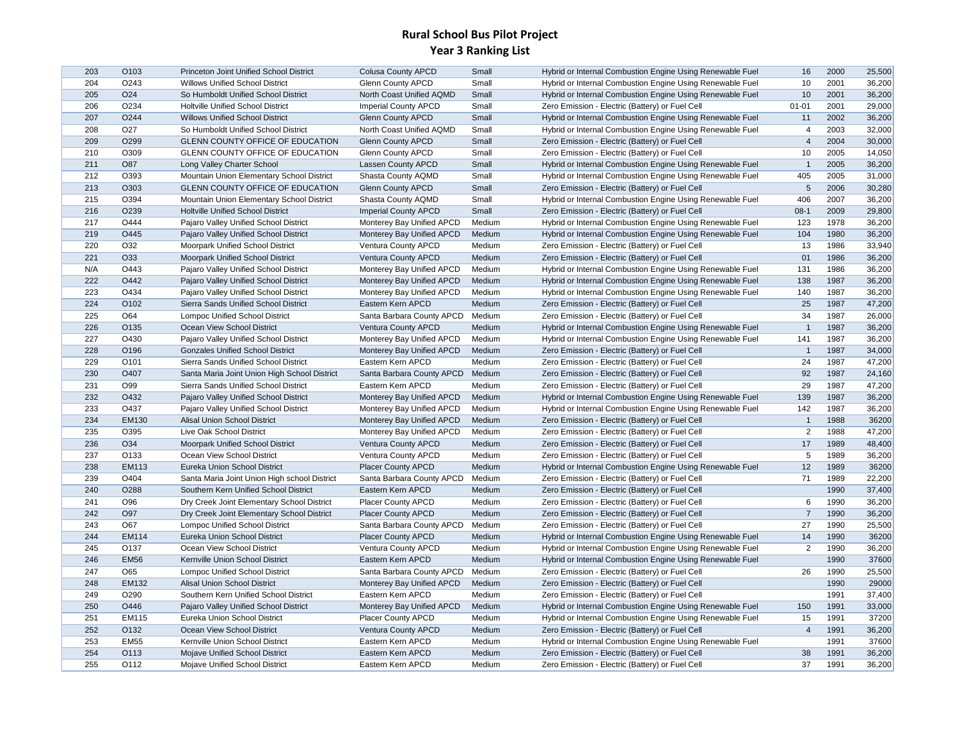| 203 | O <sub>103</sub> | Princeton Joint Unified School District      | <b>Colusa County APCD</b>   | Small  | Hybrid or Internal Combustion Engine Using Renewable Fuel | 16              | 2000 | 25,500 |
|-----|------------------|----------------------------------------------|-----------------------------|--------|-----------------------------------------------------------|-----------------|------|--------|
| 204 | O243             | <b>Willows Unified School District</b>       | <b>Glenn County APCD</b>    | Small  | Hybrid or Internal Combustion Engine Using Renewable Fuel | 10              | 2001 | 36,200 |
| 205 | O <sub>24</sub>  | So Humboldt Unified School District          | North Coast Unified AQMD    | Small  | Hybrid or Internal Combustion Engine Using Renewable Fuel | 10              | 2001 | 36,200 |
| 206 | O234             | Holtville Unified School District            | <b>Imperial County APCD</b> | Small  | Zero Emission - Electric (Battery) or Fuel Cell           | $01 - 01$       | 2001 | 29,000 |
| 207 | O <sub>244</sub> | <b>Willows Unified School District</b>       | <b>Glenn County APCD</b>    | Small  | Hybrid or Internal Combustion Engine Using Renewable Fuel | 11              | 2002 | 36,200 |
| 208 | O27              | So Humboldt Unified School District          | North Coast Unified AQMD    | Small  | Hybrid or Internal Combustion Engine Using Renewable Fuel | $\overline{4}$  | 2003 | 32,000 |
| 209 | O299             | GLENN COUNTY OFFICE OF EDUCATION             | <b>Glenn County APCD</b>    | Small  | Zero Emission - Electric (Battery) or Fuel Cell           | $\overline{4}$  | 2004 | 30,000 |
| 210 | O309             | <b>GLENN COUNTY OFFICE OF EDUCATION</b>      | <b>Glenn County APCD</b>    | Small  | Zero Emission - Electric (Battery) or Fuel Cell           | 10              | 2005 | 14,050 |
| 211 | O87              | Long Valley Charter School                   | Lassen County APCD          | Small  | Hybrid or Internal Combustion Engine Using Renewable Fuel | $\overline{1}$  | 2005 | 36,200 |
| 212 | O393             | Mountain Union Elementary School District    | Shasta County AQMD          | Small  | Hybrid or Internal Combustion Engine Using Renewable Fuel | 405             | 2005 | 31,000 |
| 213 | O303             | <b>GLENN COUNTY OFFICE OF EDUCATION</b>      | <b>Glenn County APCD</b>    | Small  | Zero Emission - Electric (Battery) or Fuel Cell           | $5\phantom{.0}$ | 2006 | 30,280 |
| 215 | O394             | Mountain Union Elementary School District    | Shasta County AQMD          | Small  | Hybrid or Internal Combustion Engine Using Renewable Fuel | 406             | 2007 | 36,200 |
| 216 | O <sub>239</sub> | <b>Holtville Unified School District</b>     | <b>Imperial County APCD</b> | Small  | Zero Emission - Electric (Battery) or Fuel Cell           | $08-1$          | 2009 | 29,800 |
| 217 | O444             | Pajaro Valley Unified School District        | Monterey Bay Unified APCD   | Medium | Hybrid or Internal Combustion Engine Using Renewable Fuel | 123             | 1978 | 36,200 |
| 219 | O445             | Pajaro Valley Unified School District        | Monterey Bay Unified APCD   | Medium | Hybrid or Internal Combustion Engine Using Renewable Fuel | 104             | 1980 | 36,200 |
| 220 | O32              | Moorpark Unified School District             | Ventura County APCD         | Medium | Zero Emission - Electric (Battery) or Fuel Cell           | 13              | 1986 | 33,940 |
| 221 | O33              | <b>Moorpark Unified School District</b>      | Ventura County APCD         | Medium | Zero Emission - Electric (Battery) or Fuel Cell           | 01              | 1986 | 36,200 |
| N/A | O443             | Pajaro Valley Unified School District        | Monterey Bay Unified APCD   | Medium | Hybrid or Internal Combustion Engine Using Renewable Fuel | 131             | 1986 | 36,200 |
| 222 | O442             | Pajaro Valley Unified School District        | Monterey Bay Unified APCD   | Medium | Hybrid or Internal Combustion Engine Using Renewable Fuel | 138             | 1987 | 36,200 |
| 223 | O434             | Pajaro Valley Unified School District        | Monterey Bay Unified APCD   | Medium | Hybrid or Internal Combustion Engine Using Renewable Fuel | 140             | 1987 | 36,200 |
| 224 | O102             | Sierra Sands Unified School District         | Eastern Kern APCD           | Medium | Zero Emission - Electric (Battery) or Fuel Cell           | 25              | 1987 | 47,200 |
| 225 | O64              | <b>Lompoc Unified School District</b>        | Santa Barbara County APCD   | Medium | Zero Emission - Electric (Battery) or Fuel Cell           | 34              | 1987 | 26,000 |
| 226 | O135             | Ocean View School District                   | Ventura County APCD         | Medium | Hybrid or Internal Combustion Engine Using Renewable Fuel | $\overline{1}$  | 1987 | 36,200 |
| 227 | O430             | Pajaro Valley Unified School District        | Monterey Bay Unified APCD   | Medium | Hybrid or Internal Combustion Engine Using Renewable Fuel | 141             | 1987 | 36,200 |
| 228 | O196             | <b>Gonzales Unified School District</b>      | Monterey Bay Unified APCD   | Medium | Zero Emission - Electric (Battery) or Fuel Cell           | $\overline{1}$  | 1987 | 34,000 |
| 229 | O <sub>101</sub> | Sierra Sands Unified School District         | Eastern Kern APCD           | Medium | Zero Emission - Electric (Battery) or Fuel Cell           | 24              | 1987 | 47,200 |
| 230 | O407             | Santa Maria Joint Union High School District | Santa Barbara County APCD   | Medium | Zero Emission - Electric (Battery) or Fuel Cell           | 92              | 1987 | 24,160 |
| 231 | O99              | Sierra Sands Unified School District         | Eastern Kern APCD           | Medium | Zero Emission - Electric (Battery) or Fuel Cell           | 29              | 1987 | 47,200 |
| 232 | O432             | Pajaro Valley Unified School District        | Monterey Bay Unified APCD   | Medium | Hybrid or Internal Combustion Engine Using Renewable Fuel | 139             | 1987 | 36,200 |
| 233 | O437             | Pajaro Valley Unified School District        | Monterey Bay Unified APCD   | Medium | Hybrid or Internal Combustion Engine Using Renewable Fuel | 142             | 1987 | 36,200 |
| 234 | <b>EM130</b>     | Alisal Union School District                 | Monterey Bay Unified APCD   | Medium | Zero Emission - Electric (Battery) or Fuel Cell           | $\overline{1}$  | 1988 | 36200  |
| 235 | O395             | Live Oak School District                     | Monterey Bay Unified APCD   | Medium | Zero Emission - Electric (Battery) or Fuel Cell           | $\overline{2}$  | 1988 | 47,200 |
| 236 | O34              | Moorpark Unified School District             | Ventura County APCD         | Medium | Zero Emission - Electric (Battery) or Fuel Cell           | 17              | 1989 | 48,400 |
| 237 | O133             | Ocean View School District                   | Ventura County APCD         | Medium | Zero Emission - Electric (Battery) or Fuel Cell           | $5\phantom{.0}$ | 1989 | 36,200 |
| 238 | EM113            | Eureka Union School District                 | <b>Placer County APCD</b>   | Medium | Hybrid or Internal Combustion Engine Using Renewable Fuel | 12              | 1989 | 36200  |
| 239 | O404             | Santa Maria Joint Union High school District | Santa Barbara County APCD   | Medium | Zero Emission - Electric (Battery) or Fuel Cell           | 71              | 1989 | 22,200 |
| 240 | O288             | Southern Kern Unified School District        | Eastern Kern APCD           | Medium | Zero Emission - Electric (Battery) or Fuel Cell           |                 | 1990 | 37,400 |
| 241 | O96              | Dry Creek Joint Elementary School District   | <b>Placer County APCD</b>   | Medium | Zero Emission - Electric (Battery) or Fuel Cell           | 6               | 1990 | 36,200 |
| 242 | O97              | Dry Creek Joint Elementary School District   | <b>Placer County APCD</b>   | Medium | Zero Emission - Electric (Battery) or Fuel Cell           | $\overline{7}$  | 1990 | 36,200 |
| 243 | O67              | <b>Lompoc Unified School District</b>        | Santa Barbara County APCD   | Medium | Zero Emission - Electric (Battery) or Fuel Cell           | 27              | 1990 | 25,500 |
| 244 | EM114            | Eureka Union School District                 | <b>Placer County APCD</b>   | Medium | Hybrid or Internal Combustion Engine Using Renewable Fuel | 14              | 1990 | 36200  |
| 245 | O137             | Ocean View School District                   | Ventura County APCD         | Medium | Hybrid or Internal Combustion Engine Using Renewable Fuel | $\overline{2}$  | 1990 | 36,200 |
| 246 | <b>EM56</b>      | Kernville Union School District              | Eastern Kern APCD           | Medium | Hybrid or Internal Combustion Engine Using Renewable Fuel |                 | 1990 | 37600  |
| 247 | O65              | <b>Lompoc Unified School District</b>        | Santa Barbara County APCD   | Medium | Zero Emission - Electric (Battery) or Fuel Cell           | 26              | 1990 | 25,500 |
| 248 | EM132            | <b>Alisal Union School District</b>          | Monterey Bay Unified APCD   | Medium | Zero Emission - Electric (Battery) or Fuel Cell           |                 | 1990 | 29000  |
| 249 | O290             | Southern Kern Unified School District        | Eastern Kern APCD           | Medium | Zero Emission - Electric (Battery) or Fuel Cell           |                 | 1991 | 37,400 |
| 250 | O446             | Pajaro Valley Unified School District        | Monterey Bay Unified APCD   | Medium | Hybrid or Internal Combustion Engine Using Renewable Fuel | 150             | 1991 | 33,000 |
| 251 | EM115            | Eureka Union School District                 | <b>Placer County APCD</b>   | Medium | Hybrid or Internal Combustion Engine Using Renewable Fuel | 15              | 1991 | 37200  |
| 252 | O132             | Ocean View School District                   | Ventura County APCD         | Medium | Zero Emission - Electric (Battery) or Fuel Cell           | $\overline{4}$  | 1991 | 36,200 |
| 253 | <b>EM55</b>      | Kernville Union School District              | Eastern Kern APCD           | Medium | Hybrid or Internal Combustion Engine Using Renewable Fuel |                 | 1991 | 37600  |
| 254 | O113             | Mojave Unified School District               | Eastern Kern APCD           | Medium | Zero Emission - Electric (Battery) or Fuel Cell           | 38              | 1991 | 36,200 |
| 255 | O112             | Mojave Unified School District               | Eastern Kern APCD           | Medium | Zero Emission - Electric (Battery) or Fuel Cell           | 37              | 1991 | 36,200 |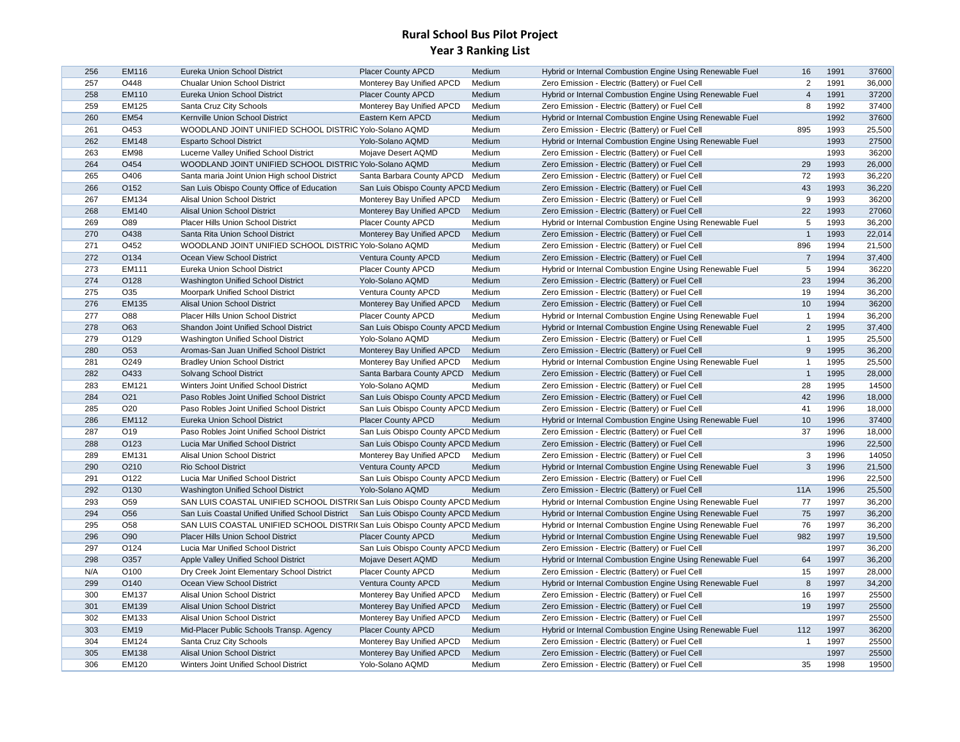| 256 | <b>EM116</b>     | Eureka Union School District                                              | <b>Placer County APCD</b>                              | Medium | Hybrid or Internal Combustion Engine Using Renewable Fuel | 16             | 1991 | 37600  |
|-----|------------------|---------------------------------------------------------------------------|--------------------------------------------------------|--------|-----------------------------------------------------------|----------------|------|--------|
| 257 | O448             | <b>Chualar Union School District</b>                                      | Monterey Bay Unified APCD                              | Medium | Zero Emission - Electric (Battery) or Fuel Cell           | $\overline{c}$ | 1991 | 36,000 |
| 258 | EM110            | Eureka Union School District                                              | <b>Placer County APCD</b>                              | Medium | Hybrid or Internal Combustion Engine Using Renewable Fuel | $\overline{4}$ | 1991 | 37200  |
| 259 | <b>EM125</b>     | Santa Cruz City Schools                                                   | Monterey Bay Unified APCD                              | Medium | Zero Emission - Electric (Battery) or Fuel Cell           | 8              | 1992 | 37400  |
| 260 | <b>EM54</b>      | Kernville Union School District                                           | Eastern Kern APCD                                      | Medium | Hybrid or Internal Combustion Engine Using Renewable Fuel |                | 1992 | 37600  |
| 261 | O453             | WOODLAND JOINT UNIFIED SCHOOL DISTRIC Yolo-Solano AQMD                    |                                                        | Medium | Zero Emission - Electric (Battery) or Fuel Cell           | 895            | 1993 | 25,500 |
| 262 | <b>EM148</b>     | <b>Esparto School District</b>                                            | Yolo-Solano AQMD                                       | Medium | Hybrid or Internal Combustion Engine Using Renewable Fuel |                | 1993 | 27500  |
| 263 | EM98             | Lucerne Valley Unified School District                                    | Mojave Desert AQMD                                     | Medium | Zero Emission - Electric (Battery) or Fuel Cell           |                | 1993 | 36200  |
| 264 | O454             | WOODLAND JOINT UNIFIED SCHOOL DISTRIC Yolo-Solano AQMD                    |                                                        | Medium | Zero Emission - Electric (Battery) or Fuel Cell           | 29             | 1993 | 26,000 |
| 265 | O406             | Santa maria Joint Union High school District                              | Santa Barbara County APCD                              | Medium | Zero Emission - Electric (Battery) or Fuel Cell           | 72             | 1993 | 36,220 |
| 266 | O152             | San Luis Obispo County Office of Education                                | San Luis Obispo County APCD Medium                     |        | Zero Emission - Electric (Battery) or Fuel Cell           | 43             | 1993 | 36,220 |
| 267 | EM134            | Alisal Union School District                                              | Monterey Bay Unified APCD                              | Medium | Zero Emission - Electric (Battery) or Fuel Cell           | 9              | 1993 | 36200  |
| 268 | <b>EM140</b>     | <b>Alisal Union School District</b>                                       | Monterey Bay Unified APCD                              | Medium | Zero Emission - Electric (Battery) or Fuel Cell           | 22             | 1993 | 27060  |
| 269 | O89              | Placer Hills Union School District                                        | <b>Placer County APCD</b>                              | Medium | Hybrid or Internal Combustion Engine Using Renewable Fuel | 5              | 1993 | 36,200 |
| 270 | O438             | Santa Rita Union School District                                          | Monterey Bay Unified APCD                              | Medium | Zero Emission - Electric (Battery) or Fuel Cell           | $\overline{1}$ | 1993 | 22,014 |
| 271 | O452             | WOODLAND JOINT UNIFIED SCHOOL DISTRIC Yolo-Solano AQMD                    |                                                        | Medium | Zero Emission - Electric (Battery) or Fuel Cell           | 896            | 1994 | 21,500 |
| 272 | O134             | Ocean View School District                                                | Ventura County APCD                                    | Medium | Zero Emission - Electric (Battery) or Fuel Cell           | $\overline{7}$ | 1994 | 37,400 |
| 273 | EM111            | Eureka Union School District                                              | <b>Placer County APCD</b>                              | Medium | Hybrid or Internal Combustion Engine Using Renewable Fuel | 5              | 1994 | 36220  |
| 274 | O128             | Washington Unified School District                                        | Yolo-Solano AQMD                                       | Medium | Zero Emission - Electric (Battery) or Fuel Cell           | 23             | 1994 | 36,200 |
| 275 | O35              | Moorpark Unified School District                                          | Ventura County APCD                                    | Medium | Zero Emission - Electric (Battery) or Fuel Cell           | 19             | 1994 | 36,200 |
| 276 | <b>EM135</b>     | Alisal Union School District                                              | Monterey Bay Unified APCD                              | Medium | Zero Emission - Electric (Battery) or Fuel Cell           | 10             | 1994 | 36200  |
| 277 | O88              | Placer Hills Union School District                                        | Placer County APCD                                     | Medium | Hybrid or Internal Combustion Engine Using Renewable Fuel | $\mathbf{1}$   | 1994 | 36,200 |
| 278 | O63              | Shandon Joint Unified School District                                     | San Luis Obispo County APCD Medium                     |        | Hybrid or Internal Combustion Engine Using Renewable Fuel | $\overline{2}$ | 1995 | 37,400 |
| 279 | O129             | Washington Unified School District                                        | Yolo-Solano AQMD                                       | Medium | Zero Emission - Electric (Battery) or Fuel Cell           | $\overline{1}$ | 1995 | 25,500 |
| 280 | O <sub>53</sub>  | Aromas-San Juan Unified School District                                   | Monterey Bay Unified APCD                              | Medium | Zero Emission - Electric (Battery) or Fuel Cell           | 9              | 1995 | 36,200 |
| 281 | O249             | <b>Bradley Union School District</b>                                      | Monterey Bay Unified APCD                              | Medium | Hybrid or Internal Combustion Engine Using Renewable Fuel | $\mathbf{1}$   | 1995 | 25,500 |
| 282 | O433             | Solvang School District                                                   | Santa Barbara County APCD                              | Medium | Zero Emission - Electric (Battery) or Fuel Cell           | $\mathbf{1}$   | 1995 | 28,000 |
| 283 | EM121            | Winters Joint Unified School District                                     | Yolo-Solano AQMD                                       | Medium | Zero Emission - Electric (Battery) or Fuel Cell           | 28             | 1995 | 14500  |
| 284 | O <sub>21</sub>  | Paso Robles Joint Unified School District                                 | San Luis Obispo County APCD Medium                     |        | Zero Emission - Electric (Battery) or Fuel Cell           | 42             | 1996 | 18,000 |
| 285 | O20              | Paso Robles Joint Unified School District                                 | San Luis Obispo County APCD Medium                     |        | Zero Emission - Electric (Battery) or Fuel Cell           | 41             | 1996 | 18,000 |
| 286 | EM112            | Eureka Union School District                                              | <b>Placer County APCD</b>                              | Medium | Hybrid or Internal Combustion Engine Using Renewable Fuel | 10             | 1996 | 37400  |
| 287 | O19              | Paso Robles Joint Unified School District                                 | San Luis Obispo County APCD Medium                     |        | Zero Emission - Electric (Battery) or Fuel Cell           | 37             | 1996 | 18,000 |
| 288 | O123             | Lucia Mar Unified School District                                         | San Luis Obispo County APCD Medium                     |        | Zero Emission - Electric (Battery) or Fuel Cell           |                | 1996 | 22,500 |
| 289 | EM131            | Alisal Union School District                                              | Monterey Bay Unified APCD                              | Medium | Zero Emission - Electric (Battery) or Fuel Cell           | 3              | 1996 | 14050  |
| 290 | O210             | <b>Rio School District</b>                                                | Ventura County APCD                                    | Medium | Hybrid or Internal Combustion Engine Using Renewable Fuel | $\mathbf{3}$   | 1996 | 21,500 |
| 291 | O122             | Lucia Mar Unified School District                                         | San Luis Obispo County APCD Medium                     |        | Zero Emission - Electric (Battery) or Fuel Cell           |                | 1996 | 22,500 |
| 292 | O130             | Washington Unified School District                                        | Yolo-Solano AQMD                                       | Medium | Zero Emission - Electric (Battery) or Fuel Cell           | <b>11A</b>     | 1996 | 25,500 |
| 293 | O <sub>59</sub>  | SAN LUIS COASTAL UNIFIED SCHOOL DISTRI(San Luis Obispo County APCD Medium |                                                        |        | Hybrid or Internal Combustion Engine Using Renewable Fuel | 77             | 1997 | 36,200 |
| 294 | O <sub>56</sub>  | San Luis Coastal Unified Unified School District                          | San Luis Obispo County APCD Medium                     |        | Hybrid or Internal Combustion Engine Using Renewable Fuel | 75             | 1997 | 36,200 |
| 295 | O <sub>58</sub>  | SAN LUIS COASTAL UNIFIED SCHOOL DISTRI(San Luis Obispo County APCD Medium |                                                        |        | Hybrid or Internal Combustion Engine Using Renewable Fuel | 76             | 1997 | 36,200 |
| 296 | O90              | <b>Placer Hills Union School District</b>                                 | <b>Placer County APCD</b>                              | Medium | Hybrid or Internal Combustion Engine Using Renewable Fuel | 982            | 1997 | 19,500 |
| 297 | O124             | Lucia Mar Unified School District                                         | San Luis Obispo County APCD Medium                     |        | Zero Emission - Electric (Battery) or Fuel Cell           |                | 1997 | 36,200 |
| 298 | O357             | Apple Valley Unified School District                                      | Mojave Desert AQMD                                     | Medium | Hybrid or Internal Combustion Engine Using Renewable Fuel | 64             | 1997 | 36,200 |
| N/A | O100             | Dry Creek Joint Elementary School District                                | Placer County APCD                                     | Medium | Zero Emission - Electric (Battery) or Fuel Cell           | 15             | 1997 | 28,000 |
| 299 | O <sub>140</sub> | Ocean View School District                                                | Ventura County APCD                                    | Medium | Hybrid or Internal Combustion Engine Using Renewable Fuel | 8              | 1997 | 34,200 |
| 300 | <b>EM137</b>     | Alisal Union School District                                              | Monterey Bay Unified APCD                              | Medium | Zero Emission - Electric (Battery) or Fuel Cell           | 16             | 1997 | 25500  |
| 301 | EM139            | Alisal Union School District                                              | Monterey Bay Unified APCD                              | Medium | Zero Emission - Electric (Battery) or Fuel Cell           | 19             | 1997 | 25500  |
| 302 | EM133            | Alisal Union School District                                              |                                                        | Medium | Zero Emission - Electric (Battery) or Fuel Cell           |                | 1997 | 25500  |
| 303 | <b>EM19</b>      | Mid-Placer Public Schools Transp. Agency                                  | Monterey Bay Unified APCD<br><b>Placer County APCD</b> | Medium | Hybrid or Internal Combustion Engine Using Renewable Fuel | 112            | 1997 | 36200  |
| 304 | EM124            | Santa Cruz City Schools                                                   | Monterey Bay Unified APCD                              | Medium | Zero Emission - Electric (Battery) or Fuel Cell           | $\overline{1}$ | 1997 | 25500  |
|     |                  |                                                                           |                                                        |        |                                                           |                | 1997 |        |
| 305 | <b>EM138</b>     | Alisal Union School District                                              | Monterey Bay Unified APCD                              | Medium | Zero Emission - Electric (Battery) or Fuel Cell           |                | 1998 | 25500  |
| 306 | <b>EM120</b>     | Winters Joint Unified School District                                     | Yolo-Solano AQMD                                       | Medium | Zero Emission - Electric (Battery) or Fuel Cell           | 35             |      | 19500  |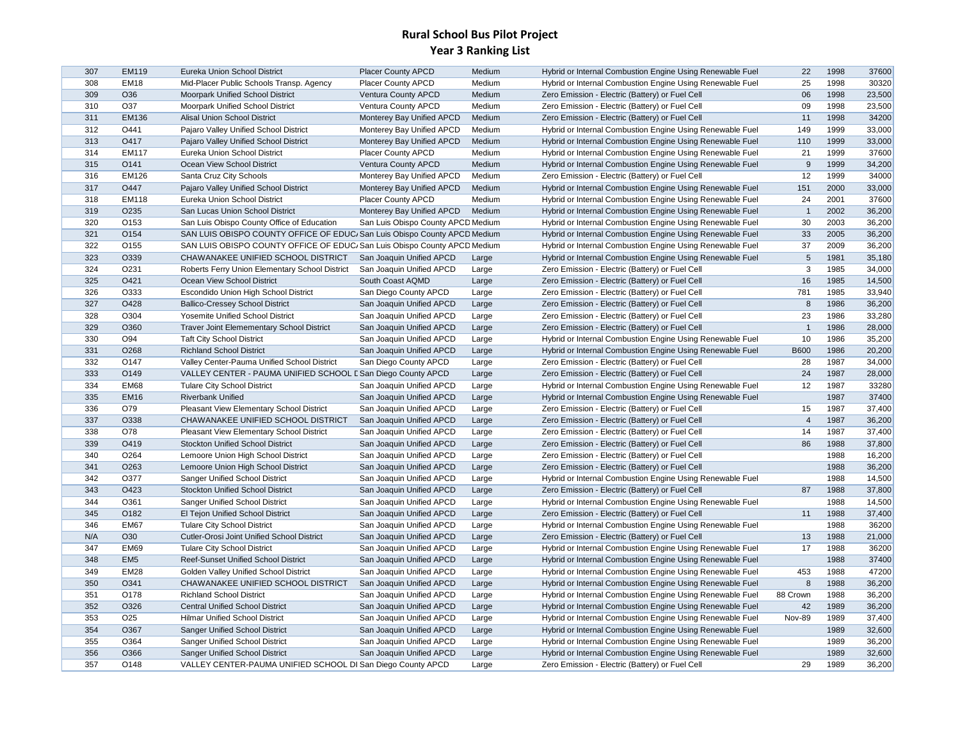| 307 | <b>EM119</b>     | Eureka Union School District                                              | <b>Placer County APCD</b>          | Medium | Hybrid or Internal Combustion Engine Using Renewable Fuel | 22             | 1998 | 37600  |
|-----|------------------|---------------------------------------------------------------------------|------------------------------------|--------|-----------------------------------------------------------|----------------|------|--------|
| 308 | <b>EM18</b>      | Mid-Placer Public Schools Transp. Agency                                  | <b>Placer County APCD</b>          | Medium | Hybrid or Internal Combustion Engine Using Renewable Fuel | 25             | 1998 | 30320  |
| 309 | O36              | Moorpark Unified School District                                          | Ventura County APCD                | Medium | Zero Emission - Electric (Battery) or Fuel Cell           | 06             | 1998 | 23,500 |
| 310 | O37              | Moorpark Unified School District                                          | Ventura County APCD                | Medium | Zero Emission - Electric (Battery) or Fuel Cell           | 09             | 1998 | 23,500 |
| 311 | EM136            | Alisal Union School District                                              | Monterey Bay Unified APCD          | Medium | Zero Emission - Electric (Battery) or Fuel Cell           | 11             | 1998 | 34200  |
| 312 | O441             | Pajaro Valley Unified School District                                     | Monterey Bay Unified APCD          | Medium | Hybrid or Internal Combustion Engine Using Renewable Fuel | 149            | 1999 | 33,000 |
|     |                  |                                                                           |                                    |        |                                                           |                |      |        |
| 313 | O417             | Pajaro Valley Unified School District                                     | Monterey Bay Unified APCD          | Medium | Hybrid or Internal Combustion Engine Using Renewable Fuel | 110            | 1999 | 33,000 |
| 314 | EM117            | Eureka Union School District                                              | <b>Placer County APCD</b>          | Medium | Hybrid or Internal Combustion Engine Using Renewable Fuel | 21             | 1999 | 37600  |
| 315 | O141             | Ocean View School District                                                | Ventura County APCD                | Medium | Hybrid or Internal Combustion Engine Using Renewable Fuel | 9              | 1999 | 34,200 |
| 316 | EM126            | Santa Cruz City Schools                                                   | Monterey Bay Unified APCD          | Medium | Zero Emission - Electric (Battery) or Fuel Cell           | 12             | 1999 | 34000  |
| 317 | O447             | Pajaro Valley Unified School District                                     | Monterey Bay Unified APCD          | Medium | Hybrid or Internal Combustion Engine Using Renewable Fuel | 151            | 2000 | 33,000 |
| 318 | <b>EM118</b>     | Eureka Union School District                                              | <b>Placer County APCD</b>          | Medium | Hybrid or Internal Combustion Engine Using Renewable Fuel | 24             | 2001 | 37600  |
| 319 | O235             | San Lucas Union School District                                           | Monterey Bay Unified APCD          | Medium | Hybrid or Internal Combustion Engine Using Renewable Fuel | $\overline{1}$ | 2002 | 36,200 |
| 320 | O153             | San Luis Obispo County Office of Education                                | San Luis Obispo County APCD Medium |        | Hybrid or Internal Combustion Engine Using Renewable Fuel | 30             | 2003 | 36,200 |
| 321 | O154             | SAN LUIS OBISPO COUNTY OFFICE OF EDUC/San Luis Obispo County APCD Medium  |                                    |        | Hybrid or Internal Combustion Engine Using Renewable Fuel | 33             | 2005 | 36,200 |
| 322 | O155             | SAN LUIS OBISPO COUNTY OFFICE OF EDUC/ San Luis Obispo County APCD Medium |                                    |        | Hybrid or Internal Combustion Engine Using Renewable Fuel | 37             | 2009 | 36,200 |
| 323 | O339             | CHAWANAKEE UNIFIED SCHOOL DISTRICT                                        | San Joaquin Unified APCD           | Large  | Hybrid or Internal Combustion Engine Using Renewable Fuel | $\sqrt{5}$     | 1981 | 35,180 |
| 324 | O231             | Roberts Ferry Union Elementary School District                            | San Joaquin Unified APCD           | Large  | Zero Emission - Electric (Battery) or Fuel Cell           | 3              | 1985 | 34,000 |
| 325 | O421             | Ocean View School District                                                | South Coast AQMD                   | Large  | Zero Emission - Electric (Battery) or Fuel Cell           | 16             | 1985 | 14,500 |
| 326 | O333             | Escondido Union High School District                                      | San Diego County APCD              | Large  | Zero Emission - Electric (Battery) or Fuel Cell           | 781            | 1985 | 33,940 |
| 327 | O428             | <b>Ballico-Cressey School District</b>                                    | San Joaquin Unified APCD           | Large  | Zero Emission - Electric (Battery) or Fuel Cell           | 8              | 1986 | 36,200 |
| 328 | O304             | Yosemite Unified School District                                          | San Joaquin Unified APCD           | Large  | Zero Emission - Electric (Battery) or Fuel Cell           | 23             | 1986 | 33,280 |
| 329 | O360             | Traver Joint Elemementary School District                                 | San Joaquin Unified APCD           | Large  | Zero Emission - Electric (Battery) or Fuel Cell           | $\overline{1}$ | 1986 | 28,000 |
| 330 | O94              | <b>Taft City School District</b>                                          |                                    |        | Hybrid or Internal Combustion Engine Using Renewable Fuel | 10             | 1986 | 35,200 |
|     |                  | <b>Richland School District</b>                                           | San Joaquin Unified APCD           | Large  |                                                           |                |      |        |
| 331 | O268             |                                                                           | San Joaquin Unified APCD           | Large  | Hybrid or Internal Combustion Engine Using Renewable Fuel | <b>B600</b>    | 1986 | 20,200 |
| 332 | O147             | Valley Center-Pauma Unified School District                               | San Diego County APCD              | Large  | Zero Emission - Electric (Battery) or Fuel Cell           | 28             | 1987 | 34,000 |
| 333 | O149             | VALLEY CENTER - PAUMA UNIFIED SCHOOL E San Diego County APCD              |                                    | Large  | Zero Emission - Electric (Battery) or Fuel Cell           | 24             | 1987 | 28,000 |
| 334 | <b>EM68</b>      | <b>Tulare City School District</b>                                        | San Joaquin Unified APCD           | Large  | Hybrid or Internal Combustion Engine Using Renewable Fuel | 12             | 1987 | 33280  |
| 335 | <b>EM16</b>      | <b>Riverbank Unified</b>                                                  | San Joaquin Unified APCD           | Large  | Hybrid or Internal Combustion Engine Using Renewable Fuel |                | 1987 | 37400  |
| 336 | O79              | Pleasant View Elementary School District                                  | San Joaquin Unified APCD           | Large  | Zero Emission - Electric (Battery) or Fuel Cell           | 15             | 1987 | 37,400 |
| 337 | O338             | CHAWANAKEE UNIFIED SCHOOL DISTRICT                                        | San Joaquin Unified APCD           | Large  | Zero Emission - Electric (Battery) or Fuel Cell           | $\overline{4}$ | 1987 | 36,200 |
| 338 | O78              | Pleasant View Elementary School District                                  | San Joaquin Unified APCD           | Large  | Zero Emission - Electric (Battery) or Fuel Cell           | 14             | 1987 | 37,400 |
| 339 | O419             | <b>Stockton Unified School District</b>                                   | San Joaquin Unified APCD           | Large  | Zero Emission - Electric (Battery) or Fuel Cell           | 86             | 1988 | 37,800 |
| 340 | O264             | Lemoore Union High School District                                        | San Joaquin Unified APCD           | Large  | Zero Emission - Electric (Battery) or Fuel Cell           |                | 1988 | 16,200 |
| 341 | O <sub>263</sub> | Lemoore Union High School District                                        | San Joaquin Unified APCD           | Large  | Zero Emission - Electric (Battery) or Fuel Cell           |                | 1988 | 36,200 |
| 342 | O377             | Sanger Unified School District                                            | San Joaquin Unified APCD           | Large  | Hybrid or Internal Combustion Engine Using Renewable Fuel |                | 1988 | 14,500 |
| 343 | O423             | <b>Stockton Unified School District</b>                                   | San Joaquin Unified APCD           | Large  | Zero Emission - Electric (Battery) or Fuel Cell           | 87             | 1988 | 37,800 |
| 344 | O361             | Sanger Unified School District                                            | San Joaquin Unified APCD           | Large  | Hybrid or Internal Combustion Engine Using Renewable Fuel |                | 1988 | 14,500 |
| 345 | O182             | <b>El Tejon Unified School District</b>                                   | San Joaquin Unified APCD           | Large  | Zero Emission - Electric (Battery) or Fuel Cell           | 11             | 1988 | 37,400 |
| 346 | <b>EM67</b>      | <b>Tulare City School District</b>                                        | San Joaquin Unified APCD           | Large  | Hybrid or Internal Combustion Engine Using Renewable Fuel |                | 1988 | 36200  |
| N/A | O30              | Cutler-Orosi Joint Unified School District                                | San Joaquin Unified APCD           | Large  | Zero Emission - Electric (Battery) or Fuel Cell           | 13             | 1988 | 21,000 |
| 347 | <b>EM69</b>      | <b>Tulare City School District</b>                                        | San Joaquin Unified APCD           | Large  | Hybrid or Internal Combustion Engine Using Renewable Fuel | 17             | 1988 | 36200  |
| 348 | EM <sub>5</sub>  | Reef-Sunset Unified School District                                       | San Joaquin Unified APCD           | Large  | Hybrid or Internal Combustion Engine Using Renewable Fuel |                | 1988 | 37400  |
| 349 | <b>EM28</b>      | Golden Valley Unified School District                                     | San Joaquin Unified APCD           | Large  | Hybrid or Internal Combustion Engine Using Renewable Fuel | 453            | 1988 | 47200  |
| 350 | O341             | CHAWANAKEE UNIFIED SCHOOL DISTRICT                                        | San Joaquin Unified APCD           | Large  | Hybrid or Internal Combustion Engine Using Renewable Fuel | 8              | 1988 | 36,200 |
| 351 | O178             | <b>Richland School District</b>                                           | San Joaquin Unified APCD           | Large  | Hybrid or Internal Combustion Engine Using Renewable Fuel | 88 Crown       | 1988 | 36,200 |
| 352 | O326             |                                                                           |                                    |        |                                                           | 42             | 1989 | 36,200 |
|     |                  | <b>Central Unified School District</b>                                    | San Joaquin Unified APCD           | Large  | Hybrid or Internal Combustion Engine Using Renewable Fuel |                |      |        |
| 353 | O <sub>25</sub>  | <b>Hilmar Unified School District</b>                                     | San Joaquin Unified APCD           | Large  | Hybrid or Internal Combustion Engine Using Renewable Fuel | Nov-89         | 1989 | 37,400 |
| 354 | O367             | Sanger Unified School District                                            | San Joaquin Unified APCD           | Large  | Hybrid or Internal Combustion Engine Using Renewable Fuel |                | 1989 | 32,600 |
| 355 | O364             | Sanger Unified School District                                            | San Joaquin Unified APCD           | Large  | Hybrid or Internal Combustion Engine Using Renewable Fuel |                | 1989 | 36,200 |
| 356 | O366             | Sanger Unified School District                                            | San Joaquin Unified APCD           | Large  | Hybrid or Internal Combustion Engine Using Renewable Fuel |                | 1989 | 32,600 |
| 357 | O148             | VALLEY CENTER-PAUMA UNIFIED SCHOOL DI San Diego County APCD               |                                    | Large  | Zero Emission - Electric (Battery) or Fuel Cell           | 29             | 1989 | 36,200 |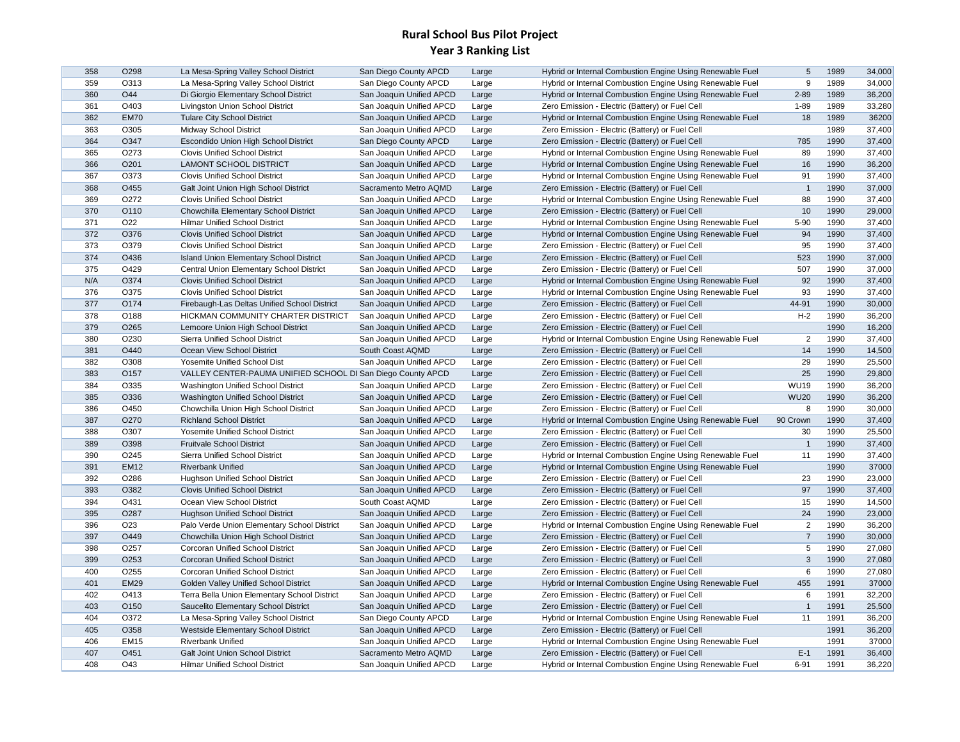| 358 | O298             | La Mesa-Spring Valley School District                       | San Diego County APCD    | Large | Hybrid or Internal Combustion Engine Using Renewable Fuel | 5              | 1989 | 34,000 |
|-----|------------------|-------------------------------------------------------------|--------------------------|-------|-----------------------------------------------------------|----------------|------|--------|
| 359 | O313             | La Mesa-Spring Valley School District                       | San Diego County APCD    | Large | Hybrid or Internal Combustion Engine Using Renewable Fuel | 9              | 1989 | 34,000 |
| 360 | O44              | Di Giorgio Elementary School District                       | San Joaquin Unified APCD | Large | Hybrid or Internal Combustion Engine Using Renewable Fuel | $2 - 89$       | 1989 | 36,200 |
| 361 | O403             | Livingston Union School District                            | San Joaquin Unified APCD | Large | Zero Emission - Electric (Battery) or Fuel Cell           | $1 - 89$       | 1989 | 33,280 |
| 362 | <b>EM70</b>      | <b>Tulare City School District</b>                          | San Joaquin Unified APCD | Large | Hybrid or Internal Combustion Engine Using Renewable Fuel | 18             | 1989 | 36200  |
| 363 | O305             | Midway School District                                      | San Joaquin Unified APCD | Large | Zero Emission - Electric (Battery) or Fuel Cell           |                | 1989 | 37,400 |
| 364 | O347             | Escondido Union High School District                        | San Diego County APCD    | Large | Zero Emission - Electric (Battery) or Fuel Cell           | 785            | 1990 | 37,400 |
| 365 | O273             | <b>Clovis Unified School District</b>                       | San Joaquin Unified APCD | Large | Hybrid or Internal Combustion Engine Using Renewable Fuel | 89             | 1990 | 37,400 |
| 366 | O201             | <b>LAMONT SCHOOL DISTRICT</b>                               | San Joaquin Unified APCD | Large | Hybrid or Internal Combustion Engine Using Renewable Fuel | 16             | 1990 | 36,200 |
| 367 | O373             | <b>Clovis Unified School District</b>                       | San Joaquin Unified APCD | Large | Hybrid or Internal Combustion Engine Using Renewable Fuel | 91             | 1990 | 37,400 |
| 368 | O455             | Galt Joint Union High School District                       | Sacramento Metro AQMD    | Large | Zero Emission - Electric (Battery) or Fuel Cell           | $\overline{1}$ | 1990 | 37,000 |
| 369 | O272             | <b>Clovis Unified School District</b>                       | San Joaquin Unified APCD | Large | Hybrid or Internal Combustion Engine Using Renewable Fuel | 88             | 1990 | 37,400 |
| 370 | O110             | Chowchilla Elementary School District                       | San Joaquin Unified APCD | Large | Zero Emission - Electric (Battery) or Fuel Cell           | 10             | 1990 | 29,000 |
| 371 | O22              | <b>Hilmar Unified School District</b>                       | San Joaquin Unified APCD | Large | Hybrid or Internal Combustion Engine Using Renewable Fuel | 5-90           | 1990 | 37,400 |
| 372 | O376             | <b>Clovis Unified School District</b>                       | San Joaquin Unified APCD | Large | Hybrid or Internal Combustion Engine Using Renewable Fuel | 94             | 1990 | 37,400 |
| 373 | O379             | <b>Clovis Unified School District</b>                       | San Joaquin Unified APCD | Large | Zero Emission - Electric (Battery) or Fuel Cell           | 95             | 1990 | 37,400 |
| 374 | O436             | <b>Island Union Elementary School District</b>              | San Joaquin Unified APCD | Large | Zero Emission - Electric (Battery) or Fuel Cell           | 523            | 1990 | 37,000 |
| 375 | O429             | Central Union Elementary School District                    | San Joaquin Unified APCD | Large | Zero Emission - Electric (Battery) or Fuel Cell           | 507            | 1990 | 37,000 |
| N/A | O374             | <b>Clovis Unified School District</b>                       | San Joaquin Unified APCD | Large | Hybrid or Internal Combustion Engine Using Renewable Fuel | 92             | 1990 | 37,400 |
| 376 | O375             | <b>Clovis Unified School District</b>                       | San Joaquin Unified APCD | Large | Hybrid or Internal Combustion Engine Using Renewable Fuel | 93             | 1990 | 37,400 |
| 377 | O174             | Firebaugh-Las Deltas Unified School District                | San Joaquin Unified APCD | Large | Zero Emission - Electric (Battery) or Fuel Cell           | 44-91          | 1990 | 30,000 |
| 378 | O188             | HICKMAN COMMUNITY CHARTER DISTRICT                          | San Joaquin Unified APCD | Large | Zero Emission - Electric (Battery) or Fuel Cell           | $H-2$          | 1990 | 36,200 |
| 379 | O <sub>265</sub> | Lemoore Union High School District                          | San Joaquin Unified APCD | Large | Zero Emission - Electric (Battery) or Fuel Cell           |                | 1990 | 16,200 |
| 380 | O230             | Sierra Unified School District                              | San Joaquin Unified APCD | Large | Hybrid or Internal Combustion Engine Using Renewable Fuel | $\overline{2}$ | 1990 | 37,400 |
| 381 | O440             | Ocean View School District                                  | South Coast AQMD         | Large | Zero Emission - Electric (Battery) or Fuel Cell           | 14             | 1990 | 14,500 |
| 382 | O308             | Yosemite Unified School Dist                                | San Joaquin Unified APCD | Large | Zero Emission - Electric (Battery) or Fuel Cell           | 29             | 1990 | 25,500 |
| 383 | O157             | VALLEY CENTER-PAUMA UNIFIED SCHOOL DI San Diego County APCD |                          | Large | Zero Emission - Electric (Battery) or Fuel Cell           | 25             | 1990 | 29,800 |
| 384 | O335             | Washington Unified School District                          | San Joaquin Unified APCD | Large | Zero Emission - Electric (Battery) or Fuel Cell           | <b>WU19</b>    | 1990 | 36,200 |
| 385 | O336             | Washington Unified School District                          | San Joaquin Unified APCD | Large | Zero Emission - Electric (Battery) or Fuel Cell           | <b>WU20</b>    | 1990 | 36,200 |
| 386 | O450             | Chowchilla Union High School District                       | San Joaquin Unified APCD | Large | Zero Emission - Electric (Battery) or Fuel Cell           | 8              | 1990 | 30,000 |
| 387 | O270             | <b>Richland School District</b>                             | San Joaquin Unified APCD | Large | Hybrid or Internal Combustion Engine Using Renewable Fuel | 90 Crown       | 1990 | 37,400 |
| 388 | O307             | Yosemite Unified School District                            | San Joaquin Unified APCD | Large | Zero Emission - Electric (Battery) or Fuel Cell           | 30             | 1990 | 25,500 |
| 389 | O398             | <b>Fruitvale School District</b>                            | San Joaquin Unified APCD | Large | Zero Emission - Electric (Battery) or Fuel Cell           | $\overline{1}$ | 1990 | 37,400 |
| 390 | O <sub>245</sub> | Sierra Unified School District                              | San Joaquin Unified APCD | Large | Hybrid or Internal Combustion Engine Using Renewable Fuel | 11             | 1990 | 37,400 |
| 391 | <b>EM12</b>      | <b>Riverbank Unified</b>                                    | San Joaquin Unified APCD | Large | Hybrid or Internal Combustion Engine Using Renewable Fuel |                | 1990 | 37000  |
| 392 | O286             | <b>Hughson Unified School District</b>                      | San Joaquin Unified APCD | Large | Zero Emission - Electric (Battery) or Fuel Cell           | 23             | 1990 | 23,000 |
| 393 | O382             | <b>Clovis Unified School District</b>                       | San Joaquin Unified APCD | Large | Zero Emission - Electric (Battery) or Fuel Cell           | 97             | 1990 | 37,400 |
| 394 | O431             | Ocean View School District                                  | South Coast AQMD         | Large | Zero Emission - Electric (Battery) or Fuel Cell           | 15             | 1990 | 14,500 |
| 395 | O287             | <b>Hughson Unified School District</b>                      | San Joaquin Unified APCD | Large | Zero Emission - Electric (Battery) or Fuel Cell           | 24             | 1990 | 23,000 |
| 396 | O <sub>23</sub>  | Palo Verde Union Elementary School District                 | San Joaquin Unified APCD | Large | Hybrid or Internal Combustion Engine Using Renewable Fuel | $\overline{2}$ | 1990 | 36,200 |
| 397 | O449             | Chowchilla Union High School District                       | San Joaquin Unified APCD | Large | Zero Emission - Electric (Battery) or Fuel Cell           | $\overline{7}$ | 1990 | 30,000 |
| 398 | O <sub>257</sub> | Corcoran Unified School District                            | San Joaquin Unified APCD | Large | Zero Emission - Electric (Battery) or Fuel Cell           | 5              | 1990 | 27,080 |
| 399 | O253             | <b>Corcoran Unified School District</b>                     | San Joaquin Unified APCD | Large | Zero Emission - Electric (Battery) or Fuel Cell           | $\mathbf{3}$   | 1990 | 27,080 |
| 400 | O255             | Corcoran Unified School District                            | San Joaquin Unified APCD | Large | Zero Emission - Electric (Battery) or Fuel Cell           | 6              | 1990 | 27,080 |
| 401 | <b>EM29</b>      | Golden Valley Unified School District                       | San Joaquin Unified APCD | Large | Hybrid or Internal Combustion Engine Using Renewable Fuel | 455            | 1991 | 37000  |
| 402 | O413             | Terra Bella Union Elementary School District                | San Joaquin Unified APCD | Large | Zero Emission - Electric (Battery) or Fuel Cell           | 6              | 1991 | 32,200 |
| 403 | O150             | Saucelito Elementary School District                        | San Joaquin Unified APCD | Large | Zero Emission - Electric (Battery) or Fuel Cell           | $\overline{1}$ | 1991 | 25,500 |
| 404 | O372             | La Mesa-Spring Valley School District                       | San Diego County APCD    | Large | Hybrid or Internal Combustion Engine Using Renewable Fuel | 11             | 1991 | 36,200 |
| 405 | O358             | Westside Elementary School District                         | San Joaquin Unified APCD | Large | Zero Emission - Electric (Battery) or Fuel Cell           |                | 1991 | 36,200 |
| 406 | <b>EM15</b>      | <b>Riverbank Unified</b>                                    | San Joaquin Unified APCD | Large | Hybrid or Internal Combustion Engine Using Renewable Fuel |                | 1991 | 37000  |
| 407 | O451             | <b>Galt Joint Union School District</b>                     | Sacramento Metro AQMD    | Large | Zero Emission - Electric (Battery) or Fuel Cell           | $E-1$          | 1991 | 36,400 |
| 408 | O43              | <b>Hilmar Unified School District</b>                       | San Joaquin Unified APCD | Large | Hybrid or Internal Combustion Engine Using Renewable Fuel | $6 - 91$       | 1991 | 36,220 |
|     |                  |                                                             |                          |       |                                                           |                |      |        |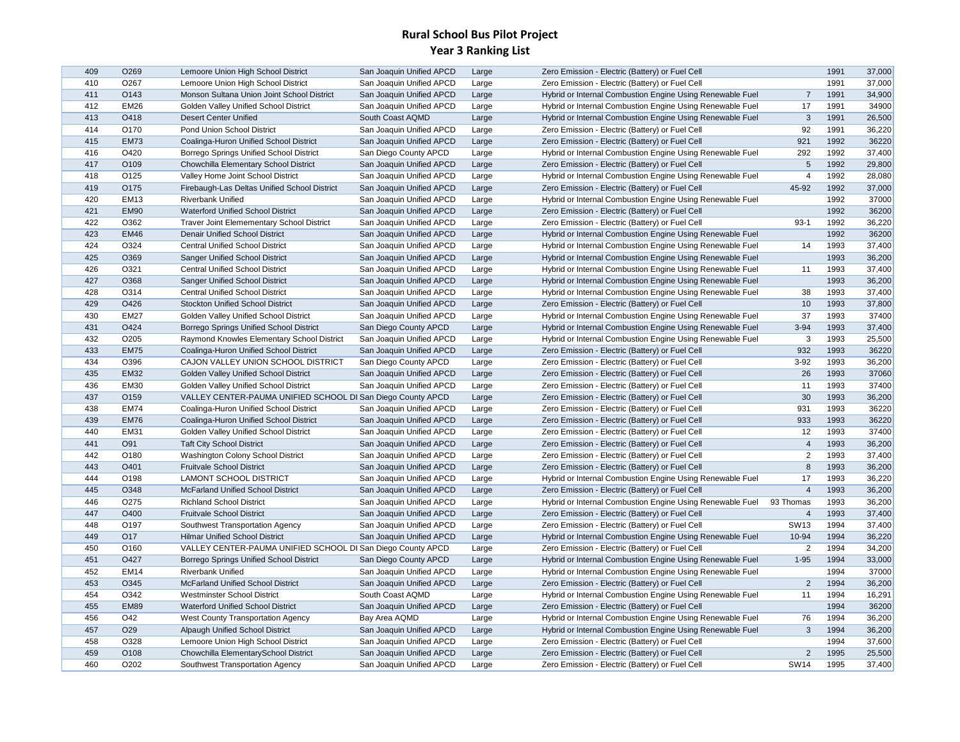| 409        | O <sub>269</sub>    | Lemoore Union High School District                          | San Joaquin Unified APCD | Large | Zero Emission - Electric (Battery) or Fuel Cell           |                | 1991         | 37,000 |
|------------|---------------------|-------------------------------------------------------------|--------------------------|-------|-----------------------------------------------------------|----------------|--------------|--------|
| 410        | O267                | Lemoore Union High School District                          | San Joaquin Unified APCD | Large | Zero Emission - Electric (Battery) or Fuel Cell           |                | 1991         | 37,000 |
| 411        | O143                | Monson Sultana Union Joint School District                  | San Joaquin Unified APCD | Large | Hybrid or Internal Combustion Engine Using Renewable Fuel | $\overline{7}$ | 1991         | 34,900 |
| 412        | <b>EM26</b>         | Golden Valley Unified School District                       | San Joaquin Unified APCD | Large | Hybrid or Internal Combustion Engine Using Renewable Fuel | 17             | 1991         | 34900  |
| 413        | O418                | <b>Desert Center Unified</b>                                | South Coast AQMD         | Large | Hybrid or Internal Combustion Engine Using Renewable Fuel | $\mathbf{3}$   | 1991         | 26,500 |
| 414        | O170                | Pond Union School District                                  | San Joaquin Unified APCD | Large | Zero Emission - Electric (Battery) or Fuel Cell           | 92             | 1991         | 36,220 |
| 415        | <b>EM73</b>         | Coalinga-Huron Unified School District                      | San Joaquin Unified APCD | Large | Zero Emission - Electric (Battery) or Fuel Cell           | 921            | 1992         | 36220  |
| 416        | O420                | Borrego Springs Unified School District                     | San Diego County APCD    | Large | Hybrid or Internal Combustion Engine Using Renewable Fuel | 292            | 1992         | 37,400 |
| 417        | O109                | Chowchilla Elementary School District                       | San Joaquin Unified APCD | Large | Zero Emission - Electric (Battery) or Fuel Cell           | 5              | 1992         | 29,800 |
| 418        | O125                | Valley Home Joint School District                           | San Joaquin Unified APCD | Large | Hybrid or Internal Combustion Engine Using Renewable Fuel | $\overline{4}$ | 1992         | 28,080 |
| 419        | O175                | Firebaugh-Las Deltas Unified School District                | San Joaquin Unified APCD | Large | Zero Emission - Electric (Battery) or Fuel Cell           | 45-92          | 1992         | 37,000 |
| 420        | EM <sub>13</sub>    | <b>Riverbank Unified</b>                                    | San Joaquin Unified APCD | Large | Hybrid or Internal Combustion Engine Using Renewable Fuel |                | 1992         | 37000  |
| 421        | <b>EM90</b>         | Waterford Unified School District                           | San Joaquin Unified APCD | Large | Zero Emission - Electric (Battery) or Fuel Cell           |                | 1992         | 36200  |
| 422        | O362                | <b>Traver Joint Elemementary School District</b>            | San Joaquin Unified APCD | Large | Zero Emission - Electric (Battery) or Fuel Cell           | $93-1$         | 1992         | 36,220 |
| 423        | <b>EM46</b>         | Denair Unified School District                              | San Joaquin Unified APCD | Large | Hybrid or Internal Combustion Engine Using Renewable Fuel |                | 1992         | 36200  |
| 424        | O324                | <b>Central Unified School District</b>                      | San Joaquin Unified APCD | Large | Hybrid or Internal Combustion Engine Using Renewable Fuel | 14             | 1993         | 37,400 |
| 425        | O369                | Sanger Unified School District                              | San Joaquin Unified APCD | Large | Hybrid or Internal Combustion Engine Using Renewable Fuel |                | 1993         | 36,200 |
| 426        | O321                | <b>Central Unified School District</b>                      | San Joaquin Unified APCD | Large | Hybrid or Internal Combustion Engine Using Renewable Fuel | 11             | 1993         | 37,400 |
| 427        | O368                | Sanger Unified School District                              | San Joaquin Unified APCD | Large | Hybrid or Internal Combustion Engine Using Renewable Fuel |                | 1993         | 36,200 |
| 428        | O314                | <b>Central Unified School District</b>                      | San Joaquin Unified APCD | Large | Hybrid or Internal Combustion Engine Using Renewable Fuel | 38             | 1993         | 37,400 |
| 429        | O426                | Stockton Unified School District                            | San Joaquin Unified APCD | Large | Zero Emission - Electric (Battery) or Fuel Cell           | 10             | 1993         | 37,800 |
| 430        | <b>EM27</b>         | Golden Valley Unified School District                       | San Joaquin Unified APCD | Large | Hybrid or Internal Combustion Engine Using Renewable Fuel | 37             | 1993         | 37400  |
| 431        | O424                | Borrego Springs Unified School District                     | San Diego County APCD    | Large | Hybrid or Internal Combustion Engine Using Renewable Fuel | $3 - 94$       | 1993         | 37,400 |
| 432        | O <sub>2</sub> 05   | Raymond Knowles Elementary School District                  | San Joaquin Unified APCD | Large | Hybrid or Internal Combustion Engine Using Renewable Fuel | 3              | 1993         | 25,500 |
| 433        | <b>EM75</b>         | Coalinga-Huron Unified School District                      | San Joaquin Unified APCD | Large | Zero Emission - Electric (Battery) or Fuel Cell           | 932            | 1993         | 36220  |
| 434        | O396                | CAJON VALLEY UNION SCHOOL DISTRICT                          | San Diego County APCD    | Large | Zero Emission - Electric (Battery) or Fuel Cell           | $3 - 92$       | 1993         | 36,200 |
| 435        | <b>EM32</b>         | Golden Valley Unified School District                       | San Joaquin Unified APCD | Large | Zero Emission - Electric (Battery) or Fuel Cell           | 26             | 1993         | 37060  |
| 436        | <b>EM30</b>         | Golden Valley Unified School District                       | San Joaquin Unified APCD | Large | Zero Emission - Electric (Battery) or Fuel Cell           | 11             | 1993         | 37400  |
| 437        | O159                | VALLEY CENTER-PAUMA UNIFIED SCHOOL DI San Diego County APCD |                          | Large | Zero Emission - Electric (Battery) or Fuel Cell           | 30             | 1993         | 36,200 |
| 438        | <b>EM74</b>         | Coalinga-Huron Unified School District                      | San Joaquin Unified APCD | Large | Zero Emission - Electric (Battery) or Fuel Cell           | 931            | 1993         | 36220  |
| 439        | <b>EM76</b>         | Coalinga-Huron Unified School District                      | San Joaquin Unified APCD | Large | Zero Emission - Electric (Battery) or Fuel Cell           | 933            | 1993         | 36220  |
| 440        | <b>EM31</b>         | Golden Valley Unified School District                       | San Joaquin Unified APCD | Large | Zero Emission - Electric (Battery) or Fuel Cell           | 12             | 1993         | 37400  |
| 441        | O91                 | <b>Taft City School District</b>                            | San Joaquin Unified APCD | Large | Zero Emission - Electric (Battery) or Fuel Cell           | $\overline{4}$ | 1993         | 36,200 |
| 442        | O180                | Washington Colony School District                           | San Joaquin Unified APCD | Large | Zero Emission - Electric (Battery) or Fuel Cell           | $\overline{c}$ | 1993         | 37,400 |
| 443        | O401                | <b>Fruitvale School District</b>                            | San Joaquin Unified APCD | Large | Zero Emission - Electric (Battery) or Fuel Cell           | 8              | 1993         | 36,200 |
| 444        | O198                | <b>LAMONT SCHOOL DISTRICT</b>                               | San Joaquin Unified APCD | Large | Hybrid or Internal Combustion Engine Using Renewable Fuel | 17             | 1993         | 36,220 |
| 445        | O348                | <b>McFarland Unified School District</b>                    | San Joaquin Unified APCD | Large | Zero Emission - Electric (Battery) or Fuel Cell           | $\overline{4}$ | 1993         | 36,200 |
| 446        | O <sub>275</sub>    | <b>Richland School District</b>                             | San Joaquin Unified APCD | Large | Hybrid or Internal Combustion Engine Using Renewable Fuel | 93 Thomas      | 1993         | 36,200 |
| 447        | O400                | <b>Fruitvale School District</b>                            | San Joaquin Unified APCD | Large | Zero Emission - Electric (Battery) or Fuel Cell           | $\overline{4}$ | 1993         | 37,400 |
| 448        | O197                | Southwest Transportation Agency                             | San Joaquin Unified APCD | Large | Zero Emission - Electric (Battery) or Fuel Cell           | <b>SW13</b>    | 1994         | 37,400 |
| 449        | O17                 | <b>Hilmar Unified School District</b>                       | San Joaquin Unified APCD | Large | Hybrid or Internal Combustion Engine Using Renewable Fuel | 10-94          | 1994         | 36,220 |
| 450        | O160                | VALLEY CENTER-PAUMA UNIFIED SCHOOL DI San Diego County APCD |                          | Large | Zero Emission - Electric (Battery) or Fuel Cell           | $\overline{2}$ | 1994         | 34,200 |
| 451        | O427                | Borrego Springs Unified School District                     | San Diego County APCD    |       | Hybrid or Internal Combustion Engine Using Renewable Fuel | $1 - 95$       | 1994         | 33,000 |
| 452        | <b>EM14</b>         | <b>Riverbank Unified</b>                                    |                          | Large | Hybrid or Internal Combustion Engine Using Renewable Fuel |                | 1994         | 37000  |
|            | O345                |                                                             | San Joaquin Unified APCD | Large |                                                           | $\overline{c}$ | 1994         | 36,200 |
| 453        |                     | McFarland Unified School District                           | San Joaquin Unified APCD | Large | Zero Emission - Electric (Battery) or Fuel Cell           | 11             |              | 16,291 |
| 454<br>455 | O342<br><b>EM89</b> | <b>Westminster School District</b>                          | South Coast AQMD         | Large | Hybrid or Internal Combustion Engine Using Renewable Fuel |                | 1994<br>1994 |        |
|            |                     | Waterford Unified School District                           | San Joaquin Unified APCD | Large | Zero Emission - Electric (Battery) or Fuel Cell           |                |              | 36200  |
| 456        | O42                 | West County Transportation Agency                           | Bay Area AQMD            | Large | Hybrid or Internal Combustion Engine Using Renewable Fuel | 76             | 1994         | 36,200 |
| 457        | O <sub>29</sub>     | Alpaugh Unified School District                             | San Joaquin Unified APCD | Large | Hybrid or Internal Combustion Engine Using Renewable Fuel | $\mathbf{3}$   | 1994         | 36,200 |
| 458        | O328                | Lemoore Union High School District                          | San Joaquin Unified APCD | Large | Zero Emission - Electric (Battery) or Fuel Cell           |                | 1994         | 37,600 |
| 459        | O108                | Chowchilla ElementarySchool District                        | San Joaquin Unified APCD | Large | Zero Emission - Electric (Battery) or Fuel Cell           | $\overline{2}$ | 1995         | 25,500 |
| 460        | O202                | Southwest Transportation Agency                             | San Joaquin Unified APCD | Large | Zero Emission - Electric (Battery) or Fuel Cell           | <b>SW14</b>    | 1995         | 37,400 |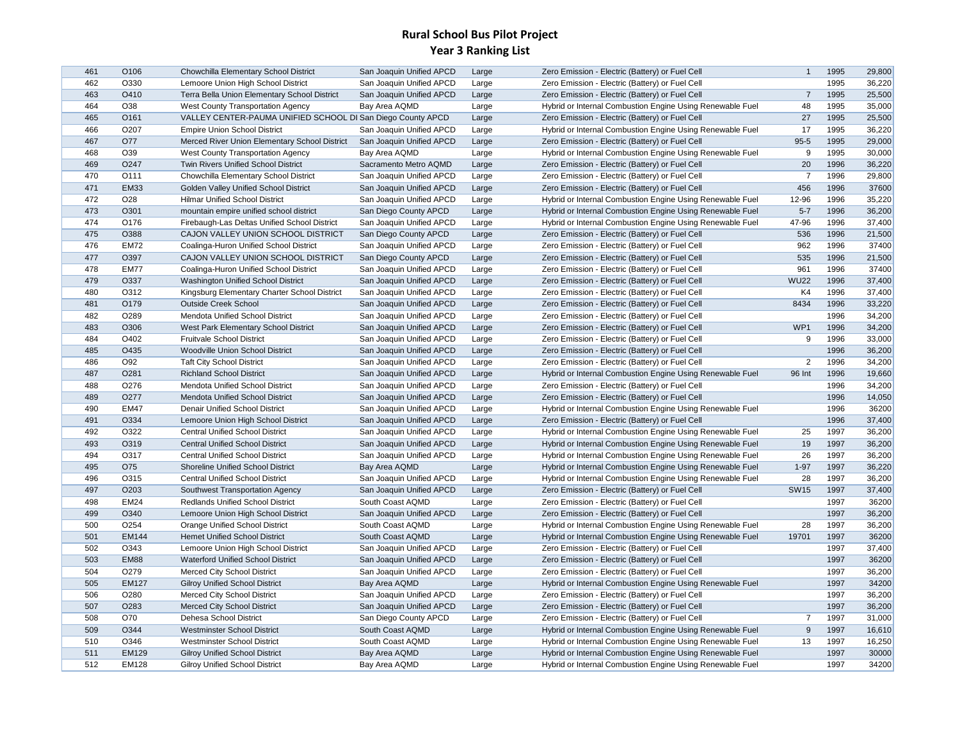| O330<br>1995<br>36,220<br>462<br>Lemoore Union High School District<br>San Joaquin Unified APCD<br>Large<br>Zero Emission - Electric (Battery) or Fuel Cell<br>1995<br>25,500<br>463<br>O410<br>Terra Bella Union Elementary School District<br>San Joaquin Unified APCD<br>Large<br>Zero Emission - Electric (Battery) or Fuel Cell<br>$\overline{7}$<br>1995<br>35,000<br>464<br>O38<br>48<br>West County Transportation Agency<br>Bay Area AQMD<br>Large<br>Hybrid or Internal Combustion Engine Using Renewable Fuel<br>25,500<br>27<br>1995<br>465<br>O161<br>VALLEY CENTER-PAUMA UNIFIED SCHOOL DI San Diego County APCD<br>Zero Emission - Electric (Battery) or Fuel Cell<br>Large<br>O207<br>17<br>1995<br>36,220<br>466<br>San Joaquin Unified APCD<br>Hybrid or Internal Combustion Engine Using Renewable Fuel<br><b>Empire Union School District</b><br>Large<br>467<br>O77<br>$95 - 5$<br>1995<br>29,000<br>Merced River Union Elementary School District<br>San Joaquin Unified APCD<br>Large<br>Zero Emission - Electric (Battery) or Fuel Cell<br>9<br>1995<br>30,000<br>468<br>O39<br>West County Transportation Agency<br>Bay Area AQMD<br>Hybrid or Internal Combustion Engine Using Renewable Fuel<br>Large<br>20<br>1996<br>36,220<br>469<br>O247<br>Twin Rivers Unified School District<br>Sacramento Metro AQMD<br>Zero Emission - Electric (Battery) or Fuel Cell<br>Large<br>$\overline{7}$<br>1996<br>470<br>O111<br>Chowchilla Elementary School District<br>29,800<br>San Joaquin Unified APCD<br>Large<br>Zero Emission - Electric (Battery) or Fuel Cell<br>471<br><b>EM33</b><br>Golden Valley Unified School District<br>456<br>1996<br>37600<br>San Joaquin Unified APCD<br>Large<br>Zero Emission - Electric (Battery) or Fuel Cell<br>1996<br>35,220<br>472<br>O <sub>28</sub><br><b>Hilmar Unified School District</b><br>12-96<br>San Joaquin Unified APCD<br>Large<br>Hybrid or Internal Combustion Engine Using Renewable Fuel<br>1996<br>36,200<br>473<br>O301<br>$5 - 7$<br>mountain empire unified school district<br>San Diego County APCD<br>Hybrid or Internal Combustion Engine Using Renewable Fuel<br>Large<br>474<br>47-96<br>1996<br>37,400<br>O176<br>Firebaugh-Las Deltas Unified School District<br>San Joaquin Unified APCD<br>Hybrid or Internal Combustion Engine Using Renewable Fuel<br>Large<br>475<br>O388<br>CAJON VALLEY UNION SCHOOL DISTRICT<br>San Diego County APCD<br>Zero Emission - Electric (Battery) or Fuel Cell<br>536<br>1996<br>21,500<br>Large<br>37400<br>476<br><b>EM72</b><br>962<br>1996<br>Coalinga-Huron Unified School District<br>San Joaquin Unified APCD<br>Large<br>Zero Emission - Electric (Battery) or Fuel Cell<br>477<br>O397<br>535<br>1996<br>21,500<br>CAJON VALLEY UNION SCHOOL DISTRICT<br>San Diego County APCD<br>Zero Emission - Electric (Battery) or Fuel Cell<br>Large<br>478<br>961<br>37400<br><b>EM77</b><br>Coalinga-Huron Unified School District<br>San Joaquin Unified APCD<br>Zero Emission - Electric (Battery) or Fuel Cell<br>1996<br>Large<br>479<br><b>WU22</b><br>1996<br>37,400<br>O337<br>Washington Unified School District<br>San Joaquin Unified APCD<br>Large<br>Zero Emission - Electric (Battery) or Fuel Cell<br>37,400<br>K4<br>1996<br>480<br>O312<br>Kingsburg Elementary Charter School District<br>San Joaquin Unified APCD<br>Zero Emission - Electric (Battery) or Fuel Cell<br>Large<br>8434<br>1996<br>33,220<br>481<br>O179<br><b>Outside Creek School</b><br>San Joaquin Unified APCD<br>Zero Emission - Electric (Battery) or Fuel Cell<br>Large<br>482<br>O289<br>1996<br>34,200<br>Mendota Unified School District<br>San Joaquin Unified APCD<br>Zero Emission - Electric (Battery) or Fuel Cell<br>Large<br>WP1<br>1996<br>34,200<br>483<br>O306<br>West Park Elementary School District<br>San Joaquin Unified APCD<br>Zero Emission - Electric (Battery) or Fuel Cell<br>Large<br>9<br>1996<br>484<br>O402<br>33,000<br><b>Fruitvale School District</b><br>San Joaquin Unified APCD<br>Large<br>Zero Emission - Electric (Battery) or Fuel Cell<br>485<br>O435<br>Woodville Union School District<br>1996<br>36,200<br>San Joaquin Unified APCD<br>Zero Emission - Electric (Battery) or Fuel Cell<br>Large<br>486<br>$\overline{2}$<br>1996<br>34,200<br>O92<br><b>Taft City School District</b><br>San Joaquin Unified APCD<br>Zero Emission - Electric (Battery) or Fuel Cell<br>Large<br>1996<br>19,660<br>487<br>O281<br>Hybrid or Internal Combustion Engine Using Renewable Fuel<br>96 Int<br><b>Richland School District</b><br>San Joaquin Unified APCD<br>Large<br>34,200<br>O276<br>1996<br>488<br>Mendota Unified School District<br>San Joaquin Unified APCD<br>Zero Emission - Electric (Battery) or Fuel Cell<br>Large<br>489<br>O277<br>1996<br>14,050<br>Mendota Unified School District<br>San Joaquin Unified APCD<br>Zero Emission - Electric (Battery) or Fuel Cell<br>Large<br>490<br><b>EM47</b><br>Denair Unified School District<br>Hybrid or Internal Combustion Engine Using Renewable Fuel<br>1996<br>36200<br>San Joaquin Unified APCD<br>Large<br>491<br>O334<br>1996<br>37,400<br>Lemoore Union High School District<br>San Joaquin Unified APCD<br>Large<br>Zero Emission - Electric (Battery) or Fuel Cell<br>O322<br>1997<br>36,200<br>492<br><b>Central Unified School District</b><br>Hybrid or Internal Combustion Engine Using Renewable Fuel<br>25<br>San Joaquin Unified APCD<br>Large<br>493<br>19<br>1997<br>36,200<br>O319<br><b>Central Unified School District</b><br>Hybrid or Internal Combustion Engine Using Renewable Fuel<br>San Joaquin Unified APCD<br>Large<br>36,200<br>494<br>O317<br>26<br>1997<br><b>Central Unified School District</b><br>San Joaquin Unified APCD<br>Large<br>Hybrid or Internal Combustion Engine Using Renewable Fuel<br>$1 - 97$<br>1997<br>36,220<br>495<br>O75<br>Shoreline Unified School District<br>Bay Area AQMD<br>Hybrid or Internal Combustion Engine Using Renewable Fuel<br>Large<br>28<br>1997<br>36,200<br>496<br>O315<br><b>Central Unified School District</b><br>Hybrid or Internal Combustion Engine Using Renewable Fuel<br>San Joaquin Unified APCD<br>Large<br>497<br><b>SW15</b><br>1997<br>37,400<br>O203<br>Southwest Transportation Agency<br>San Joaquin Unified APCD<br>Zero Emission - Electric (Battery) or Fuel Cell<br>Large<br>1997<br>36200<br>498<br><b>EM24</b><br><b>Redlands Unified School District</b><br>South Coast AQMD<br>Zero Emission - Electric (Battery) or Fuel Cell<br>Large<br>36,200<br>499<br>O340<br>Lemoore Union High School District<br>Zero Emission - Electric (Battery) or Fuel Cell<br>1997<br>San Joaquin Unified APCD<br>Large<br>500<br>O254<br>28<br>1997<br>36,200<br>Orange Unified School District<br>South Coast AQMD<br>Hybrid or Internal Combustion Engine Using Renewable Fuel<br>Large<br>501<br>19701<br>1997<br>36200<br><b>EM144</b><br><b>Hemet Unified School District</b><br>South Coast AQMD<br>Large<br>Hybrid or Internal Combustion Engine Using Renewable Fuel<br>502<br>1997<br>37,400<br>O343<br>Lemoore Union High School District<br>San Joaquin Unified APCD<br>Large<br>Zero Emission - Electric (Battery) or Fuel Cell<br>503<br><b>EM88</b><br>1997<br>36200<br><b>Waterford Unified School District</b><br>San Joaquin Unified APCD<br>Large<br>Zero Emission - Electric (Battery) or Fuel Cell<br>504<br>O279<br>1997<br>36,200<br>Merced City School District<br>San Joaquin Unified APCD<br>Zero Emission - Electric (Battery) or Fuel Cell<br>Large<br>505<br><b>EM127</b><br>1997<br>34200<br><b>Gilroy Unified School District</b><br>Bay Area AQMD<br>Large<br>Hybrid or Internal Combustion Engine Using Renewable Fuel<br>1997<br>36,200<br>506<br>O280<br>Merced City School District<br>San Joaquin Unified APCD<br>Large<br>Zero Emission - Electric (Battery) or Fuel Cell<br>1997<br>36,200<br>507<br>O283<br>San Joaquin Unified APCD<br><b>Merced City School District</b><br>Large<br>Zero Emission - Electric (Battery) or Fuel Cell<br>1997<br>508<br>O70<br>Dehesa School District<br>$\overline{7}$<br>31,000<br>San Diego County APCD<br>Zero Emission - Electric (Battery) or Fuel Cell<br>Large<br>509<br>O344<br>$9\,$<br>1997<br>16,610<br><b>Westminster School District</b><br>South Coast AQMD<br>Large<br>Hybrid or Internal Combustion Engine Using Renewable Fuel<br>1997<br>16,250<br>510<br>O346<br>South Coast AQMD<br>Hybrid or Internal Combustion Engine Using Renewable Fuel<br>13<br><b>Westminster School District</b><br>Large<br>1997<br>511<br><b>Gilroy Unified School District</b><br>Bay Area AQMD<br>Hybrid or Internal Combustion Engine Using Renewable Fuel<br>30000<br><b>EM129</b><br>Large<br>512<br>1997<br>34200<br><b>EM128</b><br><b>Gilroy Unified School District</b><br>Bay Area AQMD<br>Large<br>Hybrid or Internal Combustion Engine Using Renewable Fuel | 461 | O106 | Chowchilla Elementary School District | San Joaquin Unified APCD | Large | Zero Emission - Electric (Battery) or Fuel Cell | $\mathbf{1}$ | 1995 | 29,800 |
|--------------------------------------------------------------------------------------------------------------------------------------------------------------------------------------------------------------------------------------------------------------------------------------------------------------------------------------------------------------------------------------------------------------------------------------------------------------------------------------------------------------------------------------------------------------------------------------------------------------------------------------------------------------------------------------------------------------------------------------------------------------------------------------------------------------------------------------------------------------------------------------------------------------------------------------------------------------------------------------------------------------------------------------------------------------------------------------------------------------------------------------------------------------------------------------------------------------------------------------------------------------------------------------------------------------------------------------------------------------------------------------------------------------------------------------------------------------------------------------------------------------------------------------------------------------------------------------------------------------------------------------------------------------------------------------------------------------------------------------------------------------------------------------------------------------------------------------------------------------------------------------------------------------------------------------------------------------------------------------------------------------------------------------------------------------------------------------------------------------------------------------------------------------------------------------------------------------------------------------------------------------------------------------------------------------------------------------------------------------------------------------------------------------------------------------------------------------------------------------------------------------------------------------------------------------------------------------------------------------------------------------------------------------------------------------------------------------------------------------------------------------------------------------------------------------------------------------------------------------------------------------------------------------------------------------------------------------------------------------------------------------------------------------------------------------------------------------------------------------------------------------------------------------------------------------------------------------------------------------------------------------------------------------------------------------------------------------------------------------------------------------------------------------------------------------------------------------------------------------------------------------------------------------------------------------------------------------------------------------------------------------------------------------------------------------------------------------------------------------------------------------------------------------------------------------------------------------------------------------------------------------------------------------------------------------------------------------------------------------------------------------------------------------------------------------------------------------------------------------------------------------------------------------------------------------------------------------------------------------------------------------------------------------------------------------------------------------------------------------------------------------------------------------------------------------------------------------------------------------------------------------------------------------------------------------------------------------------------------------------------------------------------------------------------------------------------------------------------------------------------------------------------------------------------------------------------------------------------------------------------------------------------------------------------------------------------------------------------------------------------------------------------------------------------------------------------------------------------------------------------------------------------------------------------------------------------------------------------------------------------------------------------------------------------------------------------------------------------------------------------------------------------------------------------------------------------------------------------------------------------------------------------------------------------------------------------------------------------------------------------------------------------------------------------------------------------------------------------------------------------------------------------------------------------------------------------------------------------------------------------------------------------------------------------------------------------------------------------------------------------------------------------------------------------------------------------------------------------------------------------------------------------------------------------------------------------------------------------------------------------------------------------------------------------------------------------------------------------------------------------------------------------------------------------------------------------------------------------------------------------------------------------------------------------------------------------------------------------------------------------------------------------------------------------------------------------------------------------------------------------------------------------------------------------------------------------------------------------------------------------------------------------------------------------------------------------------------------------------------------------------------------------------------------------------------------------------------------------------------------------------------------------------------------------------------------------------------------------------------------------------------------------------------------------------------------------------------------------------------------------------------------------------------------------------------------------------------------------------------------------------------------------------------------------------------------------------------------------------------------------------------------------------------------------------------------------------------------------------------------------------------------------------------------------------------------------------------------------------------------------------------------------------------------------------------------------------------------------------------------------------------------------------------------------------------------------------------------------------------------------------------------------------------------------------------------------------------------------------------------------------------------------------------------------------------------------------------------------------------------------------------------------------------------------------------------------------------------------------------------------------------------------------------------------------------------------------------------------------------------------------------------------------------------------------------------------------------------------------------------------------------------------------------------------------------------------------------------------------------------------------------------------------------------------------------------------------|-----|------|---------------------------------------|--------------------------|-------|-------------------------------------------------|--------------|------|--------|
|                                                                                                                                                                                                                                                                                                                                                                                                                                                                                                                                                                                                                                                                                                                                                                                                                                                                                                                                                                                                                                                                                                                                                                                                                                                                                                                                                                                                                                                                                                                                                                                                                                                                                                                                                                                                                                                                                                                                                                                                                                                                                                                                                                                                                                                                                                                                                                                                                                                                                                                                                                                                                                                                                                                                                                                                                                                                                                                                                                                                                                                                                                                                                                                                                                                                                                                                                                                                                                                                                                                                                                                                                                                                                                                                                                                                                                                                                                                                                                                                                                                                                                                                                                                                                                                                                                                                                                                                                                                                                                                                                                                                                                                                                                                                                                                                                                                                                                                                                                                                                                                                                                                                                                                                                                                                                                                                                                                                                                                                                                                                                                                                                                                                                                                                                                                                                                                                                                                                                                                                                                                                                                                                                                                                                                                                                                                                                                                                                                                                                                                                                                                                                                                                                                                                                                                                                                                                                                                                                                                                                                                                                                                                                                                                                                                                                                                                                                                                                                                                                                                                                                                                                                                                                                                                                                                                                                                                                                                                                                                                                                                                                                                                                                                                                                                                                                                                                                                                                                                                                                                                                                                                                                                                                                                                                                                                                                                                                                                                                        |     |      |                                       |                          |       |                                                 |              |      |        |
|                                                                                                                                                                                                                                                                                                                                                                                                                                                                                                                                                                                                                                                                                                                                                                                                                                                                                                                                                                                                                                                                                                                                                                                                                                                                                                                                                                                                                                                                                                                                                                                                                                                                                                                                                                                                                                                                                                                                                                                                                                                                                                                                                                                                                                                                                                                                                                                                                                                                                                                                                                                                                                                                                                                                                                                                                                                                                                                                                                                                                                                                                                                                                                                                                                                                                                                                                                                                                                                                                                                                                                                                                                                                                                                                                                                                                                                                                                                                                                                                                                                                                                                                                                                                                                                                                                                                                                                                                                                                                                                                                                                                                                                                                                                                                                                                                                                                                                                                                                                                                                                                                                                                                                                                                                                                                                                                                                                                                                                                                                                                                                                                                                                                                                                                                                                                                                                                                                                                                                                                                                                                                                                                                                                                                                                                                                                                                                                                                                                                                                                                                                                                                                                                                                                                                                                                                                                                                                                                                                                                                                                                                                                                                                                                                                                                                                                                                                                                                                                                                                                                                                                                                                                                                                                                                                                                                                                                                                                                                                                                                                                                                                                                                                                                                                                                                                                                                                                                                                                                                                                                                                                                                                                                                                                                                                                                                                                                                                                                                        |     |      |                                       |                          |       |                                                 |              |      |        |
|                                                                                                                                                                                                                                                                                                                                                                                                                                                                                                                                                                                                                                                                                                                                                                                                                                                                                                                                                                                                                                                                                                                                                                                                                                                                                                                                                                                                                                                                                                                                                                                                                                                                                                                                                                                                                                                                                                                                                                                                                                                                                                                                                                                                                                                                                                                                                                                                                                                                                                                                                                                                                                                                                                                                                                                                                                                                                                                                                                                                                                                                                                                                                                                                                                                                                                                                                                                                                                                                                                                                                                                                                                                                                                                                                                                                                                                                                                                                                                                                                                                                                                                                                                                                                                                                                                                                                                                                                                                                                                                                                                                                                                                                                                                                                                                                                                                                                                                                                                                                                                                                                                                                                                                                                                                                                                                                                                                                                                                                                                                                                                                                                                                                                                                                                                                                                                                                                                                                                                                                                                                                                                                                                                                                                                                                                                                                                                                                                                                                                                                                                                                                                                                                                                                                                                                                                                                                                                                                                                                                                                                                                                                                                                                                                                                                                                                                                                                                                                                                                                                                                                                                                                                                                                                                                                                                                                                                                                                                                                                                                                                                                                                                                                                                                                                                                                                                                                                                                                                                                                                                                                                                                                                                                                                                                                                                                                                                                                                                                        |     |      |                                       |                          |       |                                                 |              |      |        |
|                                                                                                                                                                                                                                                                                                                                                                                                                                                                                                                                                                                                                                                                                                                                                                                                                                                                                                                                                                                                                                                                                                                                                                                                                                                                                                                                                                                                                                                                                                                                                                                                                                                                                                                                                                                                                                                                                                                                                                                                                                                                                                                                                                                                                                                                                                                                                                                                                                                                                                                                                                                                                                                                                                                                                                                                                                                                                                                                                                                                                                                                                                                                                                                                                                                                                                                                                                                                                                                                                                                                                                                                                                                                                                                                                                                                                                                                                                                                                                                                                                                                                                                                                                                                                                                                                                                                                                                                                                                                                                                                                                                                                                                                                                                                                                                                                                                                                                                                                                                                                                                                                                                                                                                                                                                                                                                                                                                                                                                                                                                                                                                                                                                                                                                                                                                                                                                                                                                                                                                                                                                                                                                                                                                                                                                                                                                                                                                                                                                                                                                                                                                                                                                                                                                                                                                                                                                                                                                                                                                                                                                                                                                                                                                                                                                                                                                                                                                                                                                                                                                                                                                                                                                                                                                                                                                                                                                                                                                                                                                                                                                                                                                                                                                                                                                                                                                                                                                                                                                                                                                                                                                                                                                                                                                                                                                                                                                                                                                                                        |     |      |                                       |                          |       |                                                 |              |      |        |
|                                                                                                                                                                                                                                                                                                                                                                                                                                                                                                                                                                                                                                                                                                                                                                                                                                                                                                                                                                                                                                                                                                                                                                                                                                                                                                                                                                                                                                                                                                                                                                                                                                                                                                                                                                                                                                                                                                                                                                                                                                                                                                                                                                                                                                                                                                                                                                                                                                                                                                                                                                                                                                                                                                                                                                                                                                                                                                                                                                                                                                                                                                                                                                                                                                                                                                                                                                                                                                                                                                                                                                                                                                                                                                                                                                                                                                                                                                                                                                                                                                                                                                                                                                                                                                                                                                                                                                                                                                                                                                                                                                                                                                                                                                                                                                                                                                                                                                                                                                                                                                                                                                                                                                                                                                                                                                                                                                                                                                                                                                                                                                                                                                                                                                                                                                                                                                                                                                                                                                                                                                                                                                                                                                                                                                                                                                                                                                                                                                                                                                                                                                                                                                                                                                                                                                                                                                                                                                                                                                                                                                                                                                                                                                                                                                                                                                                                                                                                                                                                                                                                                                                                                                                                                                                                                                                                                                                                                                                                                                                                                                                                                                                                                                                                                                                                                                                                                                                                                                                                                                                                                                                                                                                                                                                                                                                                                                                                                                                                                        |     |      |                                       |                          |       |                                                 |              |      |        |
|                                                                                                                                                                                                                                                                                                                                                                                                                                                                                                                                                                                                                                                                                                                                                                                                                                                                                                                                                                                                                                                                                                                                                                                                                                                                                                                                                                                                                                                                                                                                                                                                                                                                                                                                                                                                                                                                                                                                                                                                                                                                                                                                                                                                                                                                                                                                                                                                                                                                                                                                                                                                                                                                                                                                                                                                                                                                                                                                                                                                                                                                                                                                                                                                                                                                                                                                                                                                                                                                                                                                                                                                                                                                                                                                                                                                                                                                                                                                                                                                                                                                                                                                                                                                                                                                                                                                                                                                                                                                                                                                                                                                                                                                                                                                                                                                                                                                                                                                                                                                                                                                                                                                                                                                                                                                                                                                                                                                                                                                                                                                                                                                                                                                                                                                                                                                                                                                                                                                                                                                                                                                                                                                                                                                                                                                                                                                                                                                                                                                                                                                                                                                                                                                                                                                                                                                                                                                                                                                                                                                                                                                                                                                                                                                                                                                                                                                                                                                                                                                                                                                                                                                                                                                                                                                                                                                                                                                                                                                                                                                                                                                                                                                                                                                                                                                                                                                                                                                                                                                                                                                                                                                                                                                                                                                                                                                                                                                                                                                                        |     |      |                                       |                          |       |                                                 |              |      |        |
|                                                                                                                                                                                                                                                                                                                                                                                                                                                                                                                                                                                                                                                                                                                                                                                                                                                                                                                                                                                                                                                                                                                                                                                                                                                                                                                                                                                                                                                                                                                                                                                                                                                                                                                                                                                                                                                                                                                                                                                                                                                                                                                                                                                                                                                                                                                                                                                                                                                                                                                                                                                                                                                                                                                                                                                                                                                                                                                                                                                                                                                                                                                                                                                                                                                                                                                                                                                                                                                                                                                                                                                                                                                                                                                                                                                                                                                                                                                                                                                                                                                                                                                                                                                                                                                                                                                                                                                                                                                                                                                                                                                                                                                                                                                                                                                                                                                                                                                                                                                                                                                                                                                                                                                                                                                                                                                                                                                                                                                                                                                                                                                                                                                                                                                                                                                                                                                                                                                                                                                                                                                                                                                                                                                                                                                                                                                                                                                                                                                                                                                                                                                                                                                                                                                                                                                                                                                                                                                                                                                                                                                                                                                                                                                                                                                                                                                                                                                                                                                                                                                                                                                                                                                                                                                                                                                                                                                                                                                                                                                                                                                                                                                                                                                                                                                                                                                                                                                                                                                                                                                                                                                                                                                                                                                                                                                                                                                                                                                                                        |     |      |                                       |                          |       |                                                 |              |      |        |
|                                                                                                                                                                                                                                                                                                                                                                                                                                                                                                                                                                                                                                                                                                                                                                                                                                                                                                                                                                                                                                                                                                                                                                                                                                                                                                                                                                                                                                                                                                                                                                                                                                                                                                                                                                                                                                                                                                                                                                                                                                                                                                                                                                                                                                                                                                                                                                                                                                                                                                                                                                                                                                                                                                                                                                                                                                                                                                                                                                                                                                                                                                                                                                                                                                                                                                                                                                                                                                                                                                                                                                                                                                                                                                                                                                                                                                                                                                                                                                                                                                                                                                                                                                                                                                                                                                                                                                                                                                                                                                                                                                                                                                                                                                                                                                                                                                                                                                                                                                                                                                                                                                                                                                                                                                                                                                                                                                                                                                                                                                                                                                                                                                                                                                                                                                                                                                                                                                                                                                                                                                                                                                                                                                                                                                                                                                                                                                                                                                                                                                                                                                                                                                                                                                                                                                                                                                                                                                                                                                                                                                                                                                                                                                                                                                                                                                                                                                                                                                                                                                                                                                                                                                                                                                                                                                                                                                                                                                                                                                                                                                                                                                                                                                                                                                                                                                                                                                                                                                                                                                                                                                                                                                                                                                                                                                                                                                                                                                                                                        |     |      |                                       |                          |       |                                                 |              |      |        |
|                                                                                                                                                                                                                                                                                                                                                                                                                                                                                                                                                                                                                                                                                                                                                                                                                                                                                                                                                                                                                                                                                                                                                                                                                                                                                                                                                                                                                                                                                                                                                                                                                                                                                                                                                                                                                                                                                                                                                                                                                                                                                                                                                                                                                                                                                                                                                                                                                                                                                                                                                                                                                                                                                                                                                                                                                                                                                                                                                                                                                                                                                                                                                                                                                                                                                                                                                                                                                                                                                                                                                                                                                                                                                                                                                                                                                                                                                                                                                                                                                                                                                                                                                                                                                                                                                                                                                                                                                                                                                                                                                                                                                                                                                                                                                                                                                                                                                                                                                                                                                                                                                                                                                                                                                                                                                                                                                                                                                                                                                                                                                                                                                                                                                                                                                                                                                                                                                                                                                                                                                                                                                                                                                                                                                                                                                                                                                                                                                                                                                                                                                                                                                                                                                                                                                                                                                                                                                                                                                                                                                                                                                                                                                                                                                                                                                                                                                                                                                                                                                                                                                                                                                                                                                                                                                                                                                                                                                                                                                                                                                                                                                                                                                                                                                                                                                                                                                                                                                                                                                                                                                                                                                                                                                                                                                                                                                                                                                                                                                        |     |      |                                       |                          |       |                                                 |              |      |        |
|                                                                                                                                                                                                                                                                                                                                                                                                                                                                                                                                                                                                                                                                                                                                                                                                                                                                                                                                                                                                                                                                                                                                                                                                                                                                                                                                                                                                                                                                                                                                                                                                                                                                                                                                                                                                                                                                                                                                                                                                                                                                                                                                                                                                                                                                                                                                                                                                                                                                                                                                                                                                                                                                                                                                                                                                                                                                                                                                                                                                                                                                                                                                                                                                                                                                                                                                                                                                                                                                                                                                                                                                                                                                                                                                                                                                                                                                                                                                                                                                                                                                                                                                                                                                                                                                                                                                                                                                                                                                                                                                                                                                                                                                                                                                                                                                                                                                                                                                                                                                                                                                                                                                                                                                                                                                                                                                                                                                                                                                                                                                                                                                                                                                                                                                                                                                                                                                                                                                                                                                                                                                                                                                                                                                                                                                                                                                                                                                                                                                                                                                                                                                                                                                                                                                                                                                                                                                                                                                                                                                                                                                                                                                                                                                                                                                                                                                                                                                                                                                                                                                                                                                                                                                                                                                                                                                                                                                                                                                                                                                                                                                                                                                                                                                                                                                                                                                                                                                                                                                                                                                                                                                                                                                                                                                                                                                                                                                                                                                                        |     |      |                                       |                          |       |                                                 |              |      |        |
|                                                                                                                                                                                                                                                                                                                                                                                                                                                                                                                                                                                                                                                                                                                                                                                                                                                                                                                                                                                                                                                                                                                                                                                                                                                                                                                                                                                                                                                                                                                                                                                                                                                                                                                                                                                                                                                                                                                                                                                                                                                                                                                                                                                                                                                                                                                                                                                                                                                                                                                                                                                                                                                                                                                                                                                                                                                                                                                                                                                                                                                                                                                                                                                                                                                                                                                                                                                                                                                                                                                                                                                                                                                                                                                                                                                                                                                                                                                                                                                                                                                                                                                                                                                                                                                                                                                                                                                                                                                                                                                                                                                                                                                                                                                                                                                                                                                                                                                                                                                                                                                                                                                                                                                                                                                                                                                                                                                                                                                                                                                                                                                                                                                                                                                                                                                                                                                                                                                                                                                                                                                                                                                                                                                                                                                                                                                                                                                                                                                                                                                                                                                                                                                                                                                                                                                                                                                                                                                                                                                                                                                                                                                                                                                                                                                                                                                                                                                                                                                                                                                                                                                                                                                                                                                                                                                                                                                                                                                                                                                                                                                                                                                                                                                                                                                                                                                                                                                                                                                                                                                                                                                                                                                                                                                                                                                                                                                                                                                                                        |     |      |                                       |                          |       |                                                 |              |      |        |
|                                                                                                                                                                                                                                                                                                                                                                                                                                                                                                                                                                                                                                                                                                                                                                                                                                                                                                                                                                                                                                                                                                                                                                                                                                                                                                                                                                                                                                                                                                                                                                                                                                                                                                                                                                                                                                                                                                                                                                                                                                                                                                                                                                                                                                                                                                                                                                                                                                                                                                                                                                                                                                                                                                                                                                                                                                                                                                                                                                                                                                                                                                                                                                                                                                                                                                                                                                                                                                                                                                                                                                                                                                                                                                                                                                                                                                                                                                                                                                                                                                                                                                                                                                                                                                                                                                                                                                                                                                                                                                                                                                                                                                                                                                                                                                                                                                                                                                                                                                                                                                                                                                                                                                                                                                                                                                                                                                                                                                                                                                                                                                                                                                                                                                                                                                                                                                                                                                                                                                                                                                                                                                                                                                                                                                                                                                                                                                                                                                                                                                                                                                                                                                                                                                                                                                                                                                                                                                                                                                                                                                                                                                                                                                                                                                                                                                                                                                                                                                                                                                                                                                                                                                                                                                                                                                                                                                                                                                                                                                                                                                                                                                                                                                                                                                                                                                                                                                                                                                                                                                                                                                                                                                                                                                                                                                                                                                                                                                                                                        |     |      |                                       |                          |       |                                                 |              |      |        |
|                                                                                                                                                                                                                                                                                                                                                                                                                                                                                                                                                                                                                                                                                                                                                                                                                                                                                                                                                                                                                                                                                                                                                                                                                                                                                                                                                                                                                                                                                                                                                                                                                                                                                                                                                                                                                                                                                                                                                                                                                                                                                                                                                                                                                                                                                                                                                                                                                                                                                                                                                                                                                                                                                                                                                                                                                                                                                                                                                                                                                                                                                                                                                                                                                                                                                                                                                                                                                                                                                                                                                                                                                                                                                                                                                                                                                                                                                                                                                                                                                                                                                                                                                                                                                                                                                                                                                                                                                                                                                                                                                                                                                                                                                                                                                                                                                                                                                                                                                                                                                                                                                                                                                                                                                                                                                                                                                                                                                                                                                                                                                                                                                                                                                                                                                                                                                                                                                                                                                                                                                                                                                                                                                                                                                                                                                                                                                                                                                                                                                                                                                                                                                                                                                                                                                                                                                                                                                                                                                                                                                                                                                                                                                                                                                                                                                                                                                                                                                                                                                                                                                                                                                                                                                                                                                                                                                                                                                                                                                                                                                                                                                                                                                                                                                                                                                                                                                                                                                                                                                                                                                                                                                                                                                                                                                                                                                                                                                                                                                        |     |      |                                       |                          |       |                                                 |              |      |        |
|                                                                                                                                                                                                                                                                                                                                                                                                                                                                                                                                                                                                                                                                                                                                                                                                                                                                                                                                                                                                                                                                                                                                                                                                                                                                                                                                                                                                                                                                                                                                                                                                                                                                                                                                                                                                                                                                                                                                                                                                                                                                                                                                                                                                                                                                                                                                                                                                                                                                                                                                                                                                                                                                                                                                                                                                                                                                                                                                                                                                                                                                                                                                                                                                                                                                                                                                                                                                                                                                                                                                                                                                                                                                                                                                                                                                                                                                                                                                                                                                                                                                                                                                                                                                                                                                                                                                                                                                                                                                                                                                                                                                                                                                                                                                                                                                                                                                                                                                                                                                                                                                                                                                                                                                                                                                                                                                                                                                                                                                                                                                                                                                                                                                                                                                                                                                                                                                                                                                                                                                                                                                                                                                                                                                                                                                                                                                                                                                                                                                                                                                                                                                                                                                                                                                                                                                                                                                                                                                                                                                                                                                                                                                                                                                                                                                                                                                                                                                                                                                                                                                                                                                                                                                                                                                                                                                                                                                                                                                                                                                                                                                                                                                                                                                                                                                                                                                                                                                                                                                                                                                                                                                                                                                                                                                                                                                                                                                                                                                                        |     |      |                                       |                          |       |                                                 |              |      |        |
|                                                                                                                                                                                                                                                                                                                                                                                                                                                                                                                                                                                                                                                                                                                                                                                                                                                                                                                                                                                                                                                                                                                                                                                                                                                                                                                                                                                                                                                                                                                                                                                                                                                                                                                                                                                                                                                                                                                                                                                                                                                                                                                                                                                                                                                                                                                                                                                                                                                                                                                                                                                                                                                                                                                                                                                                                                                                                                                                                                                                                                                                                                                                                                                                                                                                                                                                                                                                                                                                                                                                                                                                                                                                                                                                                                                                                                                                                                                                                                                                                                                                                                                                                                                                                                                                                                                                                                                                                                                                                                                                                                                                                                                                                                                                                                                                                                                                                                                                                                                                                                                                                                                                                                                                                                                                                                                                                                                                                                                                                                                                                                                                                                                                                                                                                                                                                                                                                                                                                                                                                                                                                                                                                                                                                                                                                                                                                                                                                                                                                                                                                                                                                                                                                                                                                                                                                                                                                                                                                                                                                                                                                                                                                                                                                                                                                                                                                                                                                                                                                                                                                                                                                                                                                                                                                                                                                                                                                                                                                                                                                                                                                                                                                                                                                                                                                                                                                                                                                                                                                                                                                                                                                                                                                                                                                                                                                                                                                                                                                        |     |      |                                       |                          |       |                                                 |              |      |        |
|                                                                                                                                                                                                                                                                                                                                                                                                                                                                                                                                                                                                                                                                                                                                                                                                                                                                                                                                                                                                                                                                                                                                                                                                                                                                                                                                                                                                                                                                                                                                                                                                                                                                                                                                                                                                                                                                                                                                                                                                                                                                                                                                                                                                                                                                                                                                                                                                                                                                                                                                                                                                                                                                                                                                                                                                                                                                                                                                                                                                                                                                                                                                                                                                                                                                                                                                                                                                                                                                                                                                                                                                                                                                                                                                                                                                                                                                                                                                                                                                                                                                                                                                                                                                                                                                                                                                                                                                                                                                                                                                                                                                                                                                                                                                                                                                                                                                                                                                                                                                                                                                                                                                                                                                                                                                                                                                                                                                                                                                                                                                                                                                                                                                                                                                                                                                                                                                                                                                                                                                                                                                                                                                                                                                                                                                                                                                                                                                                                                                                                                                                                                                                                                                                                                                                                                                                                                                                                                                                                                                                                                                                                                                                                                                                                                                                                                                                                                                                                                                                                                                                                                                                                                                                                                                                                                                                                                                                                                                                                                                                                                                                                                                                                                                                                                                                                                                                                                                                                                                                                                                                                                                                                                                                                                                                                                                                                                                                                                                                        |     |      |                                       |                          |       |                                                 |              |      |        |
|                                                                                                                                                                                                                                                                                                                                                                                                                                                                                                                                                                                                                                                                                                                                                                                                                                                                                                                                                                                                                                                                                                                                                                                                                                                                                                                                                                                                                                                                                                                                                                                                                                                                                                                                                                                                                                                                                                                                                                                                                                                                                                                                                                                                                                                                                                                                                                                                                                                                                                                                                                                                                                                                                                                                                                                                                                                                                                                                                                                                                                                                                                                                                                                                                                                                                                                                                                                                                                                                                                                                                                                                                                                                                                                                                                                                                                                                                                                                                                                                                                                                                                                                                                                                                                                                                                                                                                                                                                                                                                                                                                                                                                                                                                                                                                                                                                                                                                                                                                                                                                                                                                                                                                                                                                                                                                                                                                                                                                                                                                                                                                                                                                                                                                                                                                                                                                                                                                                                                                                                                                                                                                                                                                                                                                                                                                                                                                                                                                                                                                                                                                                                                                                                                                                                                                                                                                                                                                                                                                                                                                                                                                                                                                                                                                                                                                                                                                                                                                                                                                                                                                                                                                                                                                                                                                                                                                                                                                                                                                                                                                                                                                                                                                                                                                                                                                                                                                                                                                                                                                                                                                                                                                                                                                                                                                                                                                                                                                                                                        |     |      |                                       |                          |       |                                                 |              |      |        |
|                                                                                                                                                                                                                                                                                                                                                                                                                                                                                                                                                                                                                                                                                                                                                                                                                                                                                                                                                                                                                                                                                                                                                                                                                                                                                                                                                                                                                                                                                                                                                                                                                                                                                                                                                                                                                                                                                                                                                                                                                                                                                                                                                                                                                                                                                                                                                                                                                                                                                                                                                                                                                                                                                                                                                                                                                                                                                                                                                                                                                                                                                                                                                                                                                                                                                                                                                                                                                                                                                                                                                                                                                                                                                                                                                                                                                                                                                                                                                                                                                                                                                                                                                                                                                                                                                                                                                                                                                                                                                                                                                                                                                                                                                                                                                                                                                                                                                                                                                                                                                                                                                                                                                                                                                                                                                                                                                                                                                                                                                                                                                                                                                                                                                                                                                                                                                                                                                                                                                                                                                                                                                                                                                                                                                                                                                                                                                                                                                                                                                                                                                                                                                                                                                                                                                                                                                                                                                                                                                                                                                                                                                                                                                                                                                                                                                                                                                                                                                                                                                                                                                                                                                                                                                                                                                                                                                                                                                                                                                                                                                                                                                                                                                                                                                                                                                                                                                                                                                                                                                                                                                                                                                                                                                                                                                                                                                                                                                                                                                        |     |      |                                       |                          |       |                                                 |              |      |        |
|                                                                                                                                                                                                                                                                                                                                                                                                                                                                                                                                                                                                                                                                                                                                                                                                                                                                                                                                                                                                                                                                                                                                                                                                                                                                                                                                                                                                                                                                                                                                                                                                                                                                                                                                                                                                                                                                                                                                                                                                                                                                                                                                                                                                                                                                                                                                                                                                                                                                                                                                                                                                                                                                                                                                                                                                                                                                                                                                                                                                                                                                                                                                                                                                                                                                                                                                                                                                                                                                                                                                                                                                                                                                                                                                                                                                                                                                                                                                                                                                                                                                                                                                                                                                                                                                                                                                                                                                                                                                                                                                                                                                                                                                                                                                                                                                                                                                                                                                                                                                                                                                                                                                                                                                                                                                                                                                                                                                                                                                                                                                                                                                                                                                                                                                                                                                                                                                                                                                                                                                                                                                                                                                                                                                                                                                                                                                                                                                                                                                                                                                                                                                                                                                                                                                                                                                                                                                                                                                                                                                                                                                                                                                                                                                                                                                                                                                                                                                                                                                                                                                                                                                                                                                                                                                                                                                                                                                                                                                                                                                                                                                                                                                                                                                                                                                                                                                                                                                                                                                                                                                                                                                                                                                                                                                                                                                                                                                                                                                                        |     |      |                                       |                          |       |                                                 |              |      |        |
|                                                                                                                                                                                                                                                                                                                                                                                                                                                                                                                                                                                                                                                                                                                                                                                                                                                                                                                                                                                                                                                                                                                                                                                                                                                                                                                                                                                                                                                                                                                                                                                                                                                                                                                                                                                                                                                                                                                                                                                                                                                                                                                                                                                                                                                                                                                                                                                                                                                                                                                                                                                                                                                                                                                                                                                                                                                                                                                                                                                                                                                                                                                                                                                                                                                                                                                                                                                                                                                                                                                                                                                                                                                                                                                                                                                                                                                                                                                                                                                                                                                                                                                                                                                                                                                                                                                                                                                                                                                                                                                                                                                                                                                                                                                                                                                                                                                                                                                                                                                                                                                                                                                                                                                                                                                                                                                                                                                                                                                                                                                                                                                                                                                                                                                                                                                                                                                                                                                                                                                                                                                                                                                                                                                                                                                                                                                                                                                                                                                                                                                                                                                                                                                                                                                                                                                                                                                                                                                                                                                                                                                                                                                                                                                                                                                                                                                                                                                                                                                                                                                                                                                                                                                                                                                                                                                                                                                                                                                                                                                                                                                                                                                                                                                                                                                                                                                                                                                                                                                                                                                                                                                                                                                                                                                                                                                                                                                                                                                                                        |     |      |                                       |                          |       |                                                 |              |      |        |
|                                                                                                                                                                                                                                                                                                                                                                                                                                                                                                                                                                                                                                                                                                                                                                                                                                                                                                                                                                                                                                                                                                                                                                                                                                                                                                                                                                                                                                                                                                                                                                                                                                                                                                                                                                                                                                                                                                                                                                                                                                                                                                                                                                                                                                                                                                                                                                                                                                                                                                                                                                                                                                                                                                                                                                                                                                                                                                                                                                                                                                                                                                                                                                                                                                                                                                                                                                                                                                                                                                                                                                                                                                                                                                                                                                                                                                                                                                                                                                                                                                                                                                                                                                                                                                                                                                                                                                                                                                                                                                                                                                                                                                                                                                                                                                                                                                                                                                                                                                                                                                                                                                                                                                                                                                                                                                                                                                                                                                                                                                                                                                                                                                                                                                                                                                                                                                                                                                                                                                                                                                                                                                                                                                                                                                                                                                                                                                                                                                                                                                                                                                                                                                                                                                                                                                                                                                                                                                                                                                                                                                                                                                                                                                                                                                                                                                                                                                                                                                                                                                                                                                                                                                                                                                                                                                                                                                                                                                                                                                                                                                                                                                                                                                                                                                                                                                                                                                                                                                                                                                                                                                                                                                                                                                                                                                                                                                                                                                                                                        |     |      |                                       |                          |       |                                                 |              |      |        |
|                                                                                                                                                                                                                                                                                                                                                                                                                                                                                                                                                                                                                                                                                                                                                                                                                                                                                                                                                                                                                                                                                                                                                                                                                                                                                                                                                                                                                                                                                                                                                                                                                                                                                                                                                                                                                                                                                                                                                                                                                                                                                                                                                                                                                                                                                                                                                                                                                                                                                                                                                                                                                                                                                                                                                                                                                                                                                                                                                                                                                                                                                                                                                                                                                                                                                                                                                                                                                                                                                                                                                                                                                                                                                                                                                                                                                                                                                                                                                                                                                                                                                                                                                                                                                                                                                                                                                                                                                                                                                                                                                                                                                                                                                                                                                                                                                                                                                                                                                                                                                                                                                                                                                                                                                                                                                                                                                                                                                                                                                                                                                                                                                                                                                                                                                                                                                                                                                                                                                                                                                                                                                                                                                                                                                                                                                                                                                                                                                                                                                                                                                                                                                                                                                                                                                                                                                                                                                                                                                                                                                                                                                                                                                                                                                                                                                                                                                                                                                                                                                                                                                                                                                                                                                                                                                                                                                                                                                                                                                                                                                                                                                                                                                                                                                                                                                                                                                                                                                                                                                                                                                                                                                                                                                                                                                                                                                                                                                                                                                        |     |      |                                       |                          |       |                                                 |              |      |        |
|                                                                                                                                                                                                                                                                                                                                                                                                                                                                                                                                                                                                                                                                                                                                                                                                                                                                                                                                                                                                                                                                                                                                                                                                                                                                                                                                                                                                                                                                                                                                                                                                                                                                                                                                                                                                                                                                                                                                                                                                                                                                                                                                                                                                                                                                                                                                                                                                                                                                                                                                                                                                                                                                                                                                                                                                                                                                                                                                                                                                                                                                                                                                                                                                                                                                                                                                                                                                                                                                                                                                                                                                                                                                                                                                                                                                                                                                                                                                                                                                                                                                                                                                                                                                                                                                                                                                                                                                                                                                                                                                                                                                                                                                                                                                                                                                                                                                                                                                                                                                                                                                                                                                                                                                                                                                                                                                                                                                                                                                                                                                                                                                                                                                                                                                                                                                                                                                                                                                                                                                                                                                                                                                                                                                                                                                                                                                                                                                                                                                                                                                                                                                                                                                                                                                                                                                                                                                                                                                                                                                                                                                                                                                                                                                                                                                                                                                                                                                                                                                                                                                                                                                                                                                                                                                                                                                                                                                                                                                                                                                                                                                                                                                                                                                                                                                                                                                                                                                                                                                                                                                                                                                                                                                                                                                                                                                                                                                                                                                                        |     |      |                                       |                          |       |                                                 |              |      |        |
|                                                                                                                                                                                                                                                                                                                                                                                                                                                                                                                                                                                                                                                                                                                                                                                                                                                                                                                                                                                                                                                                                                                                                                                                                                                                                                                                                                                                                                                                                                                                                                                                                                                                                                                                                                                                                                                                                                                                                                                                                                                                                                                                                                                                                                                                                                                                                                                                                                                                                                                                                                                                                                                                                                                                                                                                                                                                                                                                                                                                                                                                                                                                                                                                                                                                                                                                                                                                                                                                                                                                                                                                                                                                                                                                                                                                                                                                                                                                                                                                                                                                                                                                                                                                                                                                                                                                                                                                                                                                                                                                                                                                                                                                                                                                                                                                                                                                                                                                                                                                                                                                                                                                                                                                                                                                                                                                                                                                                                                                                                                                                                                                                                                                                                                                                                                                                                                                                                                                                                                                                                                                                                                                                                                                                                                                                                                                                                                                                                                                                                                                                                                                                                                                                                                                                                                                                                                                                                                                                                                                                                                                                                                                                                                                                                                                                                                                                                                                                                                                                                                                                                                                                                                                                                                                                                                                                                                                                                                                                                                                                                                                                                                                                                                                                                                                                                                                                                                                                                                                                                                                                                                                                                                                                                                                                                                                                                                                                                                                                        |     |      |                                       |                          |       |                                                 |              |      |        |
|                                                                                                                                                                                                                                                                                                                                                                                                                                                                                                                                                                                                                                                                                                                                                                                                                                                                                                                                                                                                                                                                                                                                                                                                                                                                                                                                                                                                                                                                                                                                                                                                                                                                                                                                                                                                                                                                                                                                                                                                                                                                                                                                                                                                                                                                                                                                                                                                                                                                                                                                                                                                                                                                                                                                                                                                                                                                                                                                                                                                                                                                                                                                                                                                                                                                                                                                                                                                                                                                                                                                                                                                                                                                                                                                                                                                                                                                                                                                                                                                                                                                                                                                                                                                                                                                                                                                                                                                                                                                                                                                                                                                                                                                                                                                                                                                                                                                                                                                                                                                                                                                                                                                                                                                                                                                                                                                                                                                                                                                                                                                                                                                                                                                                                                                                                                                                                                                                                                                                                                                                                                                                                                                                                                                                                                                                                                                                                                                                                                                                                                                                                                                                                                                                                                                                                                                                                                                                                                                                                                                                                                                                                                                                                                                                                                                                                                                                                                                                                                                                                                                                                                                                                                                                                                                                                                                                                                                                                                                                                                                                                                                                                                                                                                                                                                                                                                                                                                                                                                                                                                                                                                                                                                                                                                                                                                                                                                                                                                                                        |     |      |                                       |                          |       |                                                 |              |      |        |
|                                                                                                                                                                                                                                                                                                                                                                                                                                                                                                                                                                                                                                                                                                                                                                                                                                                                                                                                                                                                                                                                                                                                                                                                                                                                                                                                                                                                                                                                                                                                                                                                                                                                                                                                                                                                                                                                                                                                                                                                                                                                                                                                                                                                                                                                                                                                                                                                                                                                                                                                                                                                                                                                                                                                                                                                                                                                                                                                                                                                                                                                                                                                                                                                                                                                                                                                                                                                                                                                                                                                                                                                                                                                                                                                                                                                                                                                                                                                                                                                                                                                                                                                                                                                                                                                                                                                                                                                                                                                                                                                                                                                                                                                                                                                                                                                                                                                                                                                                                                                                                                                                                                                                                                                                                                                                                                                                                                                                                                                                                                                                                                                                                                                                                                                                                                                                                                                                                                                                                                                                                                                                                                                                                                                                                                                                                                                                                                                                                                                                                                                                                                                                                                                                                                                                                                                                                                                                                                                                                                                                                                                                                                                                                                                                                                                                                                                                                                                                                                                                                                                                                                                                                                                                                                                                                                                                                                                                                                                                                                                                                                                                                                                                                                                                                                                                                                                                                                                                                                                                                                                                                                                                                                                                                                                                                                                                                                                                                                                                        |     |      |                                       |                          |       |                                                 |              |      |        |
|                                                                                                                                                                                                                                                                                                                                                                                                                                                                                                                                                                                                                                                                                                                                                                                                                                                                                                                                                                                                                                                                                                                                                                                                                                                                                                                                                                                                                                                                                                                                                                                                                                                                                                                                                                                                                                                                                                                                                                                                                                                                                                                                                                                                                                                                                                                                                                                                                                                                                                                                                                                                                                                                                                                                                                                                                                                                                                                                                                                                                                                                                                                                                                                                                                                                                                                                                                                                                                                                                                                                                                                                                                                                                                                                                                                                                                                                                                                                                                                                                                                                                                                                                                                                                                                                                                                                                                                                                                                                                                                                                                                                                                                                                                                                                                                                                                                                                                                                                                                                                                                                                                                                                                                                                                                                                                                                                                                                                                                                                                                                                                                                                                                                                                                                                                                                                                                                                                                                                                                                                                                                                                                                                                                                                                                                                                                                                                                                                                                                                                                                                                                                                                                                                                                                                                                                                                                                                                                                                                                                                                                                                                                                                                                                                                                                                                                                                                                                                                                                                                                                                                                                                                                                                                                                                                                                                                                                                                                                                                                                                                                                                                                                                                                                                                                                                                                                                                                                                                                                                                                                                                                                                                                                                                                                                                                                                                                                                                                                                        |     |      |                                       |                          |       |                                                 |              |      |        |
|                                                                                                                                                                                                                                                                                                                                                                                                                                                                                                                                                                                                                                                                                                                                                                                                                                                                                                                                                                                                                                                                                                                                                                                                                                                                                                                                                                                                                                                                                                                                                                                                                                                                                                                                                                                                                                                                                                                                                                                                                                                                                                                                                                                                                                                                                                                                                                                                                                                                                                                                                                                                                                                                                                                                                                                                                                                                                                                                                                                                                                                                                                                                                                                                                                                                                                                                                                                                                                                                                                                                                                                                                                                                                                                                                                                                                                                                                                                                                                                                                                                                                                                                                                                                                                                                                                                                                                                                                                                                                                                                                                                                                                                                                                                                                                                                                                                                                                                                                                                                                                                                                                                                                                                                                                                                                                                                                                                                                                                                                                                                                                                                                                                                                                                                                                                                                                                                                                                                                                                                                                                                                                                                                                                                                                                                                                                                                                                                                                                                                                                                                                                                                                                                                                                                                                                                                                                                                                                                                                                                                                                                                                                                                                                                                                                                                                                                                                                                                                                                                                                                                                                                                                                                                                                                                                                                                                                                                                                                                                                                                                                                                                                                                                                                                                                                                                                                                                                                                                                                                                                                                                                                                                                                                                                                                                                                                                                                                                                                                        |     |      |                                       |                          |       |                                                 |              |      |        |
|                                                                                                                                                                                                                                                                                                                                                                                                                                                                                                                                                                                                                                                                                                                                                                                                                                                                                                                                                                                                                                                                                                                                                                                                                                                                                                                                                                                                                                                                                                                                                                                                                                                                                                                                                                                                                                                                                                                                                                                                                                                                                                                                                                                                                                                                                                                                                                                                                                                                                                                                                                                                                                                                                                                                                                                                                                                                                                                                                                                                                                                                                                                                                                                                                                                                                                                                                                                                                                                                                                                                                                                                                                                                                                                                                                                                                                                                                                                                                                                                                                                                                                                                                                                                                                                                                                                                                                                                                                                                                                                                                                                                                                                                                                                                                                                                                                                                                                                                                                                                                                                                                                                                                                                                                                                                                                                                                                                                                                                                                                                                                                                                                                                                                                                                                                                                                                                                                                                                                                                                                                                                                                                                                                                                                                                                                                                                                                                                                                                                                                                                                                                                                                                                                                                                                                                                                                                                                                                                                                                                                                                                                                                                                                                                                                                                                                                                                                                                                                                                                                                                                                                                                                                                                                                                                                                                                                                                                                                                                                                                                                                                                                                                                                                                                                                                                                                                                                                                                                                                                                                                                                                                                                                                                                                                                                                                                                                                                                                                                        |     |      |                                       |                          |       |                                                 |              |      |        |
|                                                                                                                                                                                                                                                                                                                                                                                                                                                                                                                                                                                                                                                                                                                                                                                                                                                                                                                                                                                                                                                                                                                                                                                                                                                                                                                                                                                                                                                                                                                                                                                                                                                                                                                                                                                                                                                                                                                                                                                                                                                                                                                                                                                                                                                                                                                                                                                                                                                                                                                                                                                                                                                                                                                                                                                                                                                                                                                                                                                                                                                                                                                                                                                                                                                                                                                                                                                                                                                                                                                                                                                                                                                                                                                                                                                                                                                                                                                                                                                                                                                                                                                                                                                                                                                                                                                                                                                                                                                                                                                                                                                                                                                                                                                                                                                                                                                                                                                                                                                                                                                                                                                                                                                                                                                                                                                                                                                                                                                                                                                                                                                                                                                                                                                                                                                                                                                                                                                                                                                                                                                                                                                                                                                                                                                                                                                                                                                                                                                                                                                                                                                                                                                                                                                                                                                                                                                                                                                                                                                                                                                                                                                                                                                                                                                                                                                                                                                                                                                                                                                                                                                                                                                                                                                                                                                                                                                                                                                                                                                                                                                                                                                                                                                                                                                                                                                                                                                                                                                                                                                                                                                                                                                                                                                                                                                                                                                                                                                                                        |     |      |                                       |                          |       |                                                 |              |      |        |
|                                                                                                                                                                                                                                                                                                                                                                                                                                                                                                                                                                                                                                                                                                                                                                                                                                                                                                                                                                                                                                                                                                                                                                                                                                                                                                                                                                                                                                                                                                                                                                                                                                                                                                                                                                                                                                                                                                                                                                                                                                                                                                                                                                                                                                                                                                                                                                                                                                                                                                                                                                                                                                                                                                                                                                                                                                                                                                                                                                                                                                                                                                                                                                                                                                                                                                                                                                                                                                                                                                                                                                                                                                                                                                                                                                                                                                                                                                                                                                                                                                                                                                                                                                                                                                                                                                                                                                                                                                                                                                                                                                                                                                                                                                                                                                                                                                                                                                                                                                                                                                                                                                                                                                                                                                                                                                                                                                                                                                                                                                                                                                                                                                                                                                                                                                                                                                                                                                                                                                                                                                                                                                                                                                                                                                                                                                                                                                                                                                                                                                                                                                                                                                                                                                                                                                                                                                                                                                                                                                                                                                                                                                                                                                                                                                                                                                                                                                                                                                                                                                                                                                                                                                                                                                                                                                                                                                                                                                                                                                                                                                                                                                                                                                                                                                                                                                                                                                                                                                                                                                                                                                                                                                                                                                                                                                                                                                                                                                                                                        |     |      |                                       |                          |       |                                                 |              |      |        |
|                                                                                                                                                                                                                                                                                                                                                                                                                                                                                                                                                                                                                                                                                                                                                                                                                                                                                                                                                                                                                                                                                                                                                                                                                                                                                                                                                                                                                                                                                                                                                                                                                                                                                                                                                                                                                                                                                                                                                                                                                                                                                                                                                                                                                                                                                                                                                                                                                                                                                                                                                                                                                                                                                                                                                                                                                                                                                                                                                                                                                                                                                                                                                                                                                                                                                                                                                                                                                                                                                                                                                                                                                                                                                                                                                                                                                                                                                                                                                                                                                                                                                                                                                                                                                                                                                                                                                                                                                                                                                                                                                                                                                                                                                                                                                                                                                                                                                                                                                                                                                                                                                                                                                                                                                                                                                                                                                                                                                                                                                                                                                                                                                                                                                                                                                                                                                                                                                                                                                                                                                                                                                                                                                                                                                                                                                                                                                                                                                                                                                                                                                                                                                                                                                                                                                                                                                                                                                                                                                                                                                                                                                                                                                                                                                                                                                                                                                                                                                                                                                                                                                                                                                                                                                                                                                                                                                                                                                                                                                                                                                                                                                                                                                                                                                                                                                                                                                                                                                                                                                                                                                                                                                                                                                                                                                                                                                                                                                                                                                        |     |      |                                       |                          |       |                                                 |              |      |        |
|                                                                                                                                                                                                                                                                                                                                                                                                                                                                                                                                                                                                                                                                                                                                                                                                                                                                                                                                                                                                                                                                                                                                                                                                                                                                                                                                                                                                                                                                                                                                                                                                                                                                                                                                                                                                                                                                                                                                                                                                                                                                                                                                                                                                                                                                                                                                                                                                                                                                                                                                                                                                                                                                                                                                                                                                                                                                                                                                                                                                                                                                                                                                                                                                                                                                                                                                                                                                                                                                                                                                                                                                                                                                                                                                                                                                                                                                                                                                                                                                                                                                                                                                                                                                                                                                                                                                                                                                                                                                                                                                                                                                                                                                                                                                                                                                                                                                                                                                                                                                                                                                                                                                                                                                                                                                                                                                                                                                                                                                                                                                                                                                                                                                                                                                                                                                                                                                                                                                                                                                                                                                                                                                                                                                                                                                                                                                                                                                                                                                                                                                                                                                                                                                                                                                                                                                                                                                                                                                                                                                                                                                                                                                                                                                                                                                                                                                                                                                                                                                                                                                                                                                                                                                                                                                                                                                                                                                                                                                                                                                                                                                                                                                                                                                                                                                                                                                                                                                                                                                                                                                                                                                                                                                                                                                                                                                                                                                                                                                                        |     |      |                                       |                          |       |                                                 |              |      |        |
|                                                                                                                                                                                                                                                                                                                                                                                                                                                                                                                                                                                                                                                                                                                                                                                                                                                                                                                                                                                                                                                                                                                                                                                                                                                                                                                                                                                                                                                                                                                                                                                                                                                                                                                                                                                                                                                                                                                                                                                                                                                                                                                                                                                                                                                                                                                                                                                                                                                                                                                                                                                                                                                                                                                                                                                                                                                                                                                                                                                                                                                                                                                                                                                                                                                                                                                                                                                                                                                                                                                                                                                                                                                                                                                                                                                                                                                                                                                                                                                                                                                                                                                                                                                                                                                                                                                                                                                                                                                                                                                                                                                                                                                                                                                                                                                                                                                                                                                                                                                                                                                                                                                                                                                                                                                                                                                                                                                                                                                                                                                                                                                                                                                                                                                                                                                                                                                                                                                                                                                                                                                                                                                                                                                                                                                                                                                                                                                                                                                                                                                                                                                                                                                                                                                                                                                                                                                                                                                                                                                                                                                                                                                                                                                                                                                                                                                                                                                                                                                                                                                                                                                                                                                                                                                                                                                                                                                                                                                                                                                                                                                                                                                                                                                                                                                                                                                                                                                                                                                                                                                                                                                                                                                                                                                                                                                                                                                                                                                                                        |     |      |                                       |                          |       |                                                 |              |      |        |
|                                                                                                                                                                                                                                                                                                                                                                                                                                                                                                                                                                                                                                                                                                                                                                                                                                                                                                                                                                                                                                                                                                                                                                                                                                                                                                                                                                                                                                                                                                                                                                                                                                                                                                                                                                                                                                                                                                                                                                                                                                                                                                                                                                                                                                                                                                                                                                                                                                                                                                                                                                                                                                                                                                                                                                                                                                                                                                                                                                                                                                                                                                                                                                                                                                                                                                                                                                                                                                                                                                                                                                                                                                                                                                                                                                                                                                                                                                                                                                                                                                                                                                                                                                                                                                                                                                                                                                                                                                                                                                                                                                                                                                                                                                                                                                                                                                                                                                                                                                                                                                                                                                                                                                                                                                                                                                                                                                                                                                                                                                                                                                                                                                                                                                                                                                                                                                                                                                                                                                                                                                                                                                                                                                                                                                                                                                                                                                                                                                                                                                                                                                                                                                                                                                                                                                                                                                                                                                                                                                                                                                                                                                                                                                                                                                                                                                                                                                                                                                                                                                                                                                                                                                                                                                                                                                                                                                                                                                                                                                                                                                                                                                                                                                                                                                                                                                                                                                                                                                                                                                                                                                                                                                                                                                                                                                                                                                                                                                                                                        |     |      |                                       |                          |       |                                                 |              |      |        |
|                                                                                                                                                                                                                                                                                                                                                                                                                                                                                                                                                                                                                                                                                                                                                                                                                                                                                                                                                                                                                                                                                                                                                                                                                                                                                                                                                                                                                                                                                                                                                                                                                                                                                                                                                                                                                                                                                                                                                                                                                                                                                                                                                                                                                                                                                                                                                                                                                                                                                                                                                                                                                                                                                                                                                                                                                                                                                                                                                                                                                                                                                                                                                                                                                                                                                                                                                                                                                                                                                                                                                                                                                                                                                                                                                                                                                                                                                                                                                                                                                                                                                                                                                                                                                                                                                                                                                                                                                                                                                                                                                                                                                                                                                                                                                                                                                                                                                                                                                                                                                                                                                                                                                                                                                                                                                                                                                                                                                                                                                                                                                                                                                                                                                                                                                                                                                                                                                                                                                                                                                                                                                                                                                                                                                                                                                                                                                                                                                                                                                                                                                                                                                                                                                                                                                                                                                                                                                                                                                                                                                                                                                                                                                                                                                                                                                                                                                                                                                                                                                                                                                                                                                                                                                                                                                                                                                                                                                                                                                                                                                                                                                                                                                                                                                                                                                                                                                                                                                                                                                                                                                                                                                                                                                                                                                                                                                                                                                                                                                        |     |      |                                       |                          |       |                                                 |              |      |        |
|                                                                                                                                                                                                                                                                                                                                                                                                                                                                                                                                                                                                                                                                                                                                                                                                                                                                                                                                                                                                                                                                                                                                                                                                                                                                                                                                                                                                                                                                                                                                                                                                                                                                                                                                                                                                                                                                                                                                                                                                                                                                                                                                                                                                                                                                                                                                                                                                                                                                                                                                                                                                                                                                                                                                                                                                                                                                                                                                                                                                                                                                                                                                                                                                                                                                                                                                                                                                                                                                                                                                                                                                                                                                                                                                                                                                                                                                                                                                                                                                                                                                                                                                                                                                                                                                                                                                                                                                                                                                                                                                                                                                                                                                                                                                                                                                                                                                                                                                                                                                                                                                                                                                                                                                                                                                                                                                                                                                                                                                                                                                                                                                                                                                                                                                                                                                                                                                                                                                                                                                                                                                                                                                                                                                                                                                                                                                                                                                                                                                                                                                                                                                                                                                                                                                                                                                                                                                                                                                                                                                                                                                                                                                                                                                                                                                                                                                                                                                                                                                                                                                                                                                                                                                                                                                                                                                                                                                                                                                                                                                                                                                                                                                                                                                                                                                                                                                                                                                                                                                                                                                                                                                                                                                                                                                                                                                                                                                                                                                                        |     |      |                                       |                          |       |                                                 |              |      |        |
|                                                                                                                                                                                                                                                                                                                                                                                                                                                                                                                                                                                                                                                                                                                                                                                                                                                                                                                                                                                                                                                                                                                                                                                                                                                                                                                                                                                                                                                                                                                                                                                                                                                                                                                                                                                                                                                                                                                                                                                                                                                                                                                                                                                                                                                                                                                                                                                                                                                                                                                                                                                                                                                                                                                                                                                                                                                                                                                                                                                                                                                                                                                                                                                                                                                                                                                                                                                                                                                                                                                                                                                                                                                                                                                                                                                                                                                                                                                                                                                                                                                                                                                                                                                                                                                                                                                                                                                                                                                                                                                                                                                                                                                                                                                                                                                                                                                                                                                                                                                                                                                                                                                                                                                                                                                                                                                                                                                                                                                                                                                                                                                                                                                                                                                                                                                                                                                                                                                                                                                                                                                                                                                                                                                                                                                                                                                                                                                                                                                                                                                                                                                                                                                                                                                                                                                                                                                                                                                                                                                                                                                                                                                                                                                                                                                                                                                                                                                                                                                                                                                                                                                                                                                                                                                                                                                                                                                                                                                                                                                                                                                                                                                                                                                                                                                                                                                                                                                                                                                                                                                                                                                                                                                                                                                                                                                                                                                                                                                                                        |     |      |                                       |                          |       |                                                 |              |      |        |
|                                                                                                                                                                                                                                                                                                                                                                                                                                                                                                                                                                                                                                                                                                                                                                                                                                                                                                                                                                                                                                                                                                                                                                                                                                                                                                                                                                                                                                                                                                                                                                                                                                                                                                                                                                                                                                                                                                                                                                                                                                                                                                                                                                                                                                                                                                                                                                                                                                                                                                                                                                                                                                                                                                                                                                                                                                                                                                                                                                                                                                                                                                                                                                                                                                                                                                                                                                                                                                                                                                                                                                                                                                                                                                                                                                                                                                                                                                                                                                                                                                                                                                                                                                                                                                                                                                                                                                                                                                                                                                                                                                                                                                                                                                                                                                                                                                                                                                                                                                                                                                                                                                                                                                                                                                                                                                                                                                                                                                                                                                                                                                                                                                                                                                                                                                                                                                                                                                                                                                                                                                                                                                                                                                                                                                                                                                                                                                                                                                                                                                                                                                                                                                                                                                                                                                                                                                                                                                                                                                                                                                                                                                                                                                                                                                                                                                                                                                                                                                                                                                                                                                                                                                                                                                                                                                                                                                                                                                                                                                                                                                                                                                                                                                                                                                                                                                                                                                                                                                                                                                                                                                                                                                                                                                                                                                                                                                                                                                                                                        |     |      |                                       |                          |       |                                                 |              |      |        |
|                                                                                                                                                                                                                                                                                                                                                                                                                                                                                                                                                                                                                                                                                                                                                                                                                                                                                                                                                                                                                                                                                                                                                                                                                                                                                                                                                                                                                                                                                                                                                                                                                                                                                                                                                                                                                                                                                                                                                                                                                                                                                                                                                                                                                                                                                                                                                                                                                                                                                                                                                                                                                                                                                                                                                                                                                                                                                                                                                                                                                                                                                                                                                                                                                                                                                                                                                                                                                                                                                                                                                                                                                                                                                                                                                                                                                                                                                                                                                                                                                                                                                                                                                                                                                                                                                                                                                                                                                                                                                                                                                                                                                                                                                                                                                                                                                                                                                                                                                                                                                                                                                                                                                                                                                                                                                                                                                                                                                                                                                                                                                                                                                                                                                                                                                                                                                                                                                                                                                                                                                                                                                                                                                                                                                                                                                                                                                                                                                                                                                                                                                                                                                                                                                                                                                                                                                                                                                                                                                                                                                                                                                                                                                                                                                                                                                                                                                                                                                                                                                                                                                                                                                                                                                                                                                                                                                                                                                                                                                                                                                                                                                                                                                                                                                                                                                                                                                                                                                                                                                                                                                                                                                                                                                                                                                                                                                                                                                                                                                        |     |      |                                       |                          |       |                                                 |              |      |        |
|                                                                                                                                                                                                                                                                                                                                                                                                                                                                                                                                                                                                                                                                                                                                                                                                                                                                                                                                                                                                                                                                                                                                                                                                                                                                                                                                                                                                                                                                                                                                                                                                                                                                                                                                                                                                                                                                                                                                                                                                                                                                                                                                                                                                                                                                                                                                                                                                                                                                                                                                                                                                                                                                                                                                                                                                                                                                                                                                                                                                                                                                                                                                                                                                                                                                                                                                                                                                                                                                                                                                                                                                                                                                                                                                                                                                                                                                                                                                                                                                                                                                                                                                                                                                                                                                                                                                                                                                                                                                                                                                                                                                                                                                                                                                                                                                                                                                                                                                                                                                                                                                                                                                                                                                                                                                                                                                                                                                                                                                                                                                                                                                                                                                                                                                                                                                                                                                                                                                                                                                                                                                                                                                                                                                                                                                                                                                                                                                                                                                                                                                                                                                                                                                                                                                                                                                                                                                                                                                                                                                                                                                                                                                                                                                                                                                                                                                                                                                                                                                                                                                                                                                                                                                                                                                                                                                                                                                                                                                                                                                                                                                                                                                                                                                                                                                                                                                                                                                                                                                                                                                                                                                                                                                                                                                                                                                                                                                                                                                                        |     |      |                                       |                          |       |                                                 |              |      |        |
|                                                                                                                                                                                                                                                                                                                                                                                                                                                                                                                                                                                                                                                                                                                                                                                                                                                                                                                                                                                                                                                                                                                                                                                                                                                                                                                                                                                                                                                                                                                                                                                                                                                                                                                                                                                                                                                                                                                                                                                                                                                                                                                                                                                                                                                                                                                                                                                                                                                                                                                                                                                                                                                                                                                                                                                                                                                                                                                                                                                                                                                                                                                                                                                                                                                                                                                                                                                                                                                                                                                                                                                                                                                                                                                                                                                                                                                                                                                                                                                                                                                                                                                                                                                                                                                                                                                                                                                                                                                                                                                                                                                                                                                                                                                                                                                                                                                                                                                                                                                                                                                                                                                                                                                                                                                                                                                                                                                                                                                                                                                                                                                                                                                                                                                                                                                                                                                                                                                                                                                                                                                                                                                                                                                                                                                                                                                                                                                                                                                                                                                                                                                                                                                                                                                                                                                                                                                                                                                                                                                                                                                                                                                                                                                                                                                                                                                                                                                                                                                                                                                                                                                                                                                                                                                                                                                                                                                                                                                                                                                                                                                                                                                                                                                                                                                                                                                                                                                                                                                                                                                                                                                                                                                                                                                                                                                                                                                                                                                                                        |     |      |                                       |                          |       |                                                 |              |      |        |
|                                                                                                                                                                                                                                                                                                                                                                                                                                                                                                                                                                                                                                                                                                                                                                                                                                                                                                                                                                                                                                                                                                                                                                                                                                                                                                                                                                                                                                                                                                                                                                                                                                                                                                                                                                                                                                                                                                                                                                                                                                                                                                                                                                                                                                                                                                                                                                                                                                                                                                                                                                                                                                                                                                                                                                                                                                                                                                                                                                                                                                                                                                                                                                                                                                                                                                                                                                                                                                                                                                                                                                                                                                                                                                                                                                                                                                                                                                                                                                                                                                                                                                                                                                                                                                                                                                                                                                                                                                                                                                                                                                                                                                                                                                                                                                                                                                                                                                                                                                                                                                                                                                                                                                                                                                                                                                                                                                                                                                                                                                                                                                                                                                                                                                                                                                                                                                                                                                                                                                                                                                                                                                                                                                                                                                                                                                                                                                                                                                                                                                                                                                                                                                                                                                                                                                                                                                                                                                                                                                                                                                                                                                                                                                                                                                                                                                                                                                                                                                                                                                                                                                                                                                                                                                                                                                                                                                                                                                                                                                                                                                                                                                                                                                                                                                                                                                                                                                                                                                                                                                                                                                                                                                                                                                                                                                                                                                                                                                                                                        |     |      |                                       |                          |       |                                                 |              |      |        |
|                                                                                                                                                                                                                                                                                                                                                                                                                                                                                                                                                                                                                                                                                                                                                                                                                                                                                                                                                                                                                                                                                                                                                                                                                                                                                                                                                                                                                                                                                                                                                                                                                                                                                                                                                                                                                                                                                                                                                                                                                                                                                                                                                                                                                                                                                                                                                                                                                                                                                                                                                                                                                                                                                                                                                                                                                                                                                                                                                                                                                                                                                                                                                                                                                                                                                                                                                                                                                                                                                                                                                                                                                                                                                                                                                                                                                                                                                                                                                                                                                                                                                                                                                                                                                                                                                                                                                                                                                                                                                                                                                                                                                                                                                                                                                                                                                                                                                                                                                                                                                                                                                                                                                                                                                                                                                                                                                                                                                                                                                                                                                                                                                                                                                                                                                                                                                                                                                                                                                                                                                                                                                                                                                                                                                                                                                                                                                                                                                                                                                                                                                                                                                                                                                                                                                                                                                                                                                                                                                                                                                                                                                                                                                                                                                                                                                                                                                                                                                                                                                                                                                                                                                                                                                                                                                                                                                                                                                                                                                                                                                                                                                                                                                                                                                                                                                                                                                                                                                                                                                                                                                                                                                                                                                                                                                                                                                                                                                                                                                        |     |      |                                       |                          |       |                                                 |              |      |        |
|                                                                                                                                                                                                                                                                                                                                                                                                                                                                                                                                                                                                                                                                                                                                                                                                                                                                                                                                                                                                                                                                                                                                                                                                                                                                                                                                                                                                                                                                                                                                                                                                                                                                                                                                                                                                                                                                                                                                                                                                                                                                                                                                                                                                                                                                                                                                                                                                                                                                                                                                                                                                                                                                                                                                                                                                                                                                                                                                                                                                                                                                                                                                                                                                                                                                                                                                                                                                                                                                                                                                                                                                                                                                                                                                                                                                                                                                                                                                                                                                                                                                                                                                                                                                                                                                                                                                                                                                                                                                                                                                                                                                                                                                                                                                                                                                                                                                                                                                                                                                                                                                                                                                                                                                                                                                                                                                                                                                                                                                                                                                                                                                                                                                                                                                                                                                                                                                                                                                                                                                                                                                                                                                                                                                                                                                                                                                                                                                                                                                                                                                                                                                                                                                                                                                                                                                                                                                                                                                                                                                                                                                                                                                                                                                                                                                                                                                                                                                                                                                                                                                                                                                                                                                                                                                                                                                                                                                                                                                                                                                                                                                                                                                                                                                                                                                                                                                                                                                                                                                                                                                                                                                                                                                                                                                                                                                                                                                                                                                                        |     |      |                                       |                          |       |                                                 |              |      |        |
|                                                                                                                                                                                                                                                                                                                                                                                                                                                                                                                                                                                                                                                                                                                                                                                                                                                                                                                                                                                                                                                                                                                                                                                                                                                                                                                                                                                                                                                                                                                                                                                                                                                                                                                                                                                                                                                                                                                                                                                                                                                                                                                                                                                                                                                                                                                                                                                                                                                                                                                                                                                                                                                                                                                                                                                                                                                                                                                                                                                                                                                                                                                                                                                                                                                                                                                                                                                                                                                                                                                                                                                                                                                                                                                                                                                                                                                                                                                                                                                                                                                                                                                                                                                                                                                                                                                                                                                                                                                                                                                                                                                                                                                                                                                                                                                                                                                                                                                                                                                                                                                                                                                                                                                                                                                                                                                                                                                                                                                                                                                                                                                                                                                                                                                                                                                                                                                                                                                                                                                                                                                                                                                                                                                                                                                                                                                                                                                                                                                                                                                                                                                                                                                                                                                                                                                                                                                                                                                                                                                                                                                                                                                                                                                                                                                                                                                                                                                                                                                                                                                                                                                                                                                                                                                                                                                                                                                                                                                                                                                                                                                                                                                                                                                                                                                                                                                                                                                                                                                                                                                                                                                                                                                                                                                                                                                                                                                                                                                                                        |     |      |                                       |                          |       |                                                 |              |      |        |
|                                                                                                                                                                                                                                                                                                                                                                                                                                                                                                                                                                                                                                                                                                                                                                                                                                                                                                                                                                                                                                                                                                                                                                                                                                                                                                                                                                                                                                                                                                                                                                                                                                                                                                                                                                                                                                                                                                                                                                                                                                                                                                                                                                                                                                                                                                                                                                                                                                                                                                                                                                                                                                                                                                                                                                                                                                                                                                                                                                                                                                                                                                                                                                                                                                                                                                                                                                                                                                                                                                                                                                                                                                                                                                                                                                                                                                                                                                                                                                                                                                                                                                                                                                                                                                                                                                                                                                                                                                                                                                                                                                                                                                                                                                                                                                                                                                                                                                                                                                                                                                                                                                                                                                                                                                                                                                                                                                                                                                                                                                                                                                                                                                                                                                                                                                                                                                                                                                                                                                                                                                                                                                                                                                                                                                                                                                                                                                                                                                                                                                                                                                                                                                                                                                                                                                                                                                                                                                                                                                                                                                                                                                                                                                                                                                                                                                                                                                                                                                                                                                                                                                                                                                                                                                                                                                                                                                                                                                                                                                                                                                                                                                                                                                                                                                                                                                                                                                                                                                                                                                                                                                                                                                                                                                                                                                                                                                                                                                                                                        |     |      |                                       |                          |       |                                                 |              |      |        |
|                                                                                                                                                                                                                                                                                                                                                                                                                                                                                                                                                                                                                                                                                                                                                                                                                                                                                                                                                                                                                                                                                                                                                                                                                                                                                                                                                                                                                                                                                                                                                                                                                                                                                                                                                                                                                                                                                                                                                                                                                                                                                                                                                                                                                                                                                                                                                                                                                                                                                                                                                                                                                                                                                                                                                                                                                                                                                                                                                                                                                                                                                                                                                                                                                                                                                                                                                                                                                                                                                                                                                                                                                                                                                                                                                                                                                                                                                                                                                                                                                                                                                                                                                                                                                                                                                                                                                                                                                                                                                                                                                                                                                                                                                                                                                                                                                                                                                                                                                                                                                                                                                                                                                                                                                                                                                                                                                                                                                                                                                                                                                                                                                                                                                                                                                                                                                                                                                                                                                                                                                                                                                                                                                                                                                                                                                                                                                                                                                                                                                                                                                                                                                                                                                                                                                                                                                                                                                                                                                                                                                                                                                                                                                                                                                                                                                                                                                                                                                                                                                                                                                                                                                                                                                                                                                                                                                                                                                                                                                                                                                                                                                                                                                                                                                                                                                                                                                                                                                                                                                                                                                                                                                                                                                                                                                                                                                                                                                                                                                        |     |      |                                       |                          |       |                                                 |              |      |        |
|                                                                                                                                                                                                                                                                                                                                                                                                                                                                                                                                                                                                                                                                                                                                                                                                                                                                                                                                                                                                                                                                                                                                                                                                                                                                                                                                                                                                                                                                                                                                                                                                                                                                                                                                                                                                                                                                                                                                                                                                                                                                                                                                                                                                                                                                                                                                                                                                                                                                                                                                                                                                                                                                                                                                                                                                                                                                                                                                                                                                                                                                                                                                                                                                                                                                                                                                                                                                                                                                                                                                                                                                                                                                                                                                                                                                                                                                                                                                                                                                                                                                                                                                                                                                                                                                                                                                                                                                                                                                                                                                                                                                                                                                                                                                                                                                                                                                                                                                                                                                                                                                                                                                                                                                                                                                                                                                                                                                                                                                                                                                                                                                                                                                                                                                                                                                                                                                                                                                                                                                                                                                                                                                                                                                                                                                                                                                                                                                                                                                                                                                                                                                                                                                                                                                                                                                                                                                                                                                                                                                                                                                                                                                                                                                                                                                                                                                                                                                                                                                                                                                                                                                                                                                                                                                                                                                                                                                                                                                                                                                                                                                                                                                                                                                                                                                                                                                                                                                                                                                                                                                                                                                                                                                                                                                                                                                                                                                                                                                                        |     |      |                                       |                          |       |                                                 |              |      |        |
|                                                                                                                                                                                                                                                                                                                                                                                                                                                                                                                                                                                                                                                                                                                                                                                                                                                                                                                                                                                                                                                                                                                                                                                                                                                                                                                                                                                                                                                                                                                                                                                                                                                                                                                                                                                                                                                                                                                                                                                                                                                                                                                                                                                                                                                                                                                                                                                                                                                                                                                                                                                                                                                                                                                                                                                                                                                                                                                                                                                                                                                                                                                                                                                                                                                                                                                                                                                                                                                                                                                                                                                                                                                                                                                                                                                                                                                                                                                                                                                                                                                                                                                                                                                                                                                                                                                                                                                                                                                                                                                                                                                                                                                                                                                                                                                                                                                                                                                                                                                                                                                                                                                                                                                                                                                                                                                                                                                                                                                                                                                                                                                                                                                                                                                                                                                                                                                                                                                                                                                                                                                                                                                                                                                                                                                                                                                                                                                                                                                                                                                                                                                                                                                                                                                                                                                                                                                                                                                                                                                                                                                                                                                                                                                                                                                                                                                                                                                                                                                                                                                                                                                                                                                                                                                                                                                                                                                                                                                                                                                                                                                                                                                                                                                                                                                                                                                                                                                                                                                                                                                                                                                                                                                                                                                                                                                                                                                                                                                                                        |     |      |                                       |                          |       |                                                 |              |      |        |
|                                                                                                                                                                                                                                                                                                                                                                                                                                                                                                                                                                                                                                                                                                                                                                                                                                                                                                                                                                                                                                                                                                                                                                                                                                                                                                                                                                                                                                                                                                                                                                                                                                                                                                                                                                                                                                                                                                                                                                                                                                                                                                                                                                                                                                                                                                                                                                                                                                                                                                                                                                                                                                                                                                                                                                                                                                                                                                                                                                                                                                                                                                                                                                                                                                                                                                                                                                                                                                                                                                                                                                                                                                                                                                                                                                                                                                                                                                                                                                                                                                                                                                                                                                                                                                                                                                                                                                                                                                                                                                                                                                                                                                                                                                                                                                                                                                                                                                                                                                                                                                                                                                                                                                                                                                                                                                                                                                                                                                                                                                                                                                                                                                                                                                                                                                                                                                                                                                                                                                                                                                                                                                                                                                                                                                                                                                                                                                                                                                                                                                                                                                                                                                                                                                                                                                                                                                                                                                                                                                                                                                                                                                                                                                                                                                                                                                                                                                                                                                                                                                                                                                                                                                                                                                                                                                                                                                                                                                                                                                                                                                                                                                                                                                                                                                                                                                                                                                                                                                                                                                                                                                                                                                                                                                                                                                                                                                                                                                                                                        |     |      |                                       |                          |       |                                                 |              |      |        |
|                                                                                                                                                                                                                                                                                                                                                                                                                                                                                                                                                                                                                                                                                                                                                                                                                                                                                                                                                                                                                                                                                                                                                                                                                                                                                                                                                                                                                                                                                                                                                                                                                                                                                                                                                                                                                                                                                                                                                                                                                                                                                                                                                                                                                                                                                                                                                                                                                                                                                                                                                                                                                                                                                                                                                                                                                                                                                                                                                                                                                                                                                                                                                                                                                                                                                                                                                                                                                                                                                                                                                                                                                                                                                                                                                                                                                                                                                                                                                                                                                                                                                                                                                                                                                                                                                                                                                                                                                                                                                                                                                                                                                                                                                                                                                                                                                                                                                                                                                                                                                                                                                                                                                                                                                                                                                                                                                                                                                                                                                                                                                                                                                                                                                                                                                                                                                                                                                                                                                                                                                                                                                                                                                                                                                                                                                                                                                                                                                                                                                                                                                                                                                                                                                                                                                                                                                                                                                                                                                                                                                                                                                                                                                                                                                                                                                                                                                                                                                                                                                                                                                                                                                                                                                                                                                                                                                                                                                                                                                                                                                                                                                                                                                                                                                                                                                                                                                                                                                                                                                                                                                                                                                                                                                                                                                                                                                                                                                                                                                        |     |      |                                       |                          |       |                                                 |              |      |        |